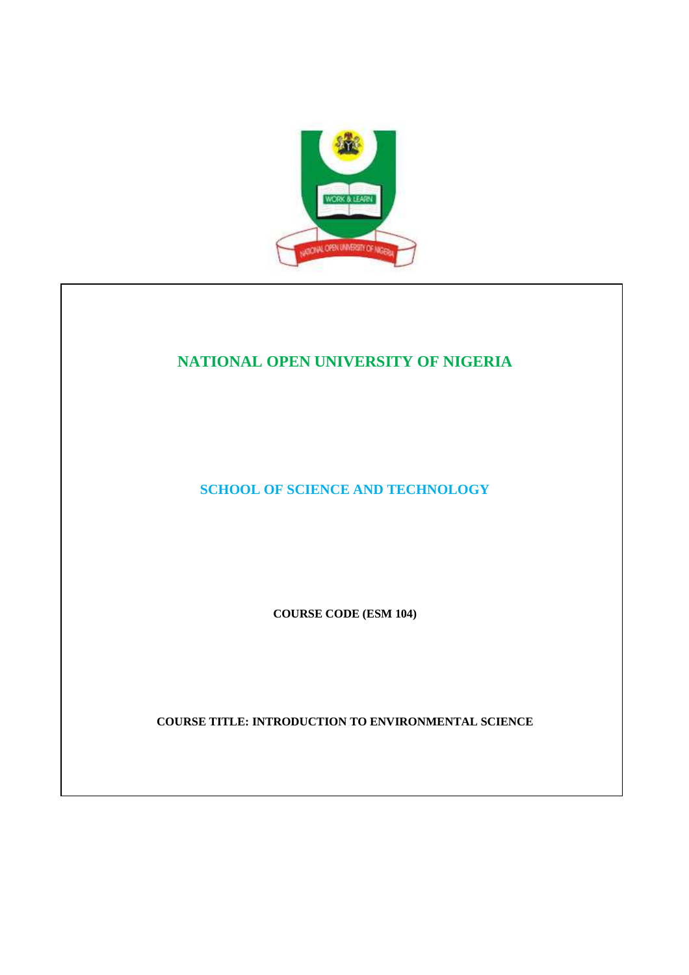

## **NATIONAL OPEN UNIVERSITY OF NIGERIA**

**SCHOOL OF SCIENCE AND TECHNOLOGY** 

**COURSE CODE (ESM 104)** 

**COURSE TITLE: INTRODUCTION TO ENVIRONMENTAL SCIENCE**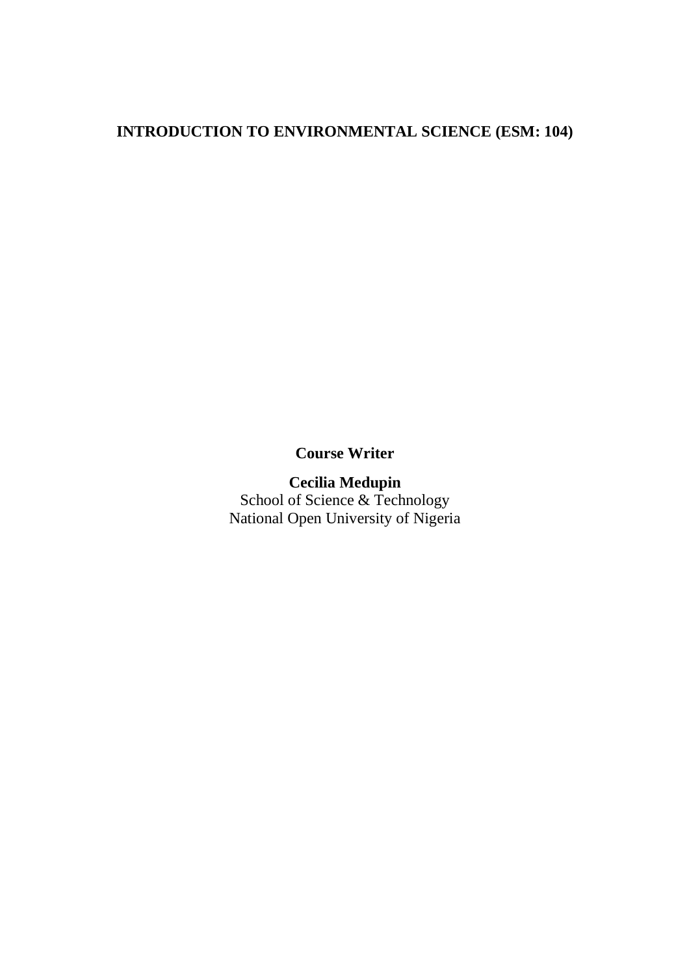## **INTRODUCTION TO ENVIRONMENTAL SCIENCE (ESM: 104)**

## **Course Writer**

## **Cecilia Medupin**  School of Science & Technology

National Open University of Nigeria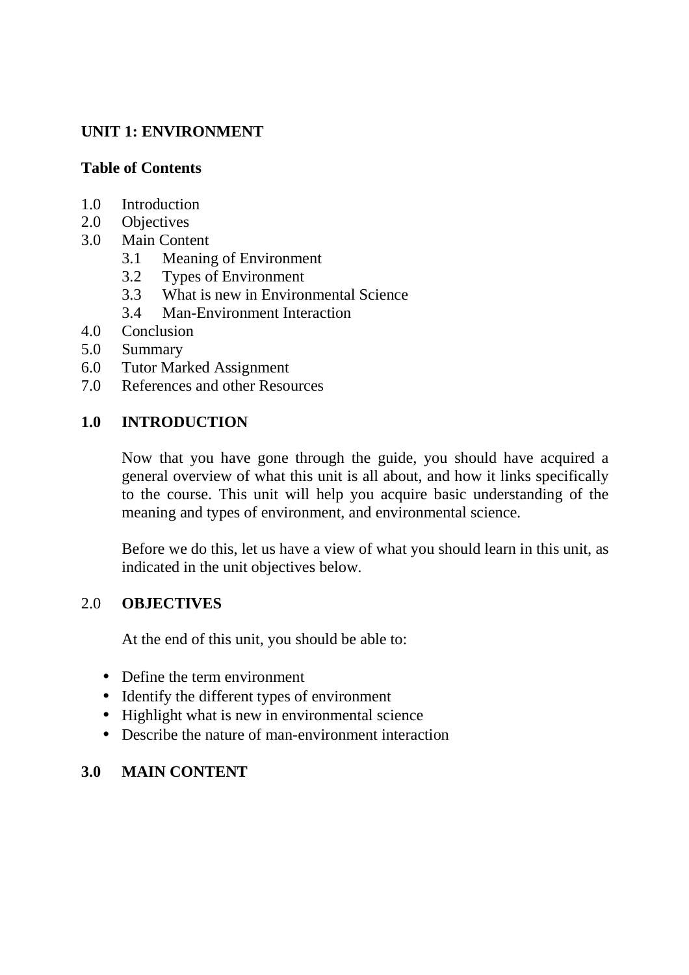# **UNIT 1: ENVIRONMENT**

## **Table of Contents**

- 1.0 Introduction
- 2.0 Objectives<br>3.0 Main Conte
- Main Content
	- 3.1 Meaning of Environment
	- 3.2 Types of Environment
	- 3.3 What is new in Environmental Science
	- 3.4 Man-Environment Interaction
- 4.0 Conclusion
- 5.0 Summary
- 6.0 Tutor Marked Assignment
- 7.0 References and other Resources

# **1.0 INTRODUCTION**

Now that you have gone through the guide, you should have acquired a general overview of what this unit is all about, and how it links specifically to the course. This unit will help you acquire basic understanding of the meaning and types of environment, and environmental science.

Before we do this, let us have a view of what you should learn in this unit, as indicated in the unit objectives below.

## 2.0 **OBJECTIVES**

At the end of this unit, you should be able to:

- Define the term environment
- Identify the different types of environment
- Highlight what is new in environmental science
- Describe the nature of man-environment interaction

# **3.0 MAIN CONTENT**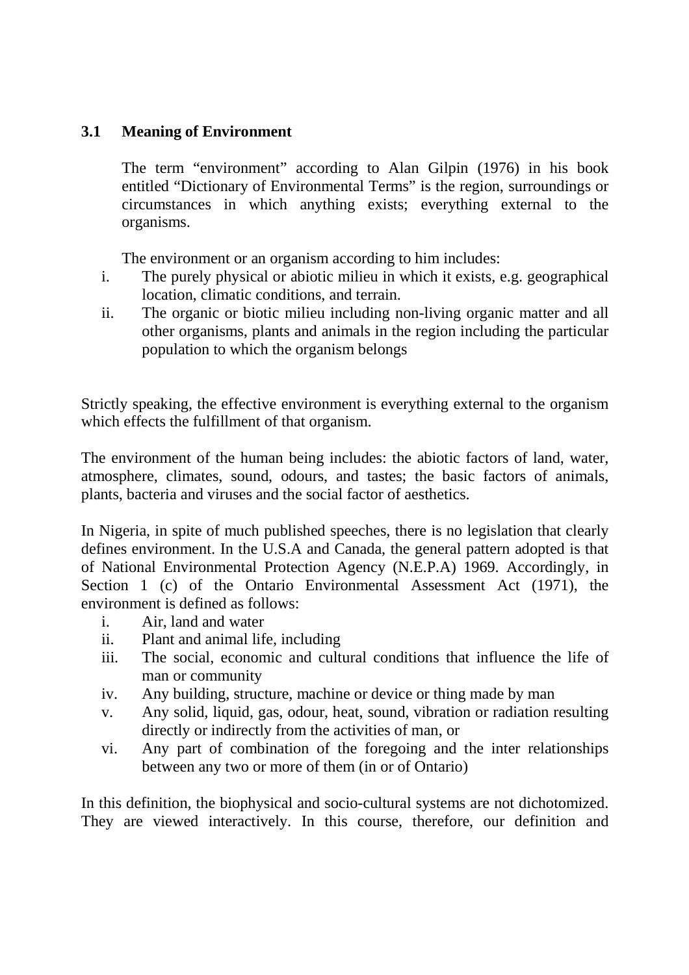## **3.1 Meaning of Environment**

The term "environment" according to Alan Gilpin (1976) in his book entitled "Dictionary of Environmental Terms" is the region, surroundings or circumstances in which anything exists; everything external to the organisms.

The environment or an organism according to him includes:

- i. The purely physical or abiotic milieu in which it exists, e.g. geographical location, climatic conditions, and terrain.
- ii. The organic or biotic milieu including non-living organic matter and all other organisms, plants and animals in the region including the particular population to which the organism belongs

Strictly speaking, the effective environment is everything external to the organism which effects the fulfillment of that organism.

The environment of the human being includes: the abiotic factors of land, water, atmosphere, climates, sound, odours, and tastes; the basic factors of animals, plants, bacteria and viruses and the social factor of aesthetics.

In Nigeria, in spite of much published speeches, there is no legislation that clearly defines environment. In the U.S.A and Canada, the general pattern adopted is that of National Environmental Protection Agency (N.E.P.A) 1969. Accordingly, in Section 1 (c) of the Ontario Environmental Assessment Act (1971), the environment is defined as follows:

- i. Air, land and water
- ii. Plant and animal life, including
- iii. The social, economic and cultural conditions that influence the life of man or community
- iv. Any building, structure, machine or device or thing made by man
- v. Any solid, liquid, gas, odour, heat, sound, vibration or radiation resulting directly or indirectly from the activities of man, or
- vi. Any part of combination of the foregoing and the inter relationships between any two or more of them (in or of Ontario)

In this definition, the biophysical and socio-cultural systems are not dichotomized. They are viewed interactively. In this course, therefore, our definition and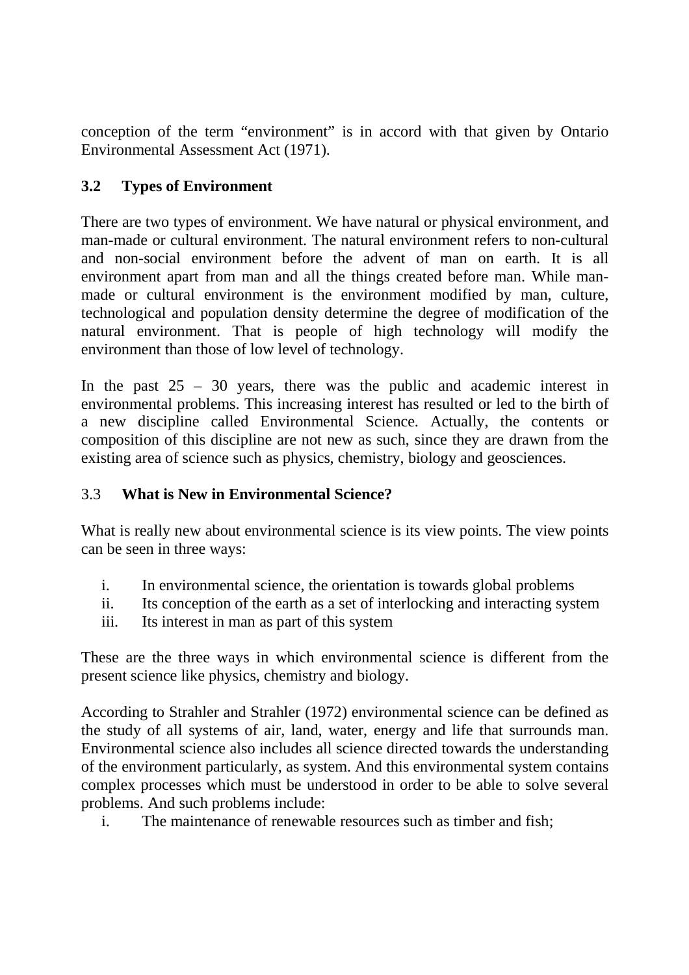conception of the term "environment" is in accord with that given by Ontario Environmental Assessment Act (1971).

## **3.2 Types of Environment**

There are two types of environment. We have natural or physical environment, and man-made or cultural environment. The natural environment refers to non-cultural and non-social environment before the advent of man on earth. It is all environment apart from man and all the things created before man. While manmade or cultural environment is the environment modified by man, culture, technological and population density determine the degree of modification of the natural environment. That is people of high technology will modify the environment than those of low level of technology.

In the past  $25 - 30$  years, there was the public and academic interest in environmental problems. This increasing interest has resulted or led to the birth of a new discipline called Environmental Science. Actually, the contents or composition of this discipline are not new as such, since they are drawn from the existing area of science such as physics, chemistry, biology and geosciences.

## 3.3 **What is New in Environmental Science?**

What is really new about environmental science is its view points. The view points can be seen in three ways:

- i. In environmental science, the orientation is towards global problems
- ii. Its conception of the earth as a set of interlocking and interacting system
- iii. Its interest in man as part of this system

These are the three ways in which environmental science is different from the present science like physics, chemistry and biology.

According to Strahler and Strahler (1972) environmental science can be defined as the study of all systems of air, land, water, energy and life that surrounds man. Environmental science also includes all science directed towards the understanding of the environment particularly, as system. And this environmental system contains complex processes which must be understood in order to be able to solve several problems. And such problems include:

i. The maintenance of renewable resources such as timber and fish;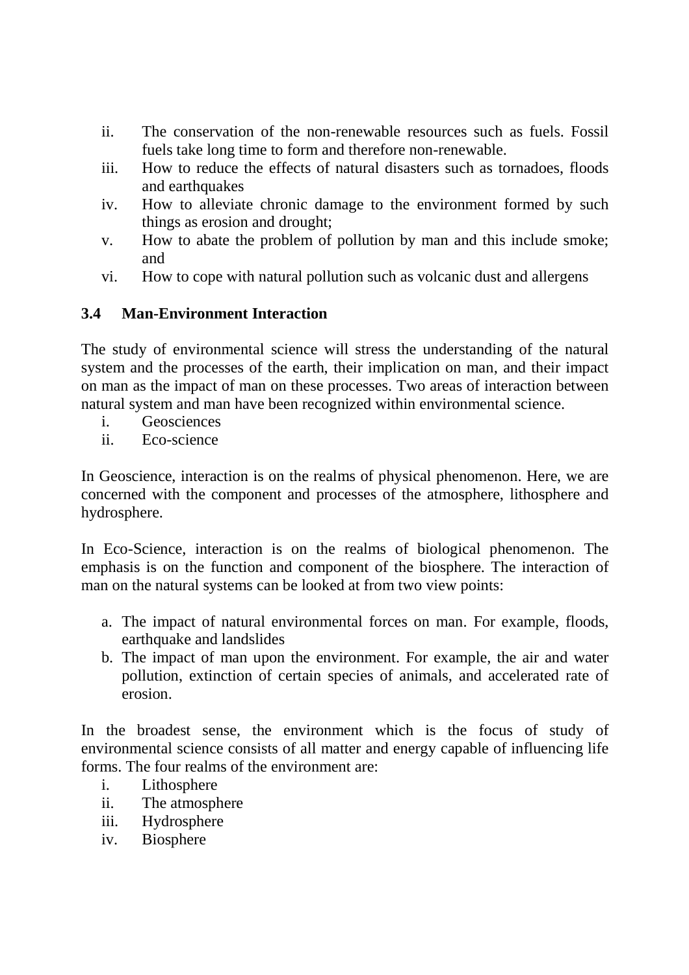- ii. The conservation of the non-renewable resources such as fuels. Fossil fuels take long time to form and therefore non-renewable.
- iii. How to reduce the effects of natural disasters such as tornadoes, floods and earthquakes
- iv. How to alleviate chronic damage to the environment formed by such things as erosion and drought;
- v. How to abate the problem of pollution by man and this include smoke; and
- vi. How to cope with natural pollution such as volcanic dust and allergens

## **3.4 Man-Environment Interaction**

The study of environmental science will stress the understanding of the natural system and the processes of the earth, their implication on man, and their impact on man as the impact of man on these processes. Two areas of interaction between natural system and man have been recognized within environmental science.

- i. Geosciences
- ii. Eco-science

In Geoscience, interaction is on the realms of physical phenomenon. Here, we are concerned with the component and processes of the atmosphere, lithosphere and hydrosphere.

In Eco-Science, interaction is on the realms of biological phenomenon. The emphasis is on the function and component of the biosphere. The interaction of man on the natural systems can be looked at from two view points:

- a. The impact of natural environmental forces on man. For example, floods, earthquake and landslides
- b. The impact of man upon the environment. For example, the air and water pollution, extinction of certain species of animals, and accelerated rate of erosion.

In the broadest sense, the environment which is the focus of study of environmental science consists of all matter and energy capable of influencing life forms. The four realms of the environment are:

- i. Lithosphere
- ii. The atmosphere
- iii. Hydrosphere
- iv. Biosphere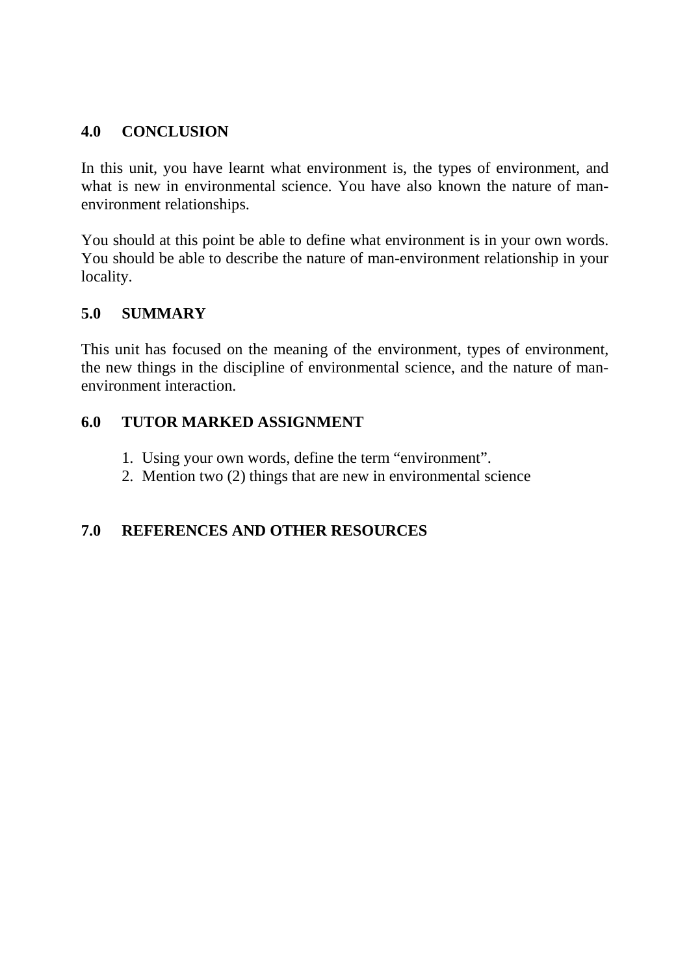#### **4.0 CONCLUSION**

In this unit, you have learnt what environment is, the types of environment, and what is new in environmental science. You have also known the nature of manenvironment relationships.

You should at this point be able to define what environment is in your own words. You should be able to describe the nature of man-environment relationship in your locality.

#### **5.0 SUMMARY**

This unit has focused on the meaning of the environment, types of environment, the new things in the discipline of environmental science, and the nature of manenvironment interaction.

## **6.0 TUTOR MARKED ASSIGNMENT**

- 1. Using your own words, define the term "environment".
- 2. Mention two (2) things that are new in environmental science

## **7.0 REFERENCES AND OTHER RESOURCES**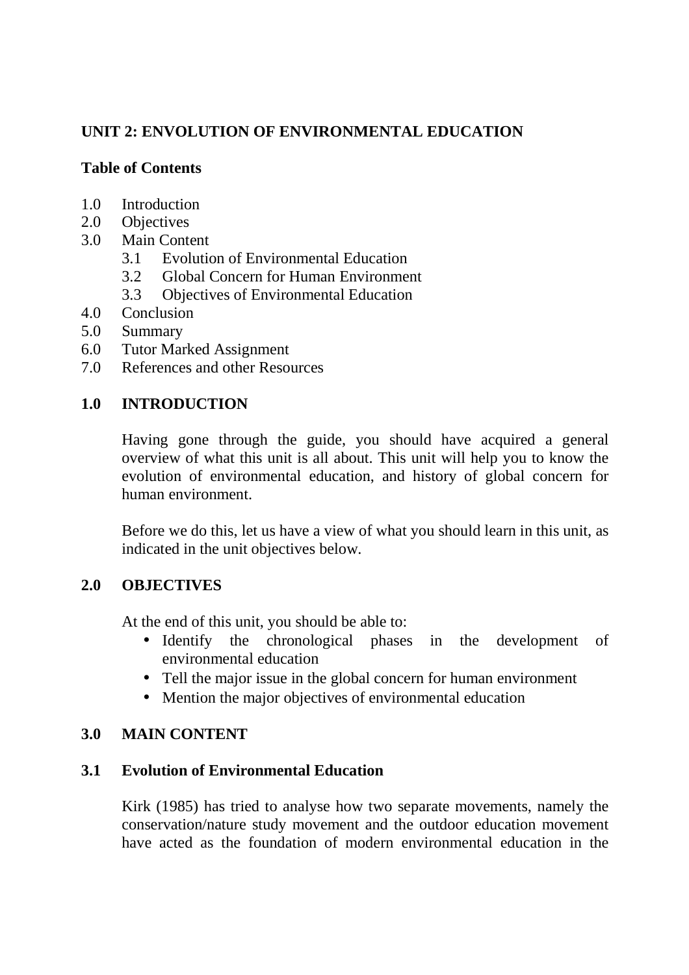## **UNIT 2: ENVOLUTION OF ENVIRONMENTAL EDUCATION**

## **Table of Contents**

- 1.0 Introduction
- 2.0 Objectives
- 3.0 Main Content
	- 3.1 Evolution of Environmental Education
	- 3.2 Global Concern for Human Environment
	- 3.3 Objectives of Environmental Education
- 4.0 Conclusion
- 5.0 Summary
- 6.0 Tutor Marked Assignment
- 7.0 References and other Resources

## **1.0 INTRODUCTION**

Having gone through the guide, you should have acquired a general overview of what this unit is all about. This unit will help you to know the evolution of environmental education, and history of global concern for human environment.

Before we do this, let us have a view of what you should learn in this unit, as indicated in the unit objectives below.

## **2.0 OBJECTIVES**

At the end of this unit, you should be able to:

- Identify the chronological phases in the development of environmental education
- Tell the major issue in the global concern for human environment
- Mention the major objectives of environmental education

## **3.0 MAIN CONTENT**

## **3.1 Evolution of Environmental Education**

Kirk (1985) has tried to analyse how two separate movements, namely the conservation/nature study movement and the outdoor education movement have acted as the foundation of modern environmental education in the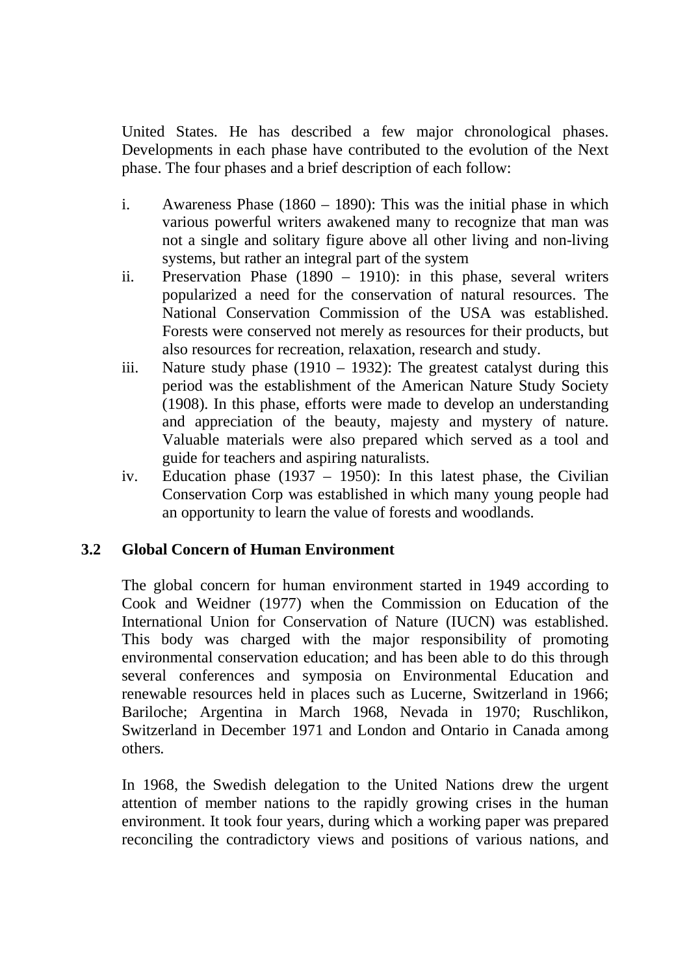United States. He has described a few major chronological phases. Developments in each phase have contributed to the evolution of the Next phase. The four phases and a brief description of each follow:

- i. Awareness Phase (1860 1890): This was the initial phase in which various powerful writers awakened many to recognize that man was not a single and solitary figure above all other living and non-living systems, but rather an integral part of the system
- ii. Preservation Phase (1890 1910): in this phase, several writers popularized a need for the conservation of natural resources. The National Conservation Commission of the USA was established. Forests were conserved not merely as resources for their products, but also resources for recreation, relaxation, research and study.
- iii. Nature study phase (1910 1932): The greatest catalyst during this period was the establishment of the American Nature Study Society (1908). In this phase, efforts were made to develop an understanding and appreciation of the beauty, majesty and mystery of nature. Valuable materials were also prepared which served as a tool and guide for teachers and aspiring naturalists.
- iv. Education phase (1937 1950): In this latest phase, the Civilian Conservation Corp was established in which many young people had an opportunity to learn the value of forests and woodlands.

## **3.2 Global Concern of Human Environment**

The global concern for human environment started in 1949 according to Cook and Weidner (1977) when the Commission on Education of the International Union for Conservation of Nature (IUCN) was established. This body was charged with the major responsibility of promoting environmental conservation education; and has been able to do this through several conferences and symposia on Environmental Education and renewable resources held in places such as Lucerne, Switzerland in 1966; Bariloche; Argentina in March 1968, Nevada in 1970; Ruschlikon, Switzerland in December 1971 and London and Ontario in Canada among others.

In 1968, the Swedish delegation to the United Nations drew the urgent attention of member nations to the rapidly growing crises in the human environment. It took four years, during which a working paper was prepared reconciling the contradictory views and positions of various nations, and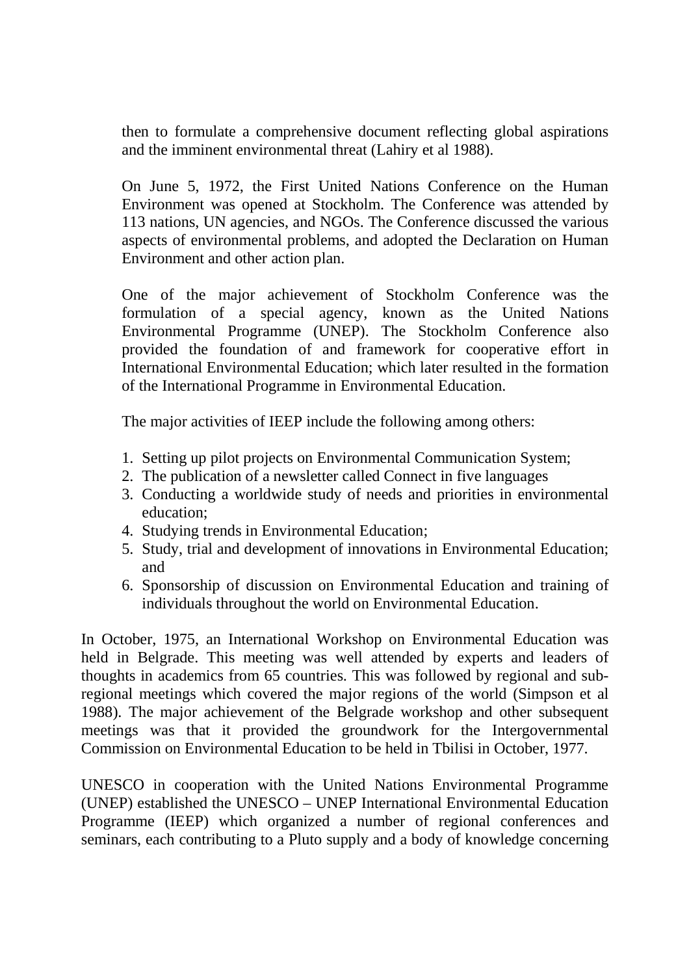then to formulate a comprehensive document reflecting global aspirations and the imminent environmental threat (Lahiry et al 1988).

On June 5, 1972, the First United Nations Conference on the Human Environment was opened at Stockholm. The Conference was attended by 113 nations, UN agencies, and NGOs. The Conference discussed the various aspects of environmental problems, and adopted the Declaration on Human Environment and other action plan.

One of the major achievement of Stockholm Conference was the formulation of a special agency, known as the United Nations Environmental Programme (UNEP). The Stockholm Conference also provided the foundation of and framework for cooperative effort in International Environmental Education; which later resulted in the formation of the International Programme in Environmental Education.

The major activities of IEEP include the following among others:

- 1. Setting up pilot projects on Environmental Communication System;
- 2. The publication of a newsletter called Connect in five languages
- 3. Conducting a worldwide study of needs and priorities in environmental education;
- 4. Studying trends in Environmental Education;
- 5. Study, trial and development of innovations in Environmental Education; and
- 6. Sponsorship of discussion on Environmental Education and training of individuals throughout the world on Environmental Education.

In October, 1975, an International Workshop on Environmental Education was held in Belgrade. This meeting was well attended by experts and leaders of thoughts in academics from 65 countries. This was followed by regional and subregional meetings which covered the major regions of the world (Simpson et al 1988). The major achievement of the Belgrade workshop and other subsequent meetings was that it provided the groundwork for the Intergovernmental Commission on Environmental Education to be held in Tbilisi in October, 1977.

UNESCO in cooperation with the United Nations Environmental Programme (UNEP) established the UNESCO – UNEP International Environmental Education Programme (IEEP) which organized a number of regional conferences and seminars, each contributing to a Pluto supply and a body of knowledge concerning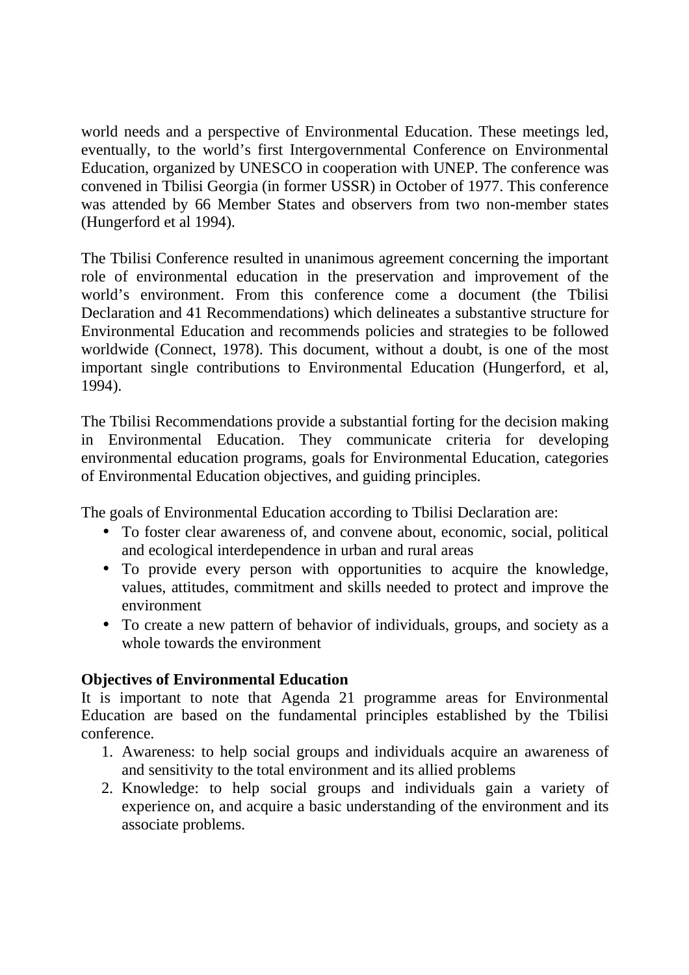world needs and a perspective of Environmental Education. These meetings led, eventually, to the world's first Intergovernmental Conference on Environmental Education, organized by UNESCO in cooperation with UNEP. The conference was convened in Tbilisi Georgia (in former USSR) in October of 1977. This conference was attended by 66 Member States and observers from two non-member states (Hungerford et al 1994).

The Tbilisi Conference resulted in unanimous agreement concerning the important role of environmental education in the preservation and improvement of the world's environment. From this conference come a document (the Tbilisi Declaration and 41 Recommendations) which delineates a substantive structure for Environmental Education and recommends policies and strategies to be followed worldwide (Connect, 1978). This document, without a doubt, is one of the most important single contributions to Environmental Education (Hungerford, et al, 1994).

The Tbilisi Recommendations provide a substantial forting for the decision making in Environmental Education. They communicate criteria for developing environmental education programs, goals for Environmental Education, categories of Environmental Education objectives, and guiding principles.

The goals of Environmental Education according to Tbilisi Declaration are:

- To foster clear awareness of, and convene about, economic, social, political and ecological interdependence in urban and rural areas
- To provide every person with opportunities to acquire the knowledge, values, attitudes, commitment and skills needed to protect and improve the environment
- To create a new pattern of behavior of individuals, groups, and society as a whole towards the environment

# **Objectives of Environmental Education**

It is important to note that Agenda 21 programme areas for Environmental Education are based on the fundamental principles established by the Tbilisi conference.

- 1. Awareness: to help social groups and individuals acquire an awareness of and sensitivity to the total environment and its allied problems
- 2. Knowledge: to help social groups and individuals gain a variety of experience on, and acquire a basic understanding of the environment and its associate problems.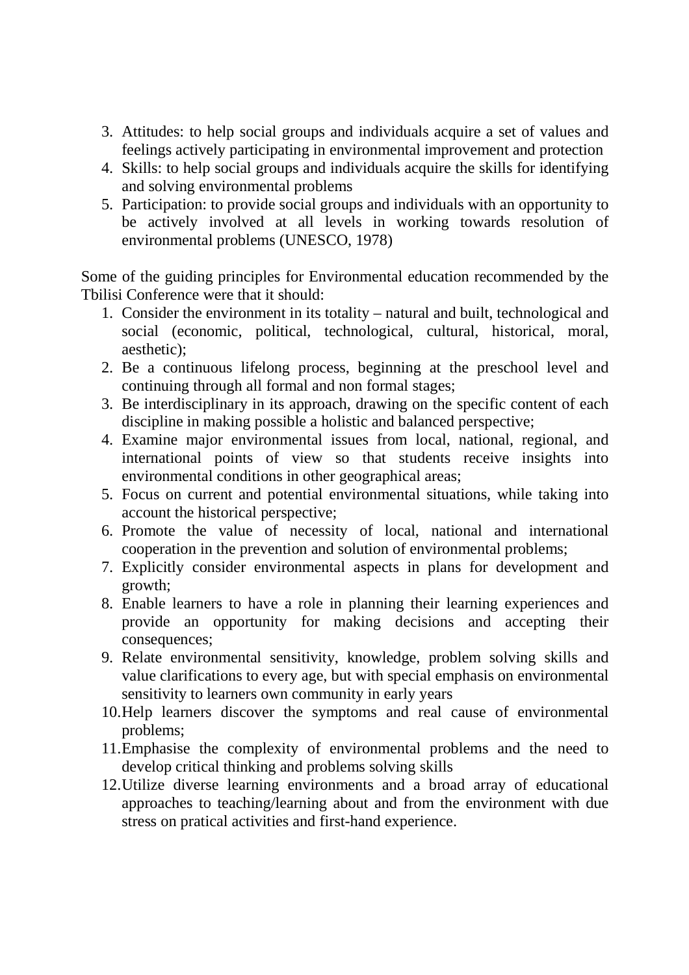- 3. Attitudes: to help social groups and individuals acquire a set of values and feelings actively participating in environmental improvement and protection
- 4. Skills: to help social groups and individuals acquire the skills for identifying and solving environmental problems
- 5. Participation: to provide social groups and individuals with an opportunity to be actively involved at all levels in working towards resolution of environmental problems (UNESCO, 1978)

Some of the guiding principles for Environmental education recommended by the Tbilisi Conference were that it should:

- 1. Consider the environment in its totality natural and built, technological and social (economic, political, technological, cultural, historical, moral, aesthetic);
- 2. Be a continuous lifelong process, beginning at the preschool level and continuing through all formal and non formal stages;
- 3. Be interdisciplinary in its approach, drawing on the specific content of each discipline in making possible a holistic and balanced perspective;
- 4. Examine major environmental issues from local, national, regional, and international points of view so that students receive insights into environmental conditions in other geographical areas;
- 5. Focus on current and potential environmental situations, while taking into account the historical perspective;
- 6. Promote the value of necessity of local, national and international cooperation in the prevention and solution of environmental problems;
- 7. Explicitly consider environmental aspects in plans for development and growth;
- 8. Enable learners to have a role in planning their learning experiences and provide an opportunity for making decisions and accepting their consequences;
- 9. Relate environmental sensitivity, knowledge, problem solving skills and value clarifications to every age, but with special emphasis on environmental sensitivity to learners own community in early years
- 10.Help learners discover the symptoms and real cause of environmental problems;
- 11.Emphasise the complexity of environmental problems and the need to develop critical thinking and problems solving skills
- 12.Utilize diverse learning environments and a broad array of educational approaches to teaching/learning about and from the environment with due stress on pratical activities and first-hand experience.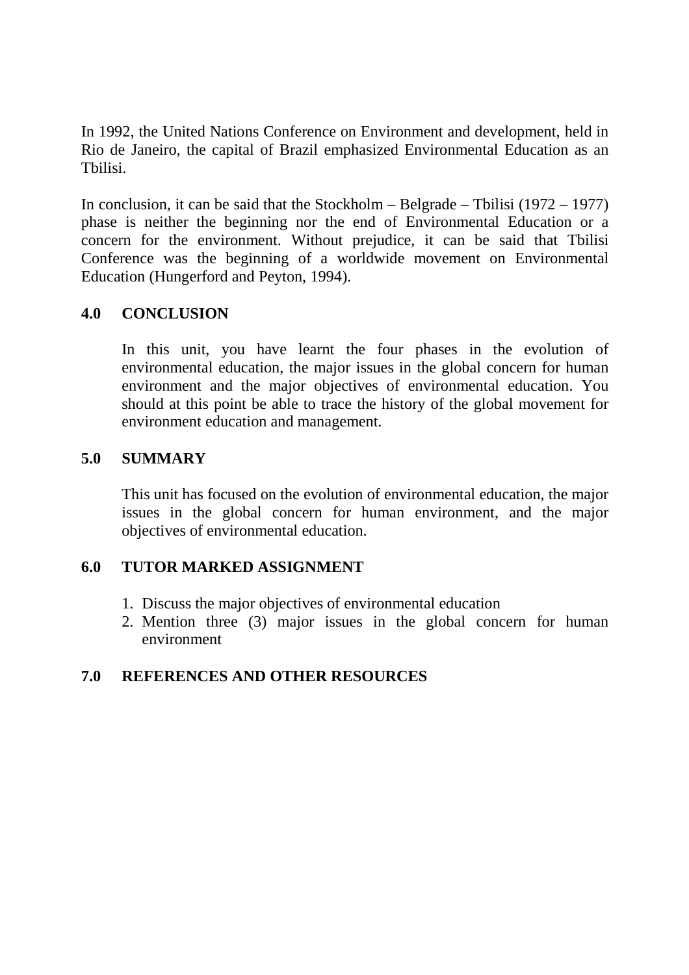In 1992, the United Nations Conference on Environment and development, held in Rio de Janeiro, the capital of Brazil emphasized Environmental Education as an Tbilisi.

In conclusion, it can be said that the Stockholm – Belgrade – Tbilisi (1972 – 1977) phase is neither the beginning nor the end of Environmental Education or a concern for the environment. Without prejudice, it can be said that Tbilisi Conference was the beginning of a worldwide movement on Environmental Education (Hungerford and Peyton, 1994).

## **4.0 CONCLUSION**

In this unit, you have learnt the four phases in the evolution of environmental education, the major issues in the global concern for human environment and the major objectives of environmental education. You should at this point be able to trace the history of the global movement for environment education and management.

#### **5.0 SUMMARY**

This unit has focused on the evolution of environmental education, the major issues in the global concern for human environment, and the major objectives of environmental education.

#### **6.0 TUTOR MARKED ASSIGNMENT**

- 1. Discuss the major objectives of environmental education
- 2. Mention three (3) major issues in the global concern for human environment

## **7.0 REFERENCES AND OTHER RESOURCES**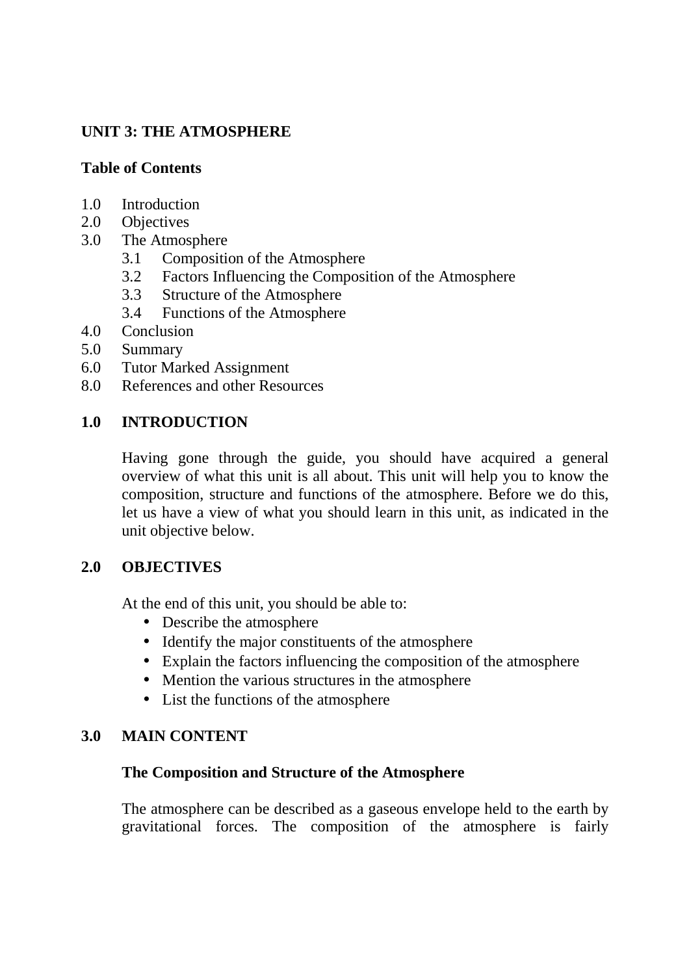## **UNIT 3: THE ATMOSPHERE**

## **Table of Contents**

- 1.0 Introduction
- 2.0 Objectives
- 3.0 The Atmosphere
	- 3.1 Composition of the Atmosphere
	- 3.2 Factors Influencing the Composition of the Atmosphere
	- 3.3 Structure of the Atmosphere
	- 3.4 Functions of the Atmosphere
- 4.0 Conclusion
- 5.0 Summary
- 6.0 Tutor Marked Assignment
- 8.0 References and other Resources

# **1.0 INTRODUCTION**

Having gone through the guide, you should have acquired a general overview of what this unit is all about. This unit will help you to know the composition, structure and functions of the atmosphere. Before we do this, let us have a view of what you should learn in this unit, as indicated in the unit objective below.

# **2.0 OBJECTIVES**

At the end of this unit, you should be able to:

- Describe the atmosphere
- Identify the major constituents of the atmosphere
- Explain the factors influencing the composition of the atmosphere
- Mention the various structures in the atmosphere
- List the functions of the atmosphere

## **3.0 MAIN CONTENT**

## **The Composition and Structure of the Atmosphere**

The atmosphere can be described as a gaseous envelope held to the earth by gravitational forces. The composition of the atmosphere is fairly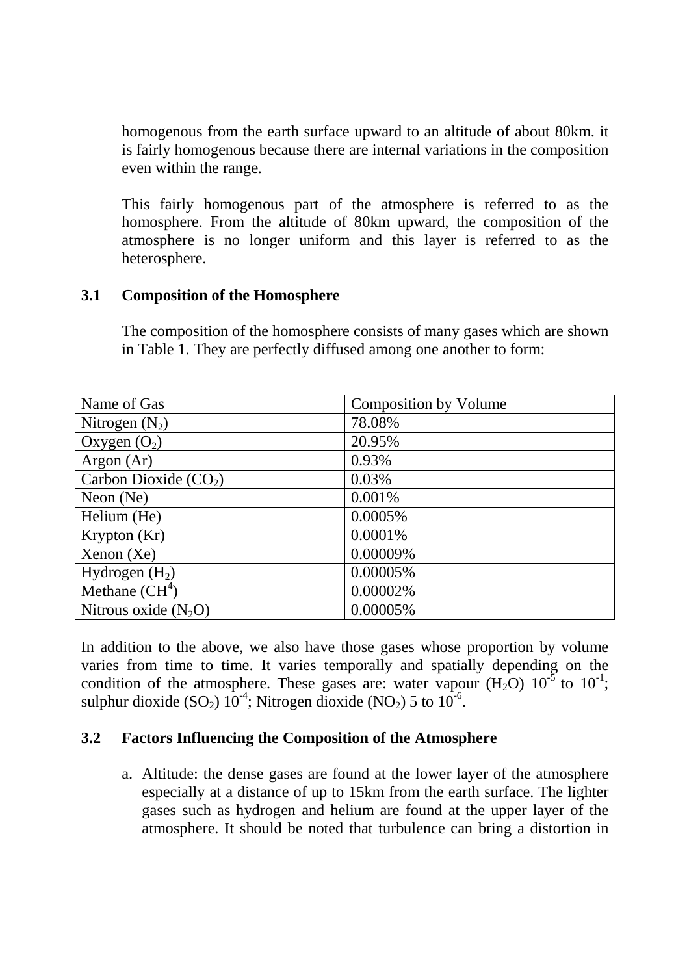homogenous from the earth surface upward to an altitude of about 80km. it is fairly homogenous because there are internal variations in the composition even within the range.

This fairly homogenous part of the atmosphere is referred to as the homosphere. From the altitude of 80km upward, the composition of the atmosphere is no longer uniform and this layer is referred to as the heterosphere.

#### **3.1 Composition of the Homosphere**

The composition of the homosphere consists of many gases which are shown in Table 1. They are perfectly diffused among one another to form:

| Name of Gas            | <b>Composition by Volume</b> |
|------------------------|------------------------------|
| Nitrogen $(N_2)$       | 78.08%                       |
| Oxygen $(O_2)$         | 20.95%                       |
| Argon $(Ar)$           | 0.93%                        |
| Carbon Dioxide $(CO2)$ | 0.03%                        |
| Neon $(Ne)$            | 0.001%                       |
| Helium (He)            | 0.0005%                      |
| Krypton (Kr)           | 0.0001%                      |
| Xenon(Xe)              | 0.00009%                     |
| Hydrogen $(H2)$        | 0.00005%                     |
| Methane $(CH4)$        | 0.00002%                     |
| Nitrous oxide $(N_2O)$ | 0.00005%                     |

In addition to the above, we also have those gases whose proportion by volume varies from time to time. It varies temporally and spatially depending on the condition of the atmosphere. These gases are: water vapour  $(H_2O)$  10<sup>-5</sup> to 10<sup>-1</sup>; sulphur dioxide (SO<sub>2</sub>)  $10^{-4}$ ; Nitrogen dioxide (NO<sub>2</sub>) 5 to  $10^{-6}$ .

## **3.2 Factors Influencing the Composition of the Atmosphere**

a. Altitude: the dense gases are found at the lower layer of the atmosphere especially at a distance of up to 15km from the earth surface. The lighter gases such as hydrogen and helium are found at the upper layer of the atmosphere. It should be noted that turbulence can bring a distortion in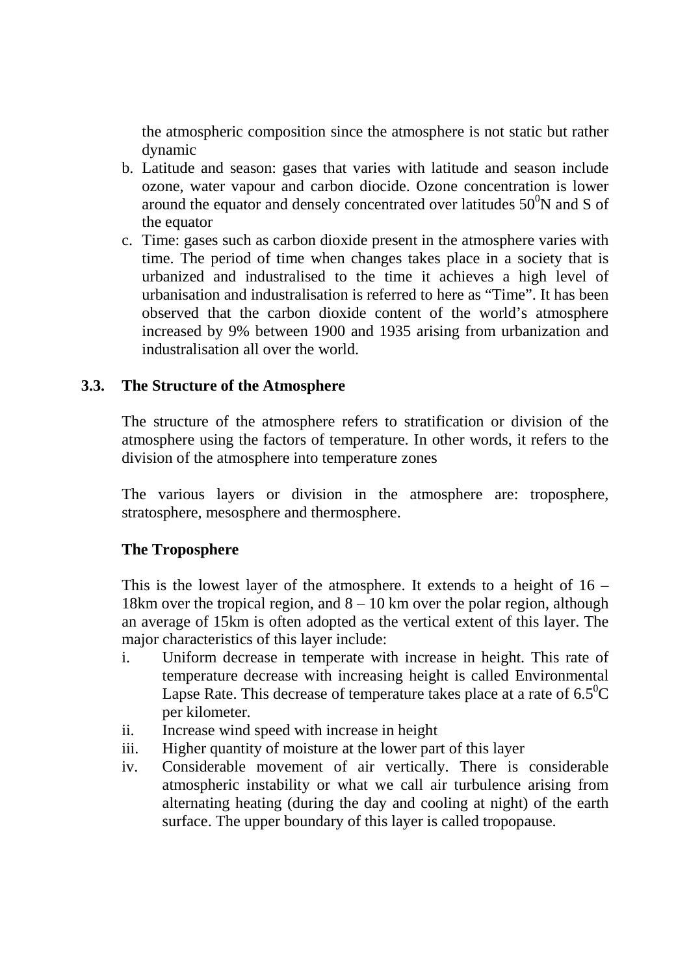the atmospheric composition since the atmosphere is not static but rather dynamic

- b. Latitude and season: gases that varies with latitude and season include ozone, water vapour and carbon diocide. Ozone concentration is lower around the equator and densely concentrated over latitudes  $50^{\circ}$ N and S of the equator
- c. Time: gases such as carbon dioxide present in the atmosphere varies with time. The period of time when changes takes place in a society that is urbanized and industralised to the time it achieves a high level of urbanisation and industralisation is referred to here as "Time". It has been observed that the carbon dioxide content of the world's atmosphere increased by 9% between 1900 and 1935 arising from urbanization and industralisation all over the world.

## **3.3. The Structure of the Atmosphere**

The structure of the atmosphere refers to stratification or division of the atmosphere using the factors of temperature. In other words, it refers to the division of the atmosphere into temperature zones

The various layers or division in the atmosphere are: troposphere, stratosphere, mesosphere and thermosphere.

#### **The Troposphere**

This is the lowest layer of the atmosphere. It extends to a height of 16 – 18km over the tropical region, and  $8 - 10$  km over the polar region, although an average of 15km is often adopted as the vertical extent of this layer. The major characteristics of this layer include:

- i. Uniform decrease in temperate with increase in height. This rate of temperature decrease with increasing height is called Environmental Lapse Rate. This decrease of temperature takes place at a rate of  $6.5^{\circ}C$ per kilometer.
- ii. Increase wind speed with increase in height
- iii. Higher quantity of moisture at the lower part of this layer
- iv. Considerable movement of air vertically. There is considerable atmospheric instability or what we call air turbulence arising from alternating heating (during the day and cooling at night) of the earth surface. The upper boundary of this layer is called tropopause.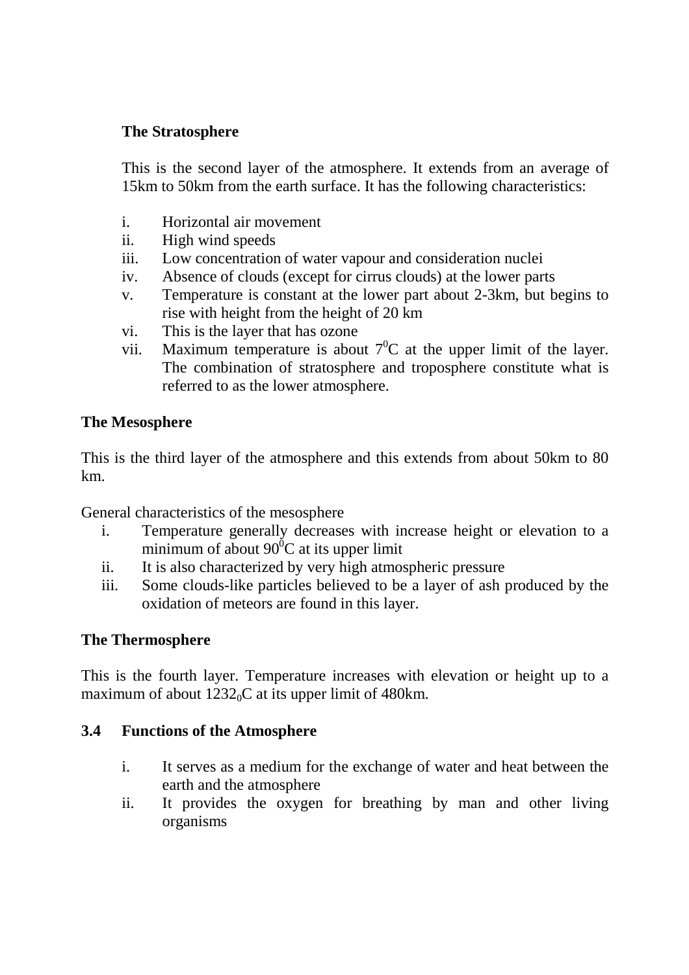## **The Stratosphere**

This is the second layer of the atmosphere. It extends from an average of 15km to 50km from the earth surface. It has the following characteristics:

- i. Horizontal air movement
- ii. High wind speeds
- iii. Low concentration of water vapour and consideration nuclei
- iv. Absence of clouds (except for cirrus clouds) at the lower parts
- v. Temperature is constant at the lower part about 2-3km, but begins to rise with height from the height of 20 km
- vi. This is the layer that has ozone
- vii. Maximum temperature is about  $7^0C$  at the upper limit of the layer. The combination of stratosphere and troposphere constitute what is referred to as the lower atmosphere.

#### **The Mesosphere**

This is the third layer of the atmosphere and this extends from about 50km to 80 km.

General characteristics of the mesosphere

- i. Temperature generally decreases with increase height or elevation to a minimum of about  $90^{\circ}$ C at its upper limit
- ii. It is also characterized by very high atmospheric pressure
- iii. Some clouds-like particles believed to be a layer of ash produced by the oxidation of meteors are found in this layer.

#### **The Thermosphere**

This is the fourth layer. Temperature increases with elevation or height up to a maximum of about  $1232<sub>0</sub>C$  at its upper limit of 480km.

#### **3.4 Functions of the Atmosphere**

- i. It serves as a medium for the exchange of water and heat between the earth and the atmosphere
- ii. It provides the oxygen for breathing by man and other living organisms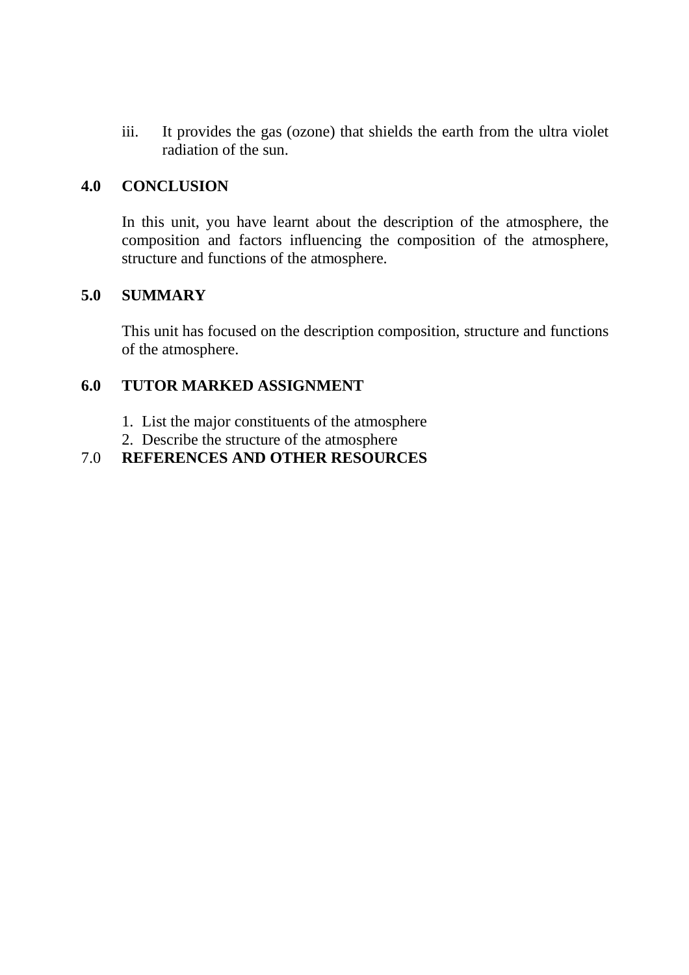iii. It provides the gas (ozone) that shields the earth from the ultra violet radiation of the sun.

#### **4.0 CONCLUSION**

In this unit, you have learnt about the description of the atmosphere, the composition and factors influencing the composition of the atmosphere, structure and functions of the atmosphere.

## **5.0 SUMMARY**

This unit has focused on the description composition, structure and functions of the atmosphere.

## **6.0 TUTOR MARKED ASSIGNMENT**

- 1. List the major constituents of the atmosphere
- 2. Describe the structure of the atmosphere

## 7.0 **REFERENCES AND OTHER RESOURCES**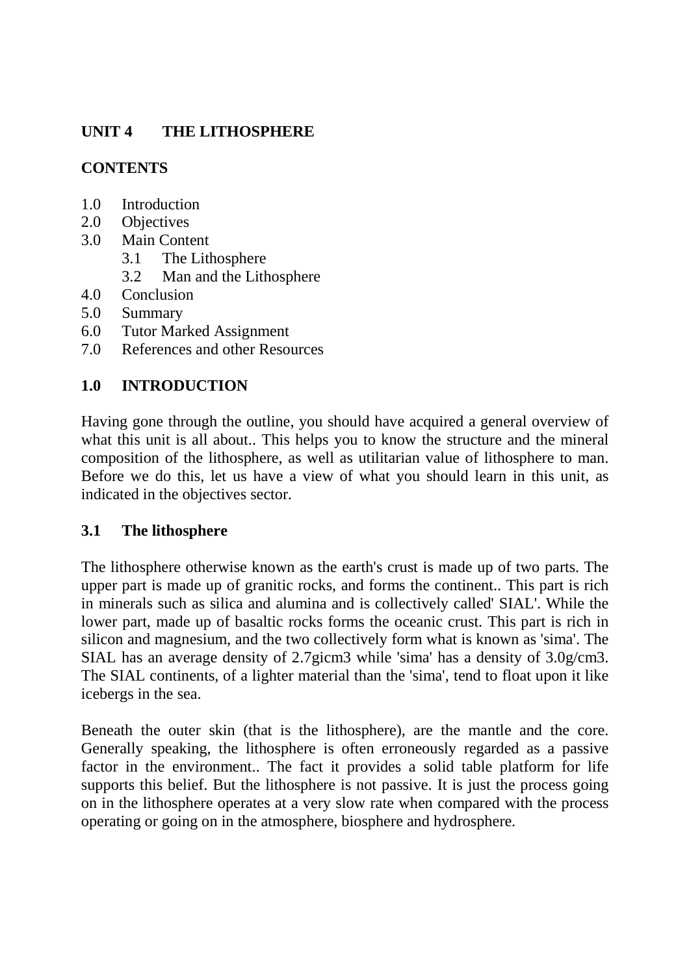# **UNIT 4 THE LITHOSPHERE**

# **CONTENTS**

- 1.0 Introduction
- 2.0 Objectives
- 3.0 Main Content
	- 3.1 The Lithosphere
	- 3.2 Man and the Lithosphere
- 4.0 Conclusion
- 5.0 Summary
- 6.0 Tutor Marked Assignment
- 7.0 References and other Resources

# **1.0 INTRODUCTION**

Having gone through the outline, you should have acquired a general overview of what this unit is all about.. This helps you to know the structure and the mineral composition of the lithosphere, as well as utilitarian value of lithosphere to man. Before we do this, let us have a view of what you should learn in this unit, as indicated in the objectives sector.

# **3.1 The lithosphere**

The lithosphere otherwise known as the earth's crust is made up of two parts. The upper part is made up of granitic rocks, and forms the continent.. This part is rich in minerals such as silica and alumina and is collectively called' SIAL'. While the lower part, made up of basaltic rocks forms the oceanic crust. This part is rich in silicon and magnesium, and the two collectively form what is known as 'sima'. The SIAL has an average density of 2.7gicm3 while 'sima' has a density of 3.0g/cm3. The SIAL continents, of a lighter material than the 'sima', tend to float upon it like icebergs in the sea.

Beneath the outer skin (that is the lithosphere), are the mantle and the core. Generally speaking, the lithosphere is often erroneously regarded as a passive factor in the environment.. The fact it provides a solid table platform for life supports this belief. But the lithosphere is not passive. It is just the process going on in the lithosphere operates at a very slow rate when compared with the process operating or going on in the atmosphere, biosphere and hydrosphere.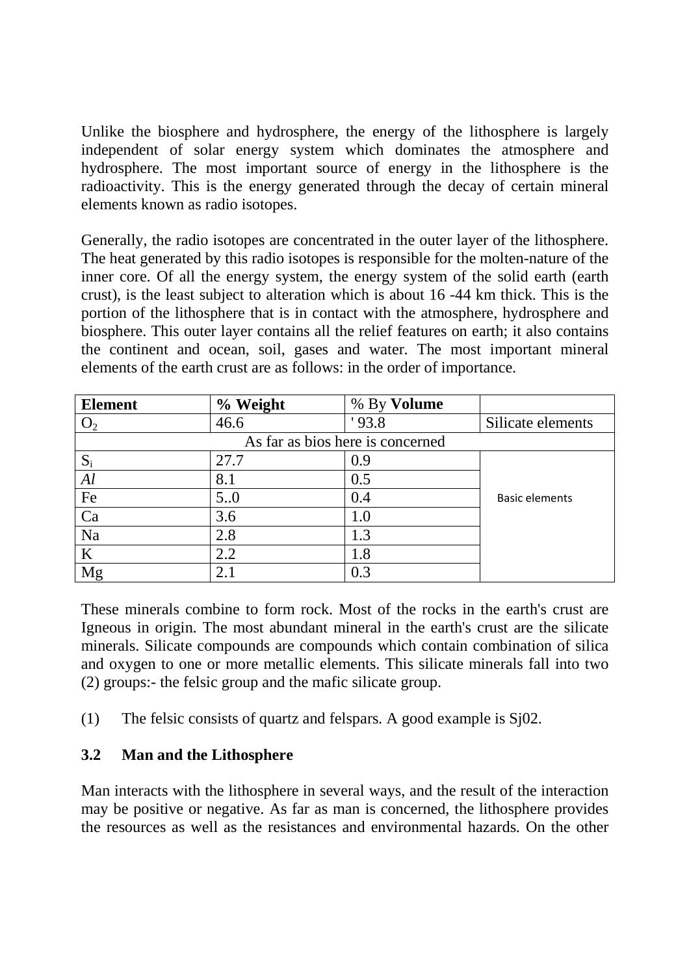Unlike the biosphere and hydrosphere, the energy of the lithosphere is largely independent of solar energy system which dominates the atmosphere and hydrosphere. The most important source of energy in the lithosphere is the radioactivity. This is the energy generated through the decay of certain mineral elements known as radio isotopes.

Generally, the radio isotopes are concentrated in the outer layer of the lithosphere. The heat generated by this radio isotopes is responsible for the molten-nature of the inner core. Of all the energy system, the energy system of the solid earth (earth crust), is the least subject to alteration which is about 16 -44 km thick. This is the portion of the lithosphere that is in contact with the atmosphere, hydrosphere and biosphere. This outer layer contains all the relief features on earth; it also contains the continent and ocean, soil, gases and water. The most important mineral elements of the earth crust are as follows: in the order of importance.

| <b>Element</b>                   | % Weight | % By Volume |                       |  |
|----------------------------------|----------|-------------|-----------------------|--|
|                                  | 46.6     | 93.8        | Silicate elements     |  |
| As far as bios here is concerned |          |             |                       |  |
| $S_i$                            | 27.7     | 0.9         |                       |  |
| Al                               | 8.1      | 0.5         |                       |  |
| Fe                               | 5.0      | 0.4         | <b>Basic elements</b> |  |
| Ca                               | 3.6      | 1.0         |                       |  |
| Na                               | 2.8      | 1.3         |                       |  |
| K                                | 2.2      | 1.8         |                       |  |
| Mg                               | 2.1      | 0.3         |                       |  |

These minerals combine to form rock. Most of the rocks in the earth's crust are Igneous in origin. The most abundant mineral in the earth's crust are the silicate minerals. Silicate compounds are compounds which contain combination of silica and oxygen to one or more metallic elements. This silicate minerals fall into two (2) groups:- the felsic group and the mafic silicate group.

(1) The felsic consists of quartz and felspars. A good example is Sj02.

## **3.2 Man and the Lithosphere**

Man interacts with the lithosphere in several ways, and the result of the interaction may be positive or negative. As far as man is concerned, the lithosphere provides the resources as well as the resistances and environmental hazards. On the other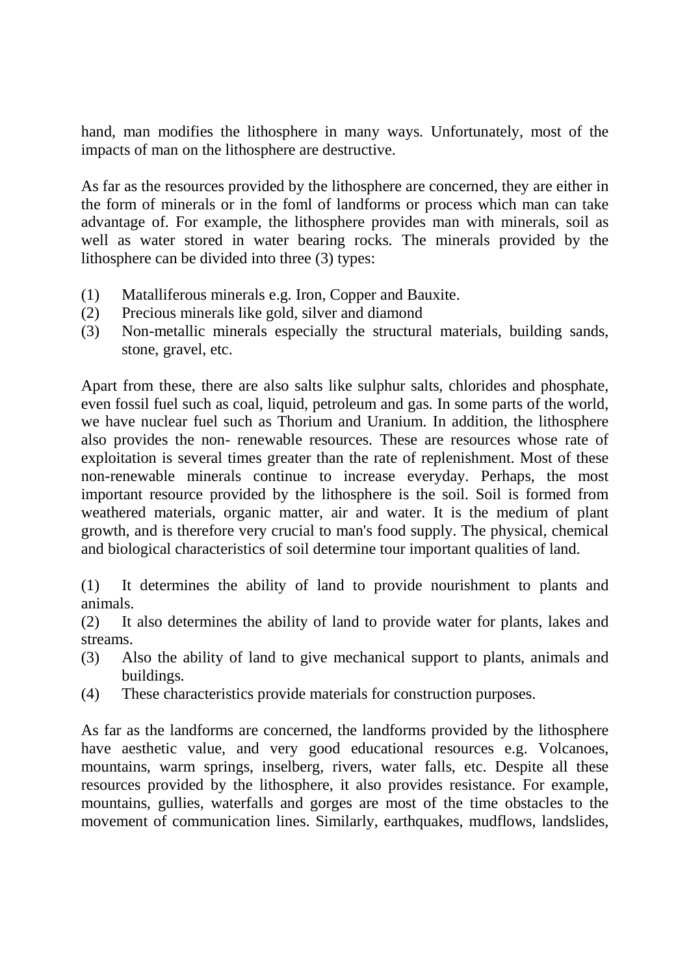hand, man modifies the lithosphere in many ways. Unfortunately, most of the impacts of man on the lithosphere are destructive.

As far as the resources provided by the lithosphere are concerned, they are either in the form of minerals or in the foml of landforms or process which man can take advantage of. For example, the lithosphere provides man with minerals, soil as well as water stored in water bearing rocks. The minerals provided by the lithosphere can be divided into three (3) types:

- (1) Matalliferous minerals e.g. Iron, Copper and Bauxite.
- (2) Precious minerals like gold, silver and diamond
- (3) Non-metallic minerals especially the structural materials, building sands, stone, gravel, etc.

Apart from these, there are also salts like sulphur salts, chlorides and phosphate, even fossil fuel such as coal, liquid, petroleum and gas. In some parts of the world, we have nuclear fuel such as Thorium and Uranium. In addition, the lithosphere also provides the non- renewable resources. These are resources whose rate of exploitation is several times greater than the rate of replenishment. Most of these non-renewable minerals continue to increase everyday. Perhaps, the most important resource provided by the lithosphere is the soil. Soil is formed from weathered materials, organic matter, air and water. It is the medium of plant growth, and is therefore very crucial to man's food supply. The physical, chemical and biological characteristics of soil determine tour important qualities of land.

(1) It determines the ability of land to provide nourishment to plants and animals.

(2) It also determines the ability of land to provide water for plants, lakes and streams.

- (3) Also the ability of land to give mechanical support to plants, animals and buildings.
- (4) These characteristics provide materials for construction purposes.

As far as the landforms are concerned, the landforms provided by the lithosphere have aesthetic value, and very good educational resources e.g. Volcanoes, mountains, warm springs, inselberg, rivers, water falls, etc. Despite all these resources provided by the lithosphere, it also provides resistance. For example, mountains, gullies, waterfalls and gorges are most of the time obstacles to the movement of communication lines. Similarly, earthquakes, mudflows, landslides,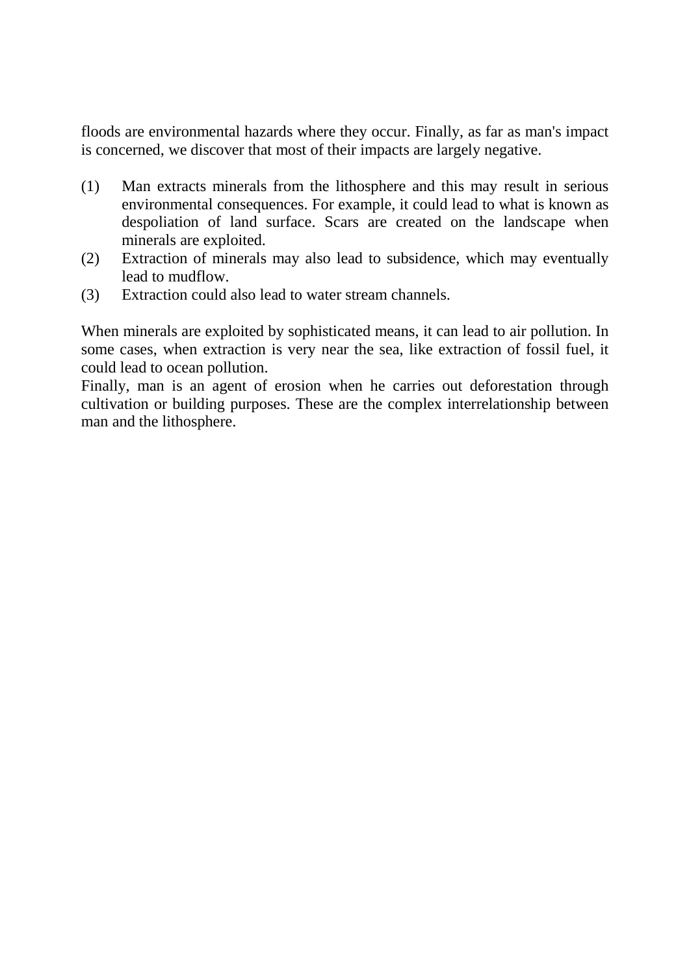floods are environmental hazards where they occur. Finally, as far as man's impact is concerned, we discover that most of their impacts are largely negative.

- (1) Man extracts minerals from the lithosphere and this may result in serious environmental consequences. For example, it could lead to what is known as despoliation of land surface. Scars are created on the landscape when minerals are exploited.
- (2) Extraction of minerals may also lead to subsidence, which may eventually lead to mudflow.
- (3) Extraction could also lead to water stream channels.

When minerals are exploited by sophisticated means, it can lead to air pollution. In some cases, when extraction is very near the sea, like extraction of fossil fuel, it could lead to ocean pollution.

Finally, man is an agent of erosion when he carries out deforestation through cultivation or building purposes. These are the complex interrelationship between man and the lithosphere.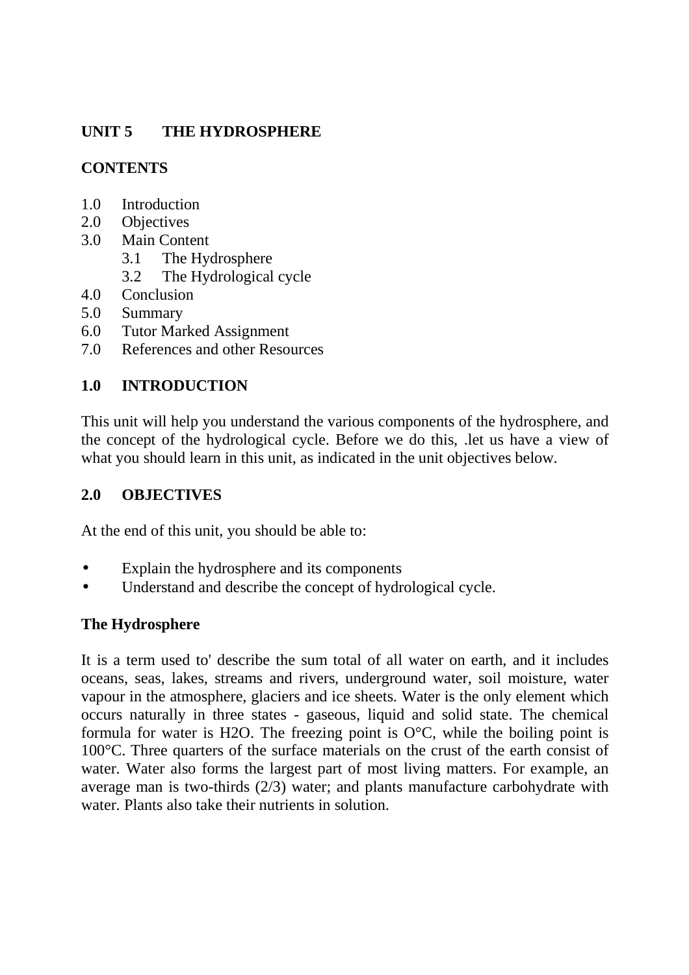# **UNIT 5 THE HYDROSPHERE**

# **CONTENTS**

- 1.0 Introduction
- 2.0 Objectives
- 3.0 Main Content
	- 3.1 The Hydrosphere
	- 3.2 The Hydrological cycle
- 4.0 Conclusion
- 5.0 Summary
- 6.0 Tutor Marked Assignment
- 7.0 References and other Resources

# **1.0 INTRODUCTION**

This unit will help you understand the various components of the hydrosphere, and the concept of the hydrological cycle. Before we do this, .let us have a view of what you should learn in this unit, as indicated in the unit objectives below.

# **2.0 OBJECTIVES**

At the end of this unit, you should be able to:

- Explain the hydrosphere and its components
- Understand and describe the concept of hydrological cycle.

# **The Hydrosphere**

It is a term used to' describe the sum total of all water on earth, and it includes oceans, seas, lakes, streams and rivers, underground water, soil moisture, water vapour in the atmosphere, glaciers and ice sheets. Water is the only element which occurs naturally in three states - gaseous, liquid and solid state. The chemical formula for water is H2O. The freezing point is  $O^{\circ}C$ , while the boiling point is 100°C. Three quarters of the surface materials on the crust of the earth consist of water. Water also forms the largest part of most living matters. For example, an average man is two-thirds (2/3) water; and plants manufacture carbohydrate with water. Plants also take their nutrients in solution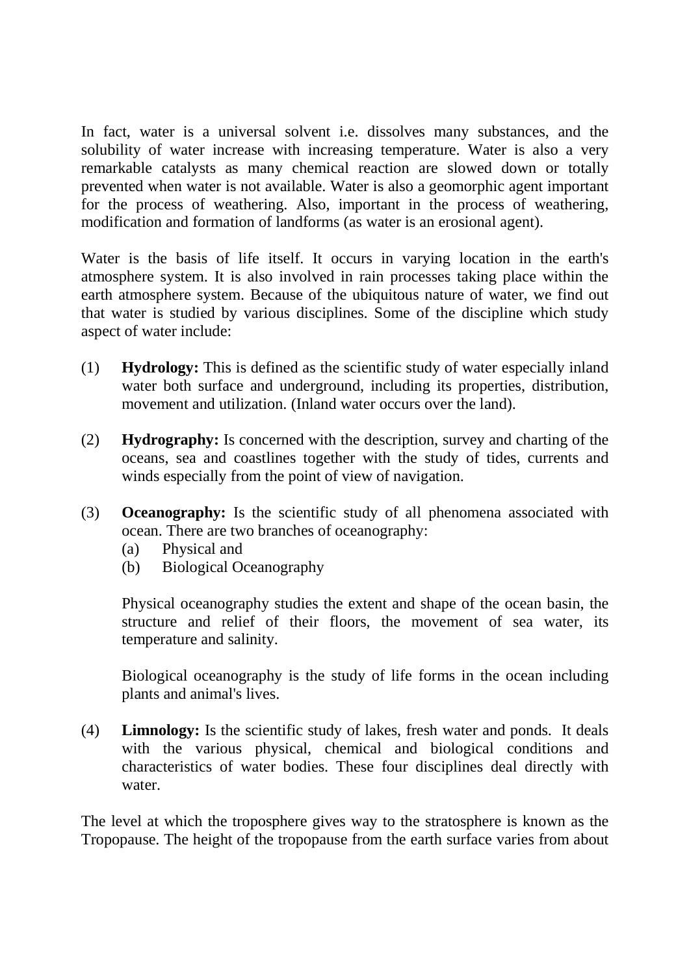In fact, water is a universal solvent i.e. dissolves many substances, and the solubility of water increase with increasing temperature. Water is also a very remarkable catalysts as many chemical reaction are slowed down or totally prevented when water is not available. Water is also a geomorphic agent important for the process of weathering. Also, important in the process of weathering, modification and formation of landforms (as water is an erosional agent).

Water is the basis of life itself. It occurs in varying location in the earth's atmosphere system. It is also involved in rain processes taking place within the earth atmosphere system. Because of the ubiquitous nature of water, we find out that water is studied by various disciplines. Some of the discipline which study aspect of water include:

- (1) **Hydrology:** This is defined as the scientific study of water especially inland water both surface and underground, including its properties, distribution, movement and utilization. (Inland water occurs over the land).
- (2) **Hydrography:** Is concerned with the description, survey and charting of the oceans, sea and coastlines together with the study of tides, currents and winds especially from the point of view of navigation.
- (3) **Oceanography:** Is the scientific study of all phenomena associated with ocean. There are two branches of oceanography:
	- (a) Physical and
	- (b) Biological Oceanography

Physical oceanography studies the extent and shape of the ocean basin, the structure and relief of their floors, the movement of sea water, its temperature and salinity.

Biological oceanography is the study of life forms in the ocean including plants and animal's lives.

(4) **Limnology:** Is the scientific study of lakes, fresh water and ponds. It deals with the various physical, chemical and biological conditions and characteristics of water bodies. These four disciplines deal directly with water.

The level at which the troposphere gives way to the stratosphere is known as the Tropopause. The height of the tropopause from the earth surface varies from about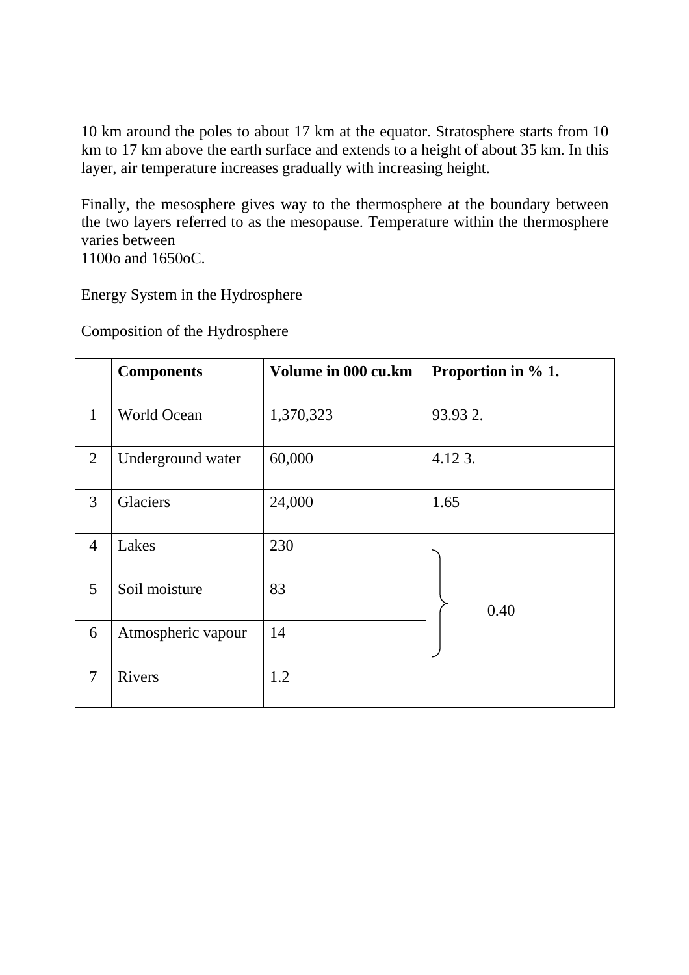10 km around the poles to about 17 km at the equator. Stratosphere starts from 10 km to 17 km above the earth surface and extends to a height of about 35 km. In this layer, air temperature increases gradually with increasing height.

Finally, the mesosphere gives way to the thermosphere at the boundary between the two layers referred to as the mesopause. Temperature within the thermosphere varies between

1100o and 1650oC.

Energy System in the Hydrosphere

Composition of the Hydrosphere

|                | <b>Components</b>  | Volume in 000 cu.km | Proportion in % 1. |
|----------------|--------------------|---------------------|--------------------|
| $\mathbf{1}$   | <b>World Ocean</b> | 1,370,323           | 93.93 2.           |
| 2              | Underground water  | 60,000              | 4.12 3.            |
| 3              | Glaciers           | 24,000              | 1.65               |
| $\overline{4}$ | Lakes              | 230                 |                    |
| 5              | Soil moisture      | 83                  | 0.40               |
| 6              | Atmospheric vapour | 14                  |                    |
| 7              | Rivers             | 1.2                 |                    |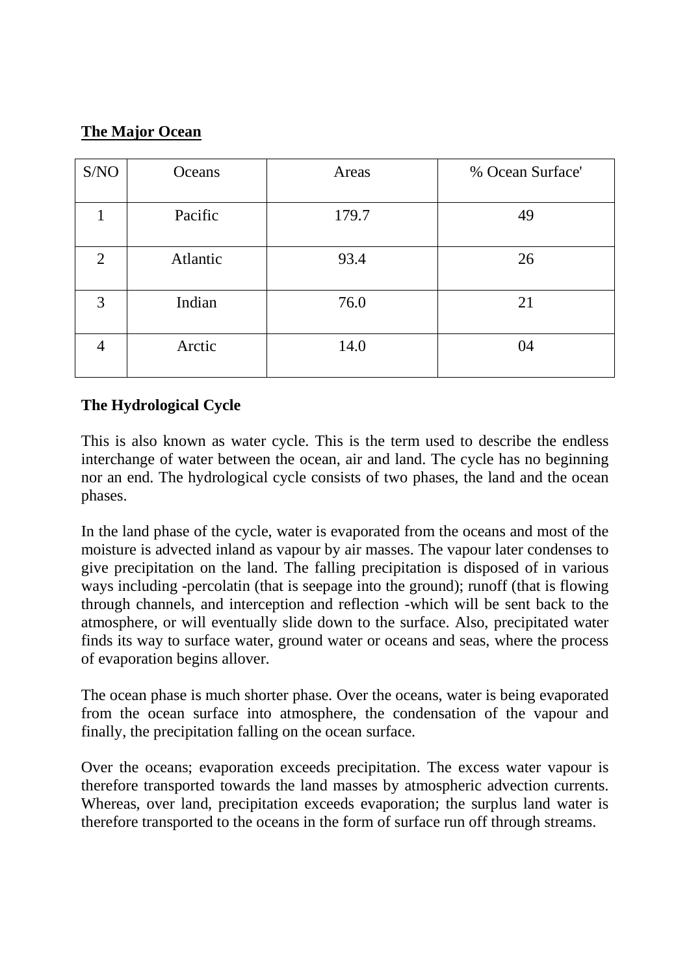# **The Major Ocean**

| S/NO           | Oceans   | Areas | % Ocean Surface' |
|----------------|----------|-------|------------------|
|                | Pacific  | 179.7 | 49               |
| $\overline{2}$ | Atlantic | 93.4  | 26               |
| 3              | Indian   | 76.0  | 21               |
|                | Arctic   | 14.0  | 04               |

# **The Hydrological Cycle**

This is also known as water cycle. This is the term used to describe the endless interchange of water between the ocean, air and land. The cycle has no beginning nor an end. The hydrological cycle consists of two phases, the land and the ocean phases.

In the land phase of the cycle, water is evaporated from the oceans and most of the moisture is advected inland as vapour by air masses. The vapour later condenses to give precipitation on the land. The falling precipitation is disposed of in various ways including -percolatin (that is seepage into the ground); runoff (that is flowing through channels, and interception and reflection -which will be sent back to the atmosphere, or will eventually slide down to the surface. Also, precipitated water finds its way to surface water, ground water or oceans and seas, where the process of evaporation begins allover.

The ocean phase is much shorter phase. Over the oceans, water is being evaporated from the ocean surface into atmosphere, the condensation of the vapour and finally, the precipitation falling on the ocean surface.

Over the oceans; evaporation exceeds precipitation. The excess water vapour is therefore transported towards the land masses by atmospheric advection currents. Whereas, over land, precipitation exceeds evaporation; the surplus land water is therefore transported to the oceans in the form of surface run off through streams.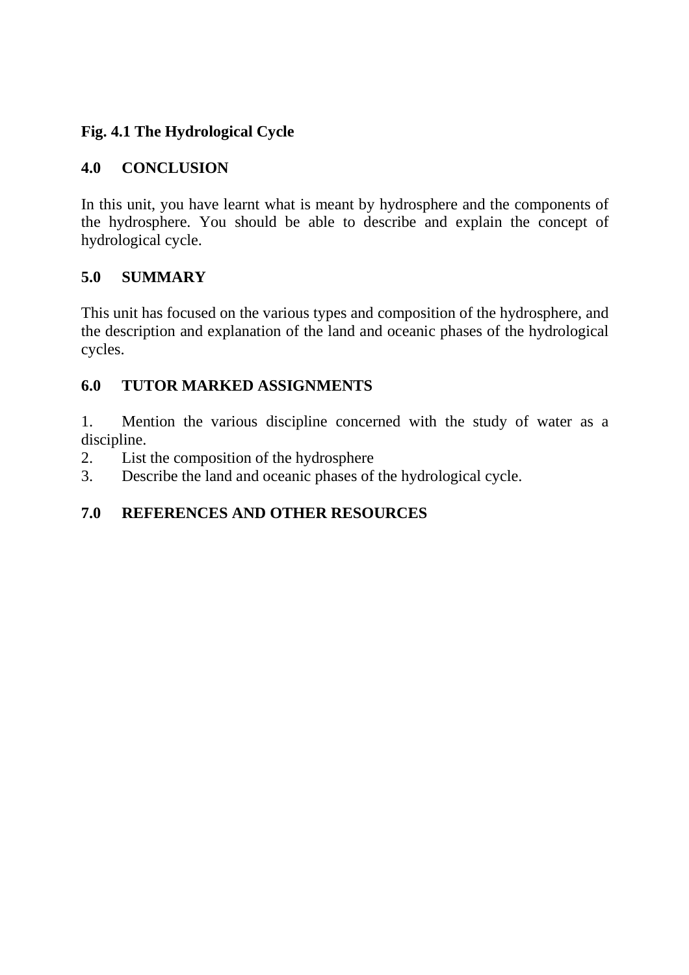# **Fig. 4.1 The Hydrological Cycle**

# **4.0 CONCLUSION**

In this unit, you have learnt what is meant by hydrosphere and the components of the hydrosphere. You should be able to describe and explain the concept of hydrological cycle.

## **5.0 SUMMARY**

This unit has focused on the various types and composition of the hydrosphere, and the description and explanation of the land and oceanic phases of the hydrological cycles.

## **6.0 TUTOR MARKED ASSIGNMENTS**

1. Mention the various discipline concerned with the study of water as a discipline.

- 2. List the composition of the hydrosphere
- 3. Describe the land and oceanic phases of the hydrological cycle.

# **7.0 REFERENCES AND OTHER RESOURCES**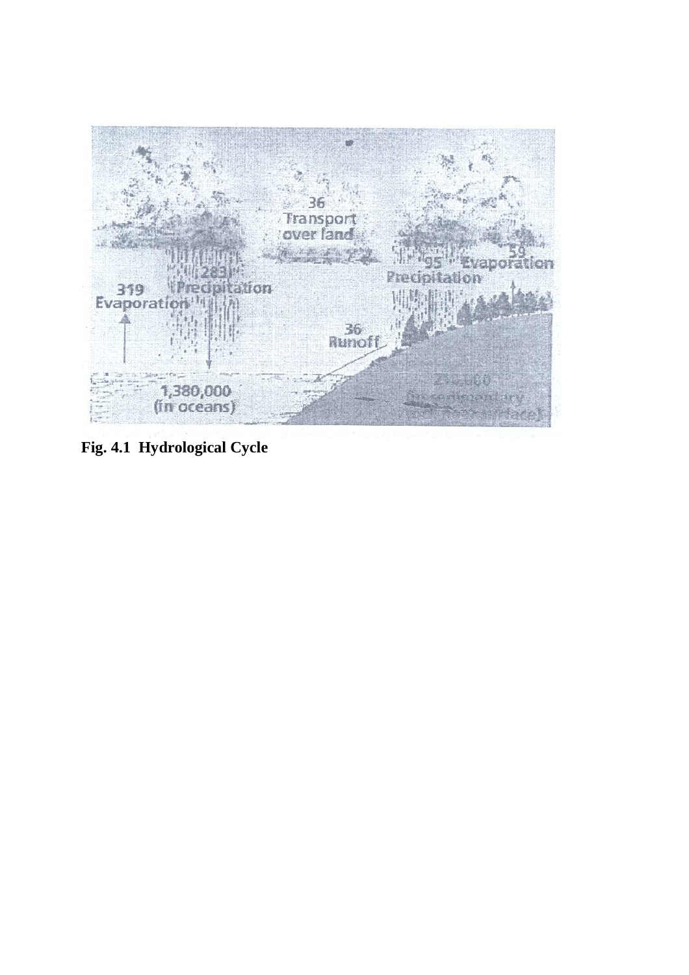

**Fig. 4.1 Hydrological Cycle**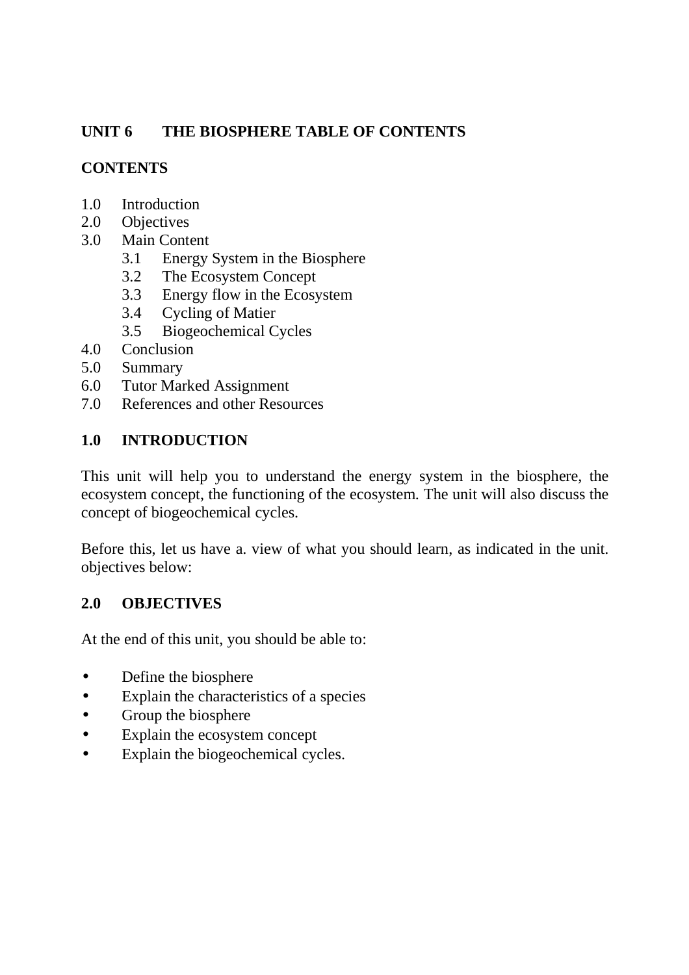# **UNIT 6 THE BIOSPHERE TABLE OF CONTENTS**

# **CONTENTS**

- 1.0 Introduction
- 2.0 Objectives
- 3.0 Main Content
	- 3.1 Energy System in the Biosphere
	- 3.2 The Ecosystem Concept
	- 3.3 Energy flow in the Ecosystem
	- 3.4 Cycling of Matier
	- 3.5 Biogeochemical Cycles
- 4.0 Conclusion
- 5.0 Summary
- 6.0 Tutor Marked Assignment
- 7.0 References and other Resources

## **1.0 INTRODUCTION**

This unit will help you to understand the energy system in the biosphere, the ecosystem concept, the functioning of the ecosystem. The unit will also discuss the concept of biogeochemical cycles.

Before this, let us have a. view of what you should learn, as indicated in the unit. objectives below:

## **2.0 OBJECTIVES**

At the end of this unit, you should be able to:

- Define the biosphere
- Explain the characteristics of a species
- Group the biosphere
- Explain the ecosystem concept
- Explain the biogeochemical cycles.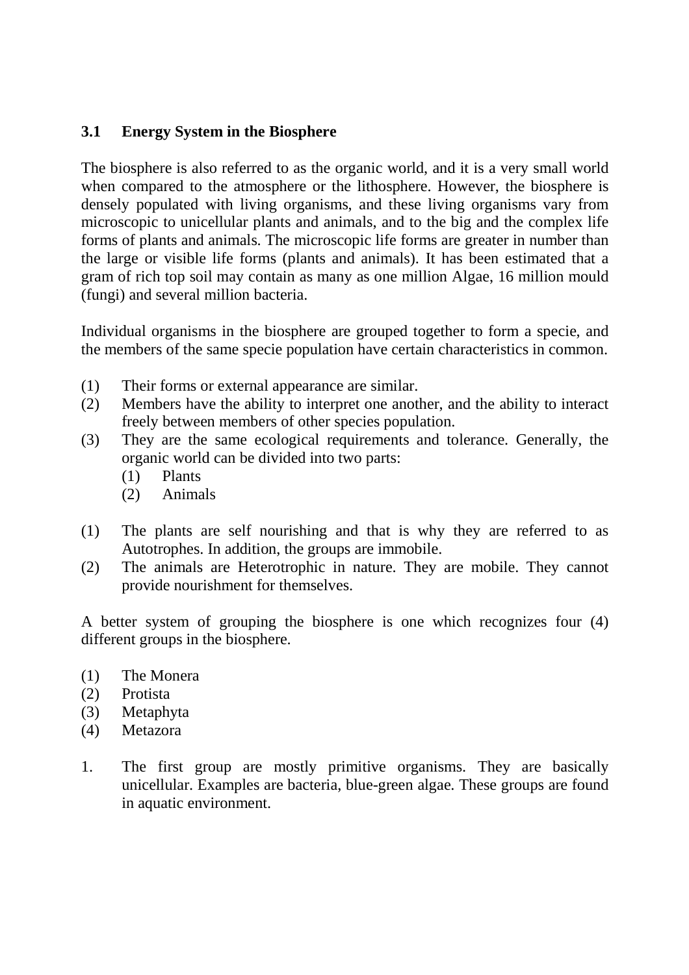#### **3.1 Energy System in the Biosphere**

The biosphere is also referred to as the organic world, and it is a very small world when compared to the atmosphere or the lithosphere. However, the biosphere is densely populated with living organisms, and these living organisms vary from microscopic to unicellular plants and animals, and to the big and the complex life forms of plants and animals. The microscopic life forms are greater in number than the large or visible life forms (plants and animals). It has been estimated that a gram of rich top soil may contain as many as one million Algae, 16 million mould (fungi) and several million bacteria.

Individual organisms in the biosphere are grouped together to form a specie, and the members of the same specie population have certain characteristics in common.

- (1) Their forms or external appearance are similar.
- (2) Members have the ability to interpret one another, and the ability to interact freely between members of other species population.
- (3) They are the same ecological requirements and tolerance. Generally, the organic world can be divided into two parts:
	- (1) Plants
	- (2) Animals
- (1) The plants are self nourishing and that is why they are referred to as Autotrophes. In addition, the groups are immobile.
- (2) The animals are Heterotrophic in nature. They are mobile. They cannot provide nourishment for themselves.

A better system of grouping the biosphere is one which recognizes four (4) different groups in the biosphere.

- (1) The Monera
- (2) Protista
- (3) Metaphyta
- (4) Metazora
- 1. The first group are mostly primitive organisms. They are basically unicellular. Examples are bacteria, blue-green algae. These groups are found in aquatic environment.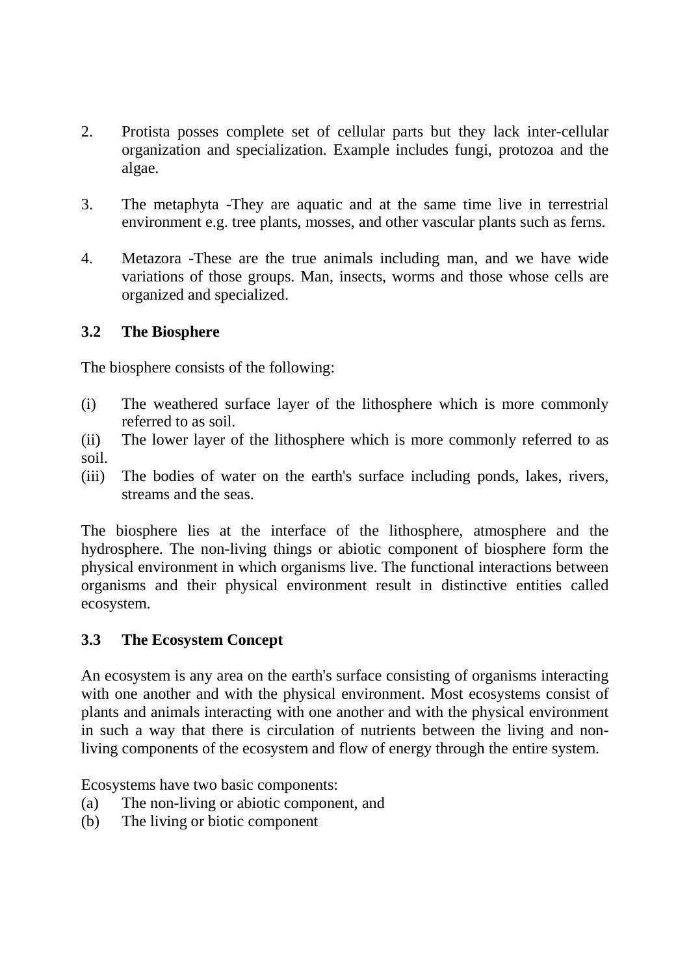- 2. Protista posses complete set of cellular parts but they lack inter-cellular organization and specialization. Example includes fungi, protozoa and the algae.
- 3. The metaphyta -They are aquatic and at the same time live in terrestrial environment e.g. tree plants, mosses, and other vascular plants such as ferns.
- 4. Metazora -These are the true animals including man, and we have wide variations of those groups. Man, insects, worms and those whose cells are organized and specialized.

## **3.2 The Biosphere**

The biosphere consists of the following:

- (i) The weathered surface layer of the lithosphere which is more commonly referred to as soil.
- (ii) The lower layer of the lithosphere which is more commonly referred to as soil.
- (iii) The bodies of water on the earth's surface including ponds, lakes, rivers, streams and the seas.

The biosphere lies at the interface of the lithosphere, atmosphere and the hydrosphere. The non-living things or abiotic component of biosphere form the physical environment in which organisms live. The functional interactions between organisms and their physical environment result in distinctive entities called ecosystem.

# **3.3 The Ecosystem Concept**

An ecosystem is any area on the earth's surface consisting of organisms interacting with one another and with the physical environment. Most ecosystems consist of plants and animals interacting with one another and with the physical environment in such a way that there is circulation of nutrients between the living and nonliving components of the ecosystem and flow of energy through the entire system.

Ecosystems have two basic components:

- (a) The non-living or abiotic component, and
- (b) The living or biotic component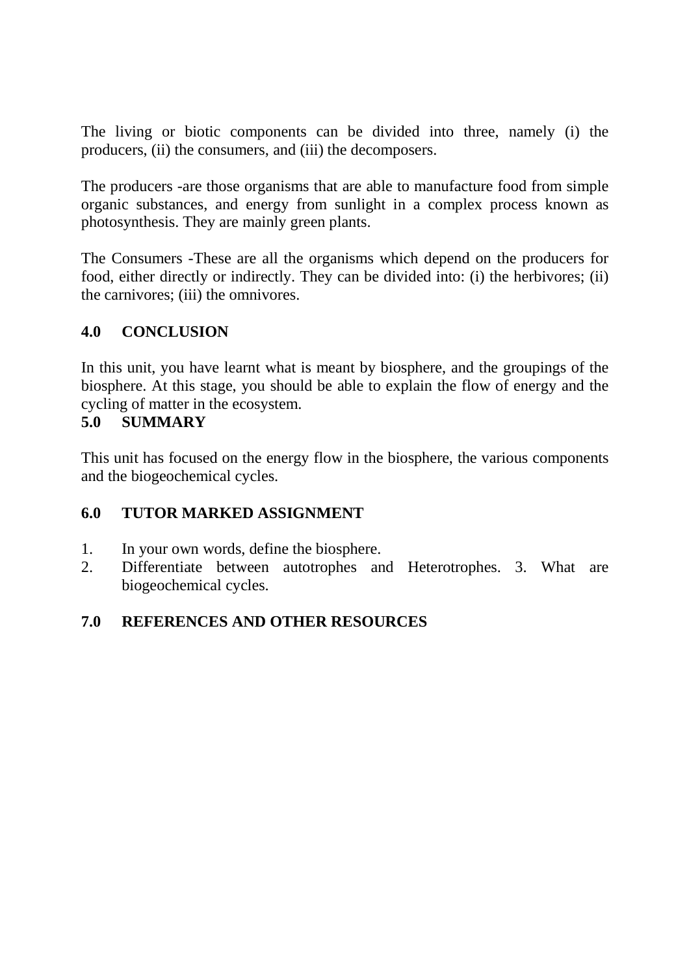The living or biotic components can be divided into three, namely (i) the producers, (ii) the consumers, and (iii) the decomposers.

The producers -are those organisms that are able to manufacture food from simple organic substances, and energy from sunlight in a complex process known as photosynthesis. They are mainly green plants.

The Consumers -These are all the organisms which depend on the producers for food, either directly or indirectly. They can be divided into: (i) the herbivores; (ii) the carnivores; (iii) the omnivores.

## **4.0 CONCLUSION**

In this unit, you have learnt what is meant by biosphere, and the groupings of the biosphere. At this stage, you should be able to explain the flow of energy and the cycling of matter in the ecosystem.

## **5.0 SUMMARY**

This unit has focused on the energy flow in the biosphere, the various components and the biogeochemical cycles.

## **6.0 TUTOR MARKED ASSIGNMENT**

- 1. In your own words, define the biosphere.
- 2. Differentiate between autotrophes and Heterotrophes. 3. What are biogeochemical cycles.

# **7.0 REFERENCES AND OTHER RESOURCES**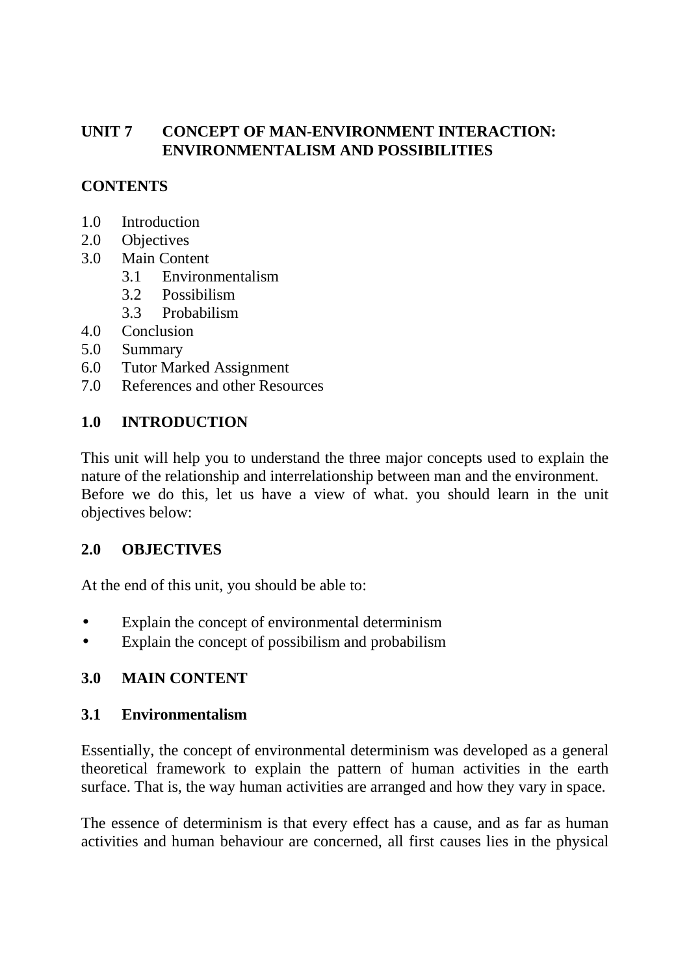## **UNIT 7 CONCEPT OF MAN-ENVIRONMENT INTERACTION: ENVIRONMENTALISM AND POSSIBILITIES**

## **CONTENTS**

- 1.0 Introduction
- 2.0 Objectives
- 3.0 Main Content
	- 3.1 Environmentalism
	- 3.2 Possibilism
	- 3.3 Probabilism
- 4.0 Conclusion
- 5.0 Summary
- 6.0 Tutor Marked Assignment
- 7.0 References and other Resources

# **1.0 INTRODUCTION**

This unit will help you to understand the three major concepts used to explain the nature of the relationship and interrelationship between man and the environment. Before we do this, let us have a view of what. you should learn in the unit objectives below:

# **2.0 OBJECTIVES**

At the end of this unit, you should be able to:

- Explain the concept of environmental determinism
- Explain the concept of possibilism and probabilism

# **3.0 MAIN CONTENT**

## **3.1 Environmentalism**

Essentially, the concept of environmental determinism was developed as a general theoretical framework to explain the pattern of human activities in the earth surface. That is, the way human activities are arranged and how they vary in space.

The essence of determinism is that every effect has a cause, and as far as human activities and human behaviour are concerned, all first causes lies in the physical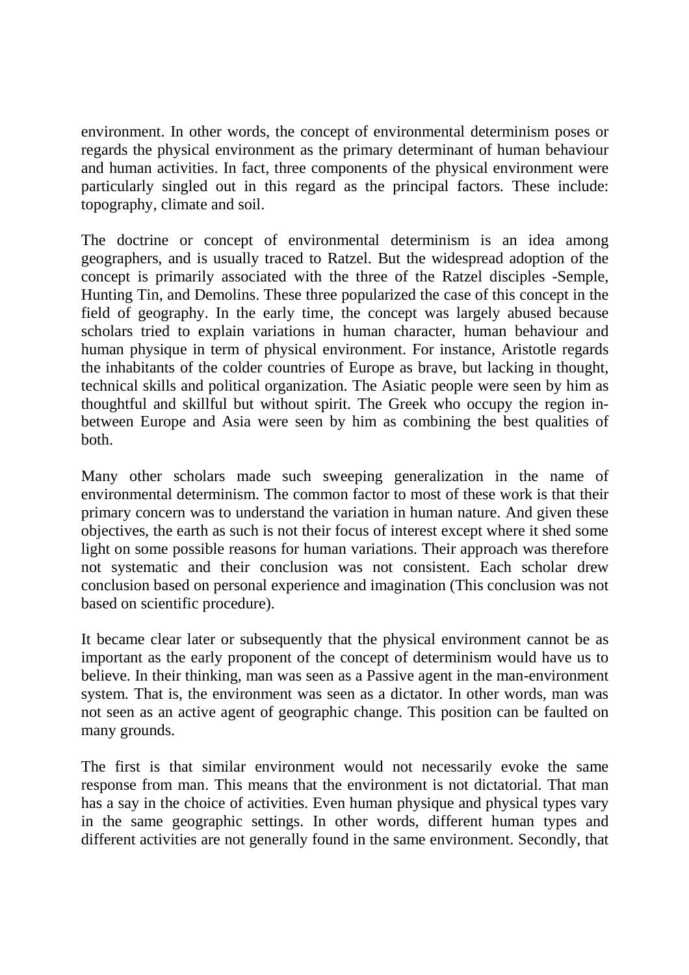environment. In other words, the concept of environmental determinism poses or regards the physical environment as the primary determinant of human behaviour and human activities. In fact, three components of the physical environment were particularly singled out in this regard as the principal factors. These include: topography, climate and soil.

The doctrine or concept of environmental determinism is an idea among geographers, and is usually traced to Ratzel. But the widespread adoption of the concept is primarily associated with the three of the Ratzel disciples -Semple, Hunting Tin, and Demolins. These three popularized the case of this concept in the field of geography. In the early time, the concept was largely abused because scholars tried to explain variations in human character, human behaviour and human physique in term of physical environment. For instance, Aristotle regards the inhabitants of the colder countries of Europe as brave, but lacking in thought, technical skills and political organization. The Asiatic people were seen by him as thoughtful and skillful but without spirit. The Greek who occupy the region inbetween Europe and Asia were seen by him as combining the best qualities of both.

Many other scholars made such sweeping generalization in the name of environmental determinism. The common factor to most of these work is that their primary concern was to understand the variation in human nature. And given these objectives, the earth as such is not their focus of interest except where it shed some light on some possible reasons for human variations. Their approach was therefore not systematic and their conclusion was not consistent. Each scholar drew conclusion based on personal experience and imagination (This conclusion was not based on scientific procedure).

It became clear later or subsequently that the physical environment cannot be as important as the early proponent of the concept of determinism would have us to believe. In their thinking, man was seen as a Passive agent in the man-environment system. That is, the environment was seen as a dictator. In other words, man was not seen as an active agent of geographic change. This position can be faulted on many grounds.

The first is that similar environment would not necessarily evoke the same response from man. This means that the environment is not dictatorial. That man has a say in the choice of activities. Even human physique and physical types vary in the same geographic settings. In other words, different human types and different activities are not generally found in the same environment. Secondly, that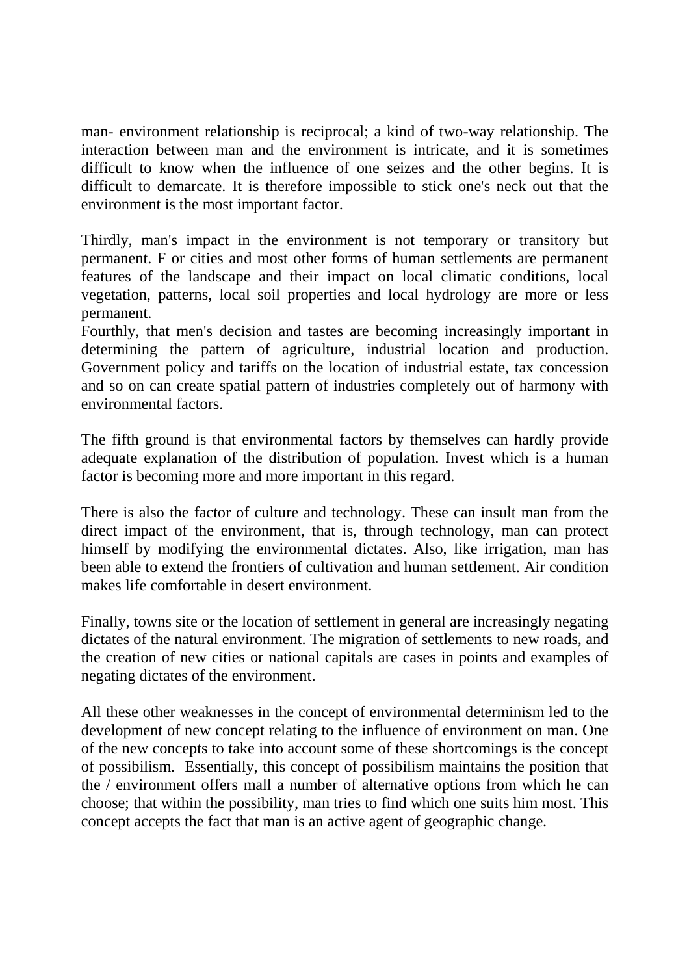man- environment relationship is reciprocal; a kind of two-way relationship. The interaction between man and the environment is intricate, and it is sometimes difficult to know when the influence of one seizes and the other begins. It is difficult to demarcate. It is therefore impossible to stick one's neck out that the environment is the most important factor.

Thirdly, man's impact in the environment is not temporary or transitory but permanent. F or cities and most other forms of human settlements are permanent features of the landscape and their impact on local climatic conditions, local vegetation, patterns, local soil properties and local hydrology are more or less permanent.

Fourthly, that men's decision and tastes are becoming increasingly important in determining the pattern of agriculture, industrial location and production. Government policy and tariffs on the location of industrial estate, tax concession and so on can create spatial pattern of industries completely out of harmony with environmental factors.

The fifth ground is that environmental factors by themselves can hardly provide adequate explanation of the distribution of population. Invest which is a human factor is becoming more and more important in this regard.

There is also the factor of culture and technology. These can insult man from the direct impact of the environment, that is, through technology, man can protect himself by modifying the environmental dictates. Also, like irrigation, man has been able to extend the frontiers of cultivation and human settlement. Air condition makes life comfortable in desert environment.

Finally, towns site or the location of settlement in general are increasingly negating dictates of the natural environment. The migration of settlements to new roads, and the creation of new cities or national capitals are cases in points and examples of negating dictates of the environment.

All these other weaknesses in the concept of environmental determinism led to the development of new concept relating to the influence of environment on man. One of the new concepts to take into account some of these shortcomings is the concept of possibilism. Essentially, this concept of possibilism maintains the position that the / environment offers mall a number of alternative options from which he can choose; that within the possibility, man tries to find which one suits him most. This concept accepts the fact that man is an active agent of geographic change.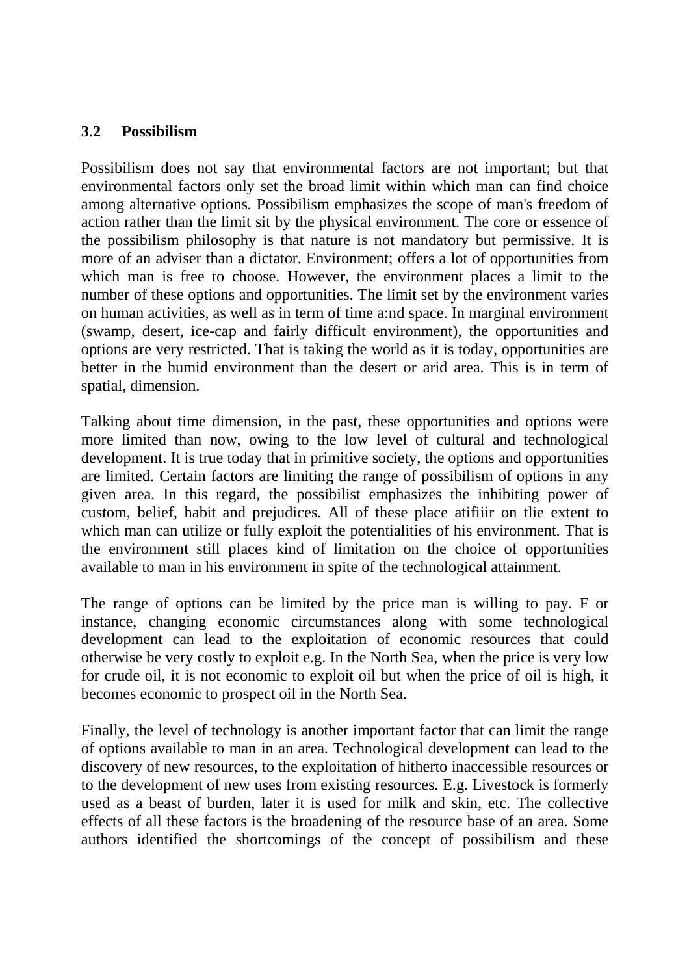#### **3.2 Possibilism**

Possibilism does not say that environmental factors are not important; but that environmental factors only set the broad limit within which man can find choice among alternative options. Possibilism emphasizes the scope of man's freedom of action rather than the limit sit by the physical environment. The core or essence of the possibilism philosophy is that nature is not mandatory but permissive. It is more of an adviser than a dictator. Environment; offers a lot of opportunities from which man is free to choose. However, the environment places a limit to the number of these options and opportunities. The limit set by the environment varies on human activities, as well as in term of time a:nd space. In marginal environment (swamp, desert, ice-cap and fairly difficult environment), the opportunities and options are very restricted. That is taking the world as it is today, opportunities are better in the humid environment than the desert or arid area. This is in term of spatial, dimension.

Talking about time dimension, in the past, these opportunities and options were more limited than now, owing to the low level of cultural and technological development. It is true today that in primitive society, the options and opportunities are limited. Certain factors are limiting the range of possibilism of options in any given area. In this regard, the possibilist emphasizes the inhibiting power of custom, belief, habit and prejudices. All of these place atifiiir on tlie extent to which man can utilize or fully exploit the potentialities of his environment. That is the environment still places kind of limitation on the choice of opportunities available to man in his environment in spite of the technological attainment.

The range of options can be limited by the price man is willing to pay. F or instance, changing economic circumstances along with some technological development can lead to the exploitation of economic resources that could otherwise be very costly to exploit e.g. In the North Sea, when the price is very low for crude oil, it is not economic to exploit oil but when the price of oil is high, it becomes economic to prospect oil in the North Sea.

Finally, the level of technology is another important factor that can limit the range of options available to man in an area. Technological development can lead to the discovery of new resources, to the exploitation of hitherto inaccessible resources or to the development of new uses from existing resources. E.g. Livestock is formerly used as a beast of burden, later it is used for milk and skin, etc. The collective effects of all these factors is the broadening of the resource base of an area. Some authors identified the shortcomings of the concept of possibilism and these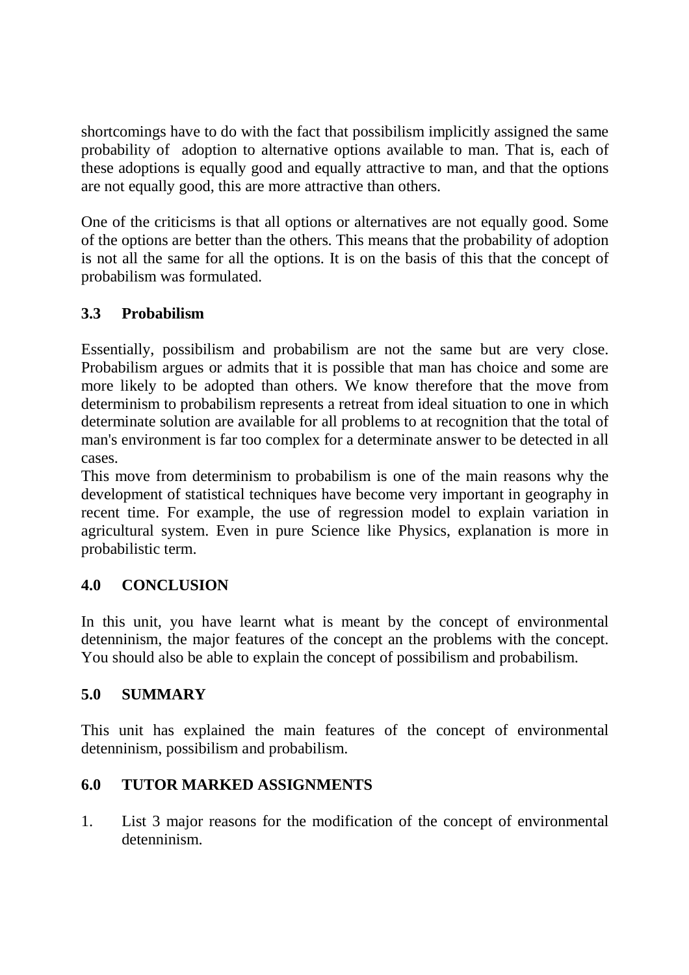shortcomings have to do with the fact that possibilism implicitly assigned the same probability of adoption to alternative options available to man. That is, each of these adoptions is equally good and equally attractive to man, and that the options are not equally good, this are more attractive than others.

One of the criticisms is that all options or alternatives are not equally good. Some of the options are better than the others. This means that the probability of adoption is not all the same for all the options. It is on the basis of this that the concept of probabilism was formulated.

# **3.3 Probabilism**

Essentially, possibilism and probabilism are not the same but are very close. Probabilism argues or admits that it is possible that man has choice and some are more likely to be adopted than others. We know therefore that the move from determinism to probabilism represents a retreat from ideal situation to one in which determinate solution are available for all problems to at recognition that the total of man's environment is far too complex for a determinate answer to be detected in all cases.

This move from determinism to probabilism is one of the main reasons why the development of statistical techniques have become very important in geography in recent time. For example, the use of regression model to explain variation in agricultural system. Even in pure Science like Physics, explanation is more in probabilistic term.

# **4.0 CONCLUSION**

In this unit, you have learnt what is meant by the concept of environmental detenninism, the major features of the concept an the problems with the concept. You should also be able to explain the concept of possibilism and probabilism.

# **5.0 SUMMARY**

This unit has explained the main features of the concept of environmental detenninism, possibilism and probabilism.

# **6.0 TUTOR MARKED ASSIGNMENTS**

1. List 3 major reasons for the modification of the concept of environmental detenninism.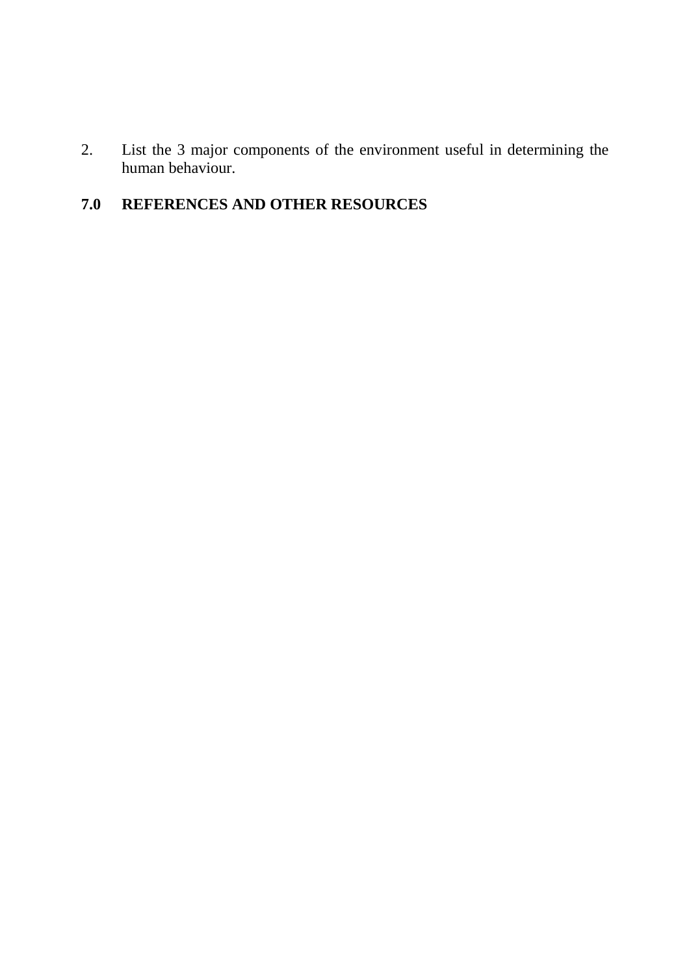2. List the 3 major components of the environment useful in determining the human behaviour.

# **7.0 REFERENCES AND OTHER RESOURCES**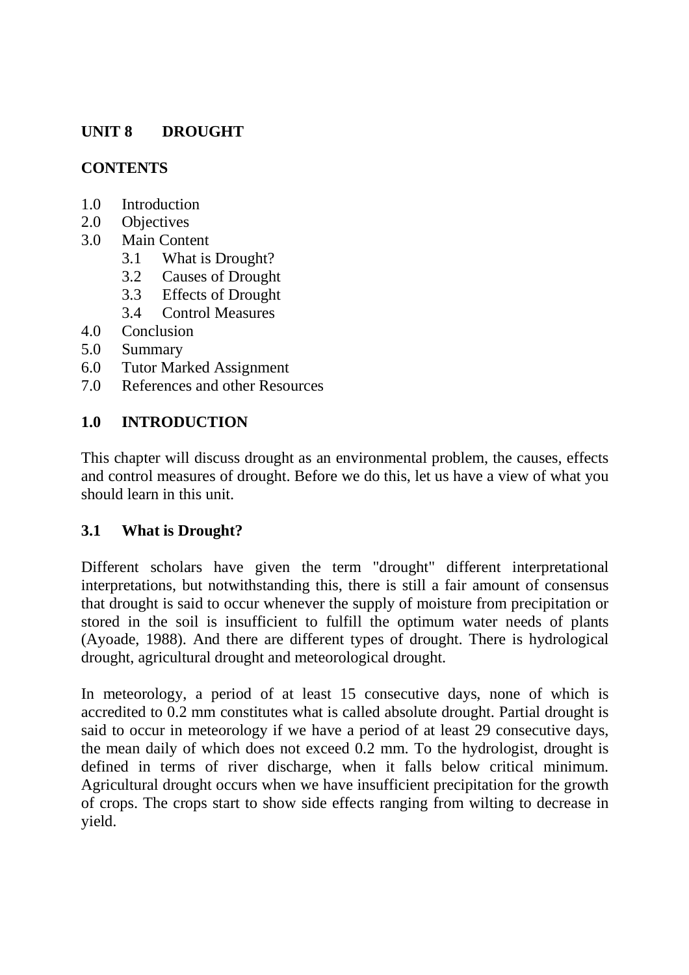# **UNIT 8 DROUGHT**

### **CONTENTS**

- 1.0 Introduction
- 2.0 Objectives
- 3.0 Main Content
	- 3.1 What is Drought?
	- 3.2 Causes of Drought
	- 3.3 Effects of Drought
	- 3.4 Control Measures
- 4.0 Conclusion
- 5.0 Summary
- 6.0 Tutor Marked Assignment
- 7.0 References and other Resources

### **1.0 INTRODUCTION**

This chapter will discuss drought as an environmental problem, the causes, effects and control measures of drought. Before we do this, let us have a view of what you should learn in this unit.

# **3.1 What is Drought?**

Different scholars have given the term "drought" different interpretational interpretations, but notwithstanding this, there is still a fair amount of consensus that drought is said to occur whenever the supply of moisture from precipitation or stored in the soil is insufficient to fulfill the optimum water needs of plants (Ayoade, 1988). And there are different types of drought. There is hydrological drought, agricultural drought and meteorological drought.

In meteorology, a period of at least 15 consecutive days, none of which is accredited to 0.2 mm constitutes what is called absolute drought. Partial drought is said to occur in meteorology if we have a period of at least 29 consecutive days, the mean daily of which does not exceed 0.2 mm. To the hydrologist, drought is defined in terms of river discharge, when it falls below critical minimum. Agricultural drought occurs when we have insufficient precipitation for the growth of crops. The crops start to show side effects ranging from wilting to decrease in yield.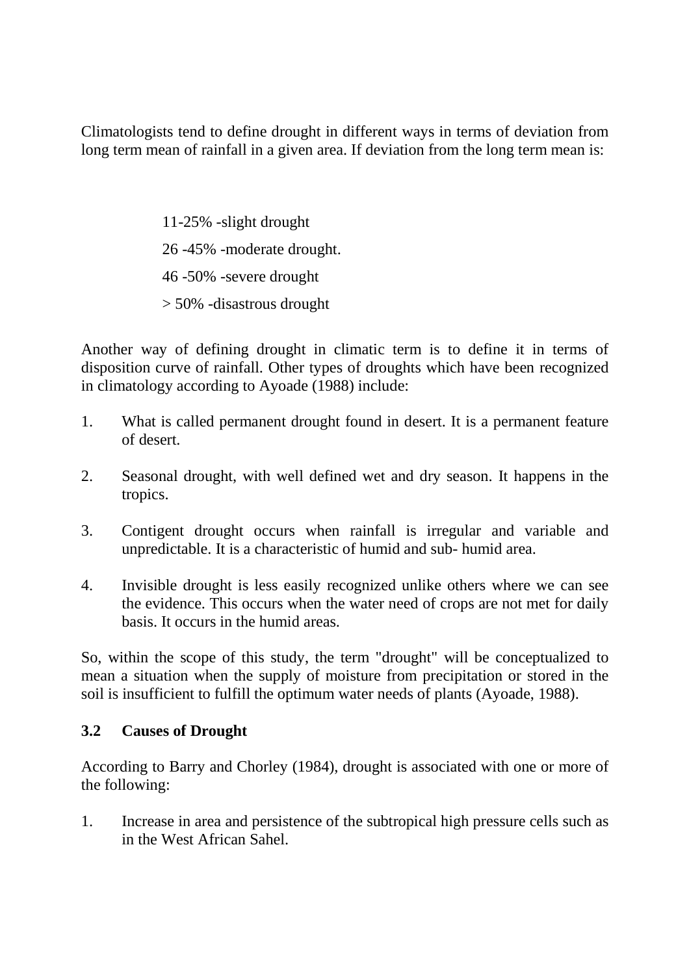Climatologists tend to define drought in different ways in terms of deviation from long term mean of rainfall in a given area. If deviation from the long term mean is:

> 11-25% -slight drought 26 -45% -moderate drought. 46 -50% -severe drought > 50% -disastrous drought

Another way of defining drought in climatic term is to define it in terms of disposition curve of rainfall. Other types of droughts which have been recognized in climatology according to Ayoade (1988) include:

- 1. What is called permanent drought found in desert. It is a permanent feature of desert.
- 2. Seasonal drought, with well defined wet and dry season. It happens in the tropics.
- 3. Contigent drought occurs when rainfall is irregular and variable and unpredictable. It is a characteristic of humid and sub- humid area.
- 4. Invisible drought is less easily recognized unlike others where we can see the evidence. This occurs when the water need of crops are not met for daily basis. It occurs in the humid areas.

So, within the scope of this study, the term "drought" will be conceptualized to mean a situation when the supply of moisture from precipitation or stored in the soil is insufficient to fulfill the optimum water needs of plants (Ayoade, 1988).

#### **3.2 Causes of Drought**

According to Barry and Chorley (1984), drought is associated with one or more of the following:

1. Increase in area and persistence of the subtropical high pressure cells such as in the West African Sahel.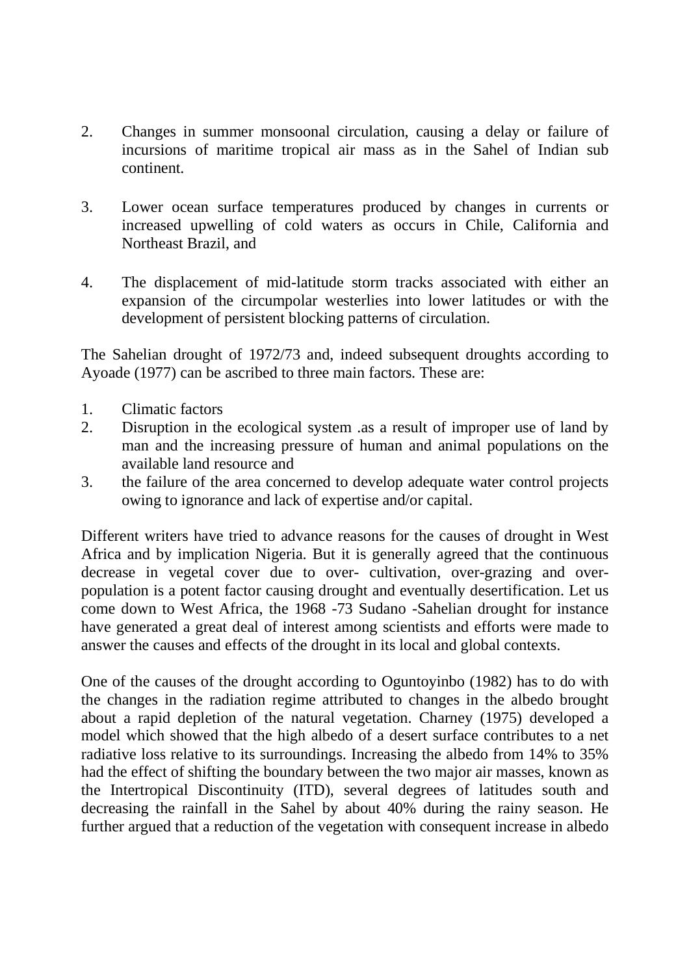- 2. Changes in summer monsoonal circulation, causing a delay or failure of incursions of maritime tropical air mass as in the Sahel of Indian sub continent.
- 3. Lower ocean surface temperatures produced by changes in currents or increased upwelling of cold waters as occurs in Chile, California and Northeast Brazil, and
- 4. The displacement of mid-latitude storm tracks associated with either an expansion of the circumpolar westerlies into lower latitudes or with the development of persistent blocking patterns of circulation.

The Sahelian drought of 1972/73 and, indeed subsequent droughts according to Ayoade (1977) can be ascribed to three main factors. These are:

- 1. Climatic factors
- 2. Disruption in the ecological system .as a result of improper use of land by man and the increasing pressure of human and animal populations on the available land resource and
- 3. the failure of the area concerned to develop adequate water control projects owing to ignorance and lack of expertise and/or capital.

Different writers have tried to advance reasons for the causes of drought in West Africa and by implication Nigeria. But it is generally agreed that the continuous decrease in vegetal cover due to over- cultivation, over-grazing and overpopulation is a potent factor causing drought and eventually desertification. Let us come down to West Africa, the 1968 -73 Sudano -Sahelian drought for instance have generated a great deal of interest among scientists and efforts were made to answer the causes and effects of the drought in its local and global contexts.

One of the causes of the drought according to Oguntoyinbo (1982) has to do with the changes in the radiation regime attributed to changes in the albedo brought about a rapid depletion of the natural vegetation. Charney (1975) developed a model which showed that the high albedo of a desert surface contributes to a net radiative loss relative to its surroundings. Increasing the albedo from 14% to 35% had the effect of shifting the boundary between the two major air masses, known as the Intertropical Discontinuity (ITD), several degrees of latitudes south and decreasing the rainfall in the Sahel by about 40% during the rainy season. He further argued that a reduction of the vegetation with consequent increase in albedo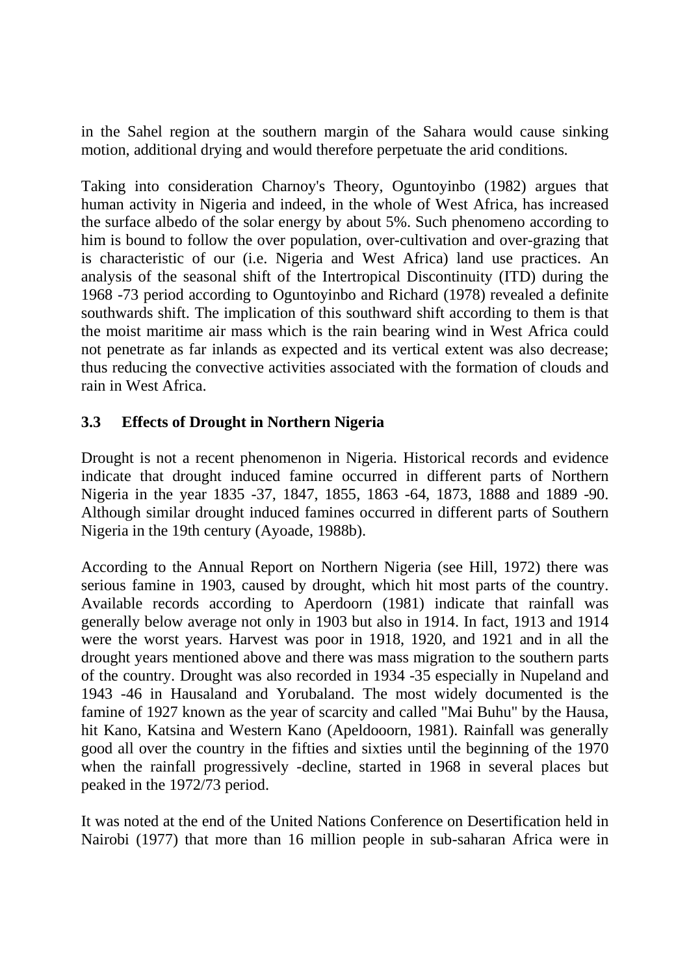in the Sahel region at the southern margin of the Sahara would cause sinking motion, additional drying and would therefore perpetuate the arid conditions.

Taking into consideration Charnoy's Theory, Oguntoyinbo (1982) argues that human activity in Nigeria and indeed, in the whole of West Africa, has increased the surface albedo of the solar energy by about 5%. Such phenomeno according to him is bound to follow the over population, over-cultivation and over-grazing that is characteristic of our (i.e. Nigeria and West Africa) land use practices. An analysis of the seasonal shift of the Intertropical Discontinuity (ITD) during the 1968 -73 period according to Oguntoyinbo and Richard (1978) revealed a definite southwards shift. The implication of this southward shift according to them is that the moist maritime air mass which is the rain bearing wind in West Africa could not penetrate as far inlands as expected and its vertical extent was also decrease; thus reducing the convective activities associated with the formation of clouds and rain in West Africa.

### **3.3 Effects of Drought in Northern Nigeria**

Drought is not a recent phenomenon in Nigeria. Historical records and evidence indicate that drought induced famine occurred in different parts of Northern Nigeria in the year 1835 -37, 1847, 1855, 1863 -64, 1873, 1888 and 1889 -90. Although similar drought induced famines occurred in different parts of Southern Nigeria in the 19th century (Ayoade, 1988b).

According to the Annual Report on Northern Nigeria (see Hill, 1972) there was serious famine in 1903, caused by drought, which hit most parts of the country. Available records according to Aperdoorn (1981) indicate that rainfall was generally below average not only in 1903 but also in 1914. In fact, 1913 and 1914 were the worst years. Harvest was poor in 1918, 1920, and 1921 and in all the drought years mentioned above and there was mass migration to the southern parts of the country. Drought was also recorded in 1934 -35 especially in Nupeland and 1943 -46 in Hausaland and Yorubaland. The most widely documented is the famine of 1927 known as the year of scarcity and called "Mai Buhu" by the Hausa, hit Kano, Katsina and Western Kano (Apeldooorn, 1981). Rainfall was generally good all over the country in the fifties and sixties until the beginning of the 1970 when the rainfall progressively -decline, started in 1968 in several places but peaked in the 1972/73 period.

It was noted at the end of the United Nations Conference on Desertification held in Nairobi (1977) that more than 16 million people in sub-saharan Africa were in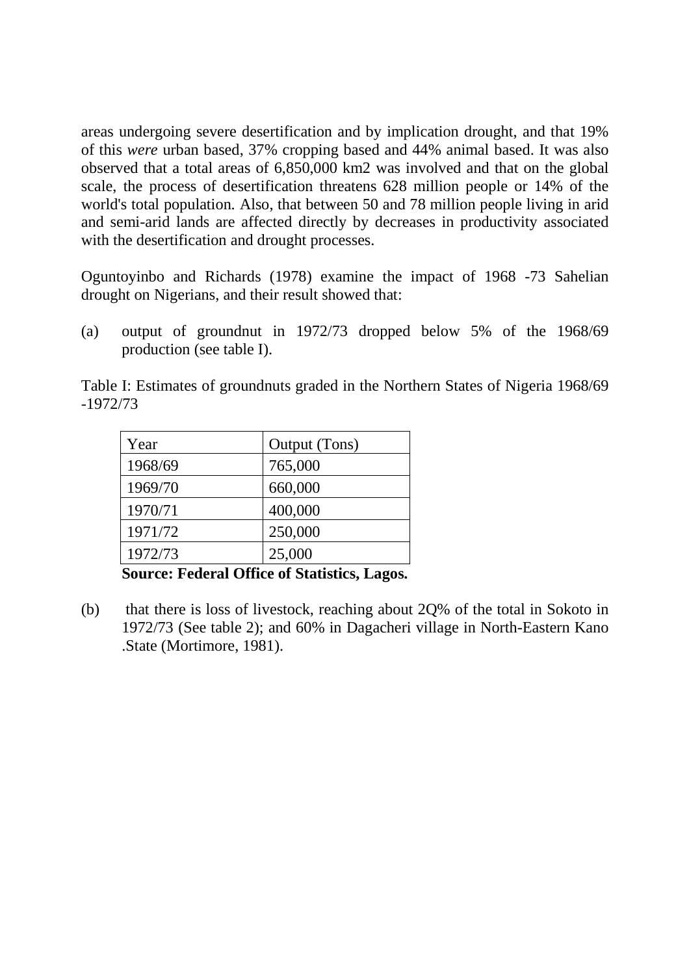areas undergoing severe desertification and by implication drought, and that 19% of this *were* urban based, 37% cropping based and 44% animal based. It was also observed that a total areas of 6,850,000 km2 was involved and that on the global scale, the process of desertification threatens 628 million people or 14% of the world's total population. Also, that between 50 and 78 million people living in arid and semi-arid lands are affected directly by decreases in productivity associated with the desertification and drought processes.

Oguntoyinbo and Richards (1978) examine the impact of 1968 -73 Sahelian drought on Nigerians, and their result showed that:

(a) output of groundnut in 1972/73 dropped below 5% of the 1968/69 production (see table I).

Table I: Estimates of groundnuts graded in the Northern States of Nigeria 1968/69 -1972/73

| Year    | Output (Tons) |
|---------|---------------|
| 1968/69 | 765,000       |
| 1969/70 | 660,000       |
| 1970/71 | 400,000       |
| 1971/72 | 250,000       |
| 1972/73 | 25,000        |

**Source: Federal Office of Statistics, Lagos.** 

(b) that there is loss of livestock, reaching about 2Q% of the total in Sokoto in 1972/73 (See table 2); and 60% in Dagacheri village in North-Eastern Kano .State (Mortimore, 1981).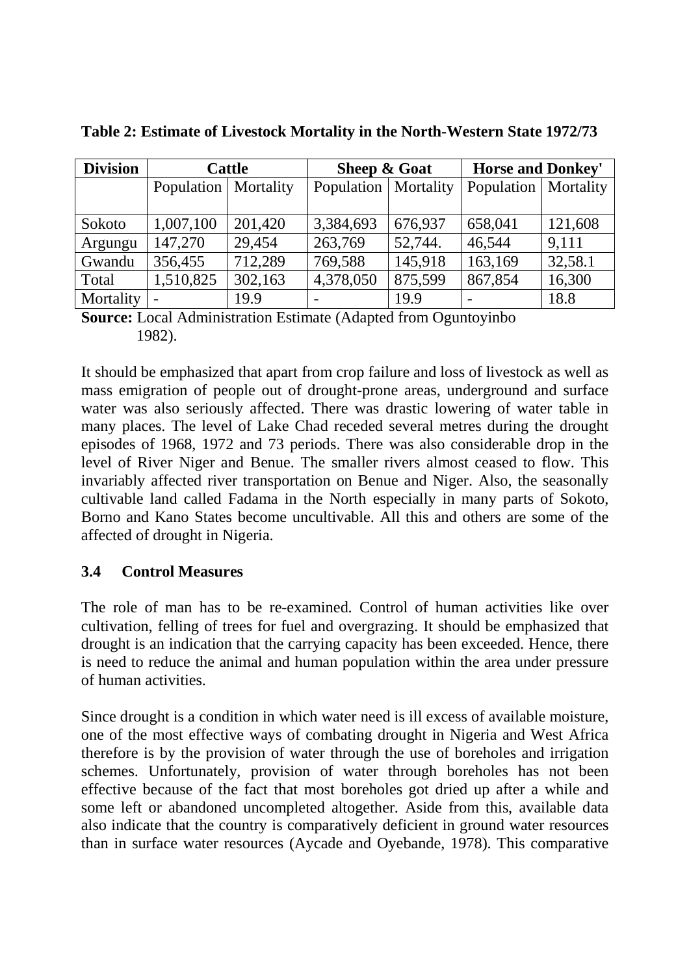| <b>Division</b> | <b>Cattle</b>            |         | <b>Sheep &amp; Goat</b> |         | <b>Horse and Donkey'</b> |           |
|-----------------|--------------------------|---------|-------------------------|---------|--------------------------|-----------|
|                 | Population   Mortality   |         | Population   Mortality  |         | Population               | Mortality |
|                 |                          |         |                         |         |                          |           |
| Sokoto          | 1,007,100                | 201,420 | 3,384,693               | 676,937 | 658,041                  | 121,608   |
| Argungu         | 147,270                  | 29,454  | 263,769                 | 52,744. | 46,544                   | 9,111     |
| Gwandu          | 356,455                  | 712,289 | 769,588                 | 145,918 | 163,169                  | 32,58.1   |
| Total           | 1,510,825                | 302,163 | 4,378,050               | 875,599 | 867,854                  | 16,300    |
| Mortality       | $\overline{\phantom{0}}$ | 19.9    |                         | 19.9    |                          | 18.8      |

**Table 2: Estimate of Livestock Mortality in the North-Western State 1972/73** 

**Source:** Local Administration Estimate (Adapted from Oguntoyinbo 1982).

It should be emphasized that apart from crop failure and loss of livestock as well as mass emigration of people out of drought-prone areas, underground and surface water was also seriously affected. There was drastic lowering of water table in many places. The level of Lake Chad receded several metres during the drought episodes of 1968, 1972 and 73 periods. There was also considerable drop in the level of River Niger and Benue. The smaller rivers almost ceased to flow. This invariably affected river transportation on Benue and Niger. Also, the seasonally cultivable land called Fadama in the North especially in many parts of Sokoto, Borno and Kano States become uncultivable. All this and others are some of the affected of drought in Nigeria.

#### **3.4 Control Measures**

The role of man has to be re-examined. Control of human activities like over cultivation, felling of trees for fuel and overgrazing. It should be emphasized that drought is an indication that the carrying capacity has been exceeded. Hence, there is need to reduce the animal and human population within the area under pressure of human activities.

Since drought is a condition in which water need is ill excess of available moisture, one of the most effective ways of combating drought in Nigeria and West Africa therefore is by the provision of water through the use of boreholes and irrigation schemes. Unfortunately, provision of water through boreholes has not been effective because of the fact that most boreholes got dried up after a while and some left or abandoned uncompleted altogether. Aside from this, available data also indicate that the country is comparatively deficient in ground water resources than in surface water resources (Aycade and Oyebande, 1978). This comparative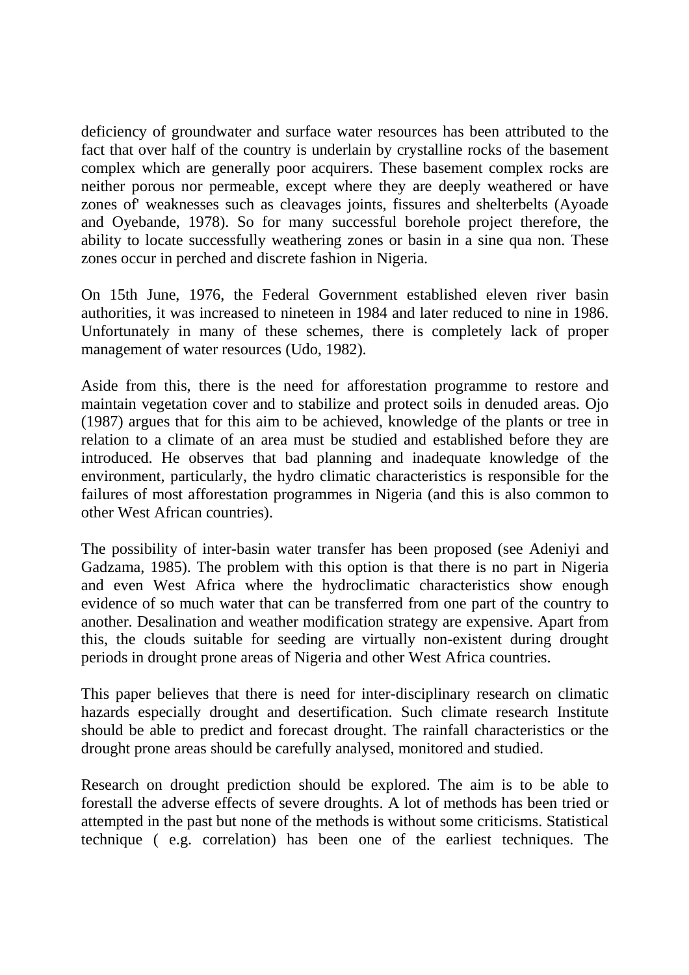deficiency of groundwater and surface water resources has been attributed to the fact that over half of the country is underlain by crystalline rocks of the basement complex which are generally poor acquirers. These basement complex rocks are neither porous nor permeable, except where they are deeply weathered or have zones of' weaknesses such as cleavages joints, fissures and shelterbelts (Ayoade and Oyebande, 1978). So for many successful borehole project therefore, the ability to locate successfully weathering zones or basin in a sine qua non. These zones occur in perched and discrete fashion in Nigeria.

On 15th June, 1976, the Federal Government established eleven river basin authorities, it was increased to nineteen in 1984 and later reduced to nine in 1986. Unfortunately in many of these schemes, there is completely lack of proper management of water resources (Udo, 1982).

Aside from this, there is the need for afforestation programme to restore and maintain vegetation cover and to stabilize and protect soils in denuded areas. Ojo (1987) argues that for this aim to be achieved, knowledge of the plants or tree in relation to a climate of an area must be studied and established before they are introduced. He observes that bad planning and inadequate knowledge of the environment, particularly, the hydro climatic characteristics is responsible for the failures of most afforestation programmes in Nigeria (and this is also common to other West African countries).

The possibility of inter-basin water transfer has been proposed (see Adeniyi and Gadzama, 1985). The problem with this option is that there is no part in Nigeria and even West Africa where the hydroclimatic characteristics show enough evidence of so much water that can be transferred from one part of the country to another. Desalination and weather modification strategy are expensive. Apart from this, the clouds suitable for seeding are virtually non-existent during drought periods in drought prone areas of Nigeria and other West Africa countries.

This paper believes that there is need for inter-disciplinary research on climatic hazards especially drought and desertification. Such climate research Institute should be able to predict and forecast drought. The rainfall characteristics or the drought prone areas should be carefully analysed, monitored and studied.

Research on drought prediction should be explored. The aim is to be able to forestall the adverse effects of severe droughts. A lot of methods has been tried or attempted in the past but none of the methods is without some criticisms. Statistical technique ( e.g. correlation) has been one of the earliest techniques. The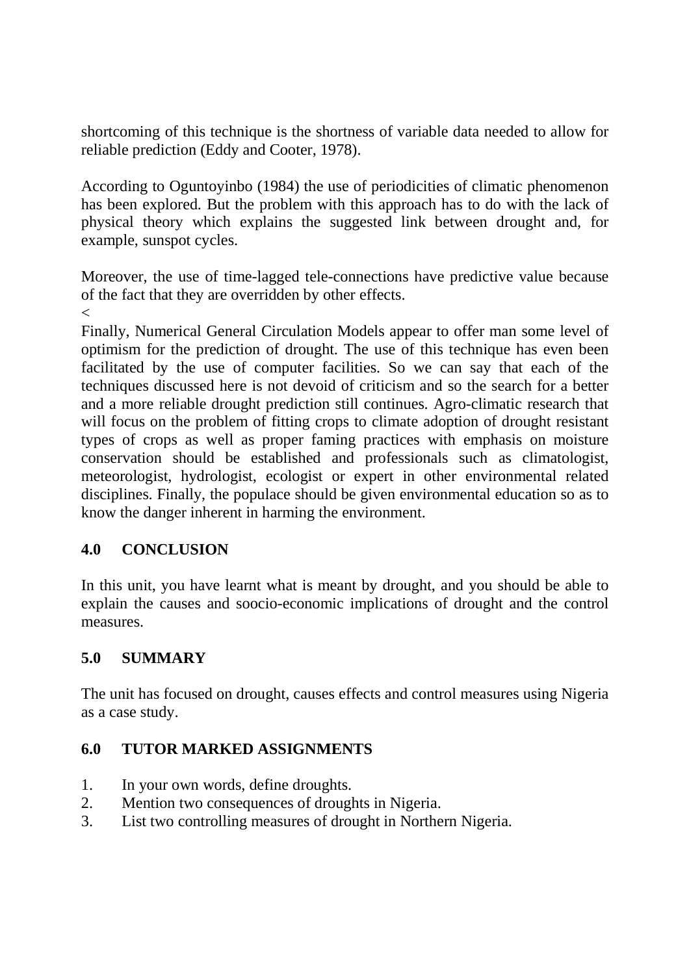shortcoming of this technique is the shortness of variable data needed to allow for reliable prediction (Eddy and Cooter, 1978).

According to Oguntoyinbo (1984) the use of periodicities of climatic phenomenon has been explored. But the problem with this approach has to do with the lack of physical theory which explains the suggested link between drought and, for example, sunspot cycles.

Moreover, the use of time-lagged tele-connections have predictive value because of the fact that they are overridden by other effects.

 $\lt$ 

Finally, Numerical General Circulation Models appear to offer man some level of optimism for the prediction of drought. The use of this technique has even been facilitated by the use of computer facilities. So we can say that each of the techniques discussed here is not devoid of criticism and so the search for a better and a more reliable drought prediction still continues. Agro-climatic research that will focus on the problem of fitting crops to climate adoption of drought resistant types of crops as well as proper faming practices with emphasis on moisture conservation should be established and professionals such as climatologist, meteorologist, hydrologist, ecologist or expert in other environmental related disciplines. Finally, the populace should be given environmental education so as to know the danger inherent in harming the environment.

# **4.0 CONCLUSION**

In this unit, you have learnt what is meant by drought, and you should be able to explain the causes and soocio-economic implications of drought and the control measures.

# **5.0 SUMMARY**

The unit has focused on drought, causes effects and control measures using Nigeria as a case study.

# **6.0 TUTOR MARKED ASSIGNMENTS**

- 1. In your own words, define droughts.
- 2. Mention two consequences of droughts in Nigeria.
- 3. List two controlling measures of drought in Northern Nigeria.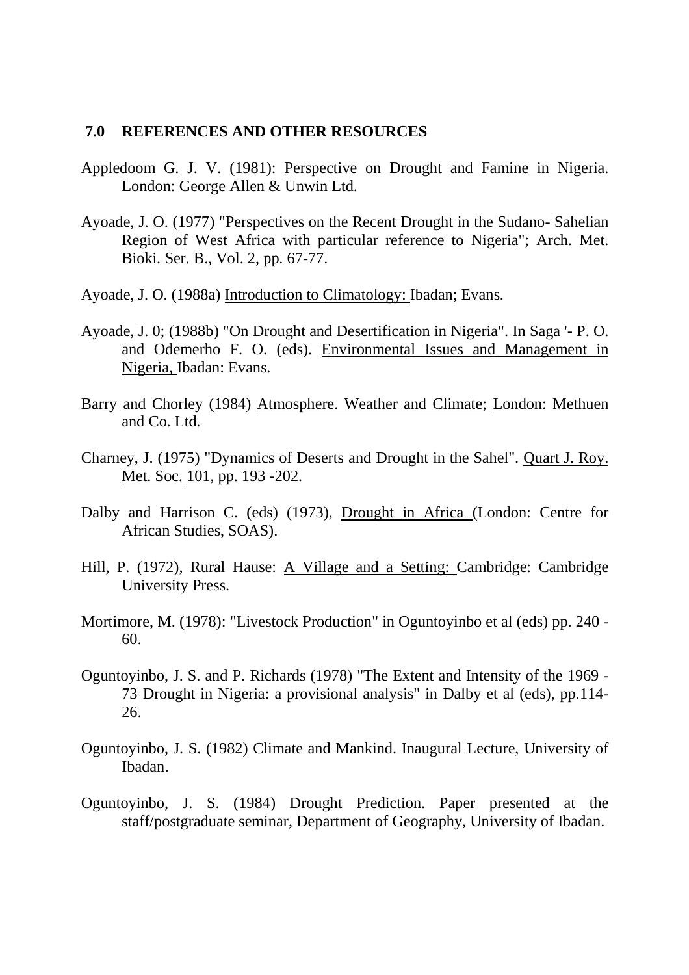#### **7.0 REFERENCES AND OTHER RESOURCES**

- Appledoom G. J. V. (1981): Perspective on Drought and Famine in Nigeria. London: George Allen & Unwin Ltd.
- Ayoade, J. O. (1977) "Perspectives on the Recent Drought in the Sudano- Sahelian Region of West Africa with particular reference to Nigeria"; Arch. Met. Bioki. Ser. B., Vol. 2, pp. 67-77.
- Ayoade, J. O. (1988a) Introduction to Climatology: Ibadan; Evans.
- Ayoade, J. 0; (1988b) "On Drought and Desertification in Nigeria". In Saga '- P. O. and Odemerho F. O. (eds). Environmental Issues and Management in Nigeria, Ibadan: Evans.
- Barry and Chorley (1984) Atmosphere. Weather and Climate; London: Methuen and Co. Ltd.
- Charney, J. (1975) "Dynamics of Deserts and Drought in the Sahel". Quart J. Roy. Met. Soc. 101, pp. 193 -202.
- Dalby and Harrison C. (eds) (1973), Drought in Africa (London: Centre for African Studies, SOAS).
- Hill, P. (1972), Rural Hause: A Village and a Setting: Cambridge: Cambridge University Press.
- Mortimore, M. (1978): "Livestock Production" in Oguntoyinbo et al (eds) pp. 240 60.
- Oguntoyinbo, J. S. and P. Richards (1978) "The Extent and Intensity of the 1969 73 Drought in Nigeria: a provisional analysis" in Dalby et al (eds), pp.114- 26.
- Oguntoyinbo, J. S. (1982) Climate and Mankind. Inaugural Lecture, University of Ibadan.
- Oguntoyinbo, J. S. (1984) Drought Prediction. Paper presented at the staff/postgraduate seminar, Department of Geography, University of Ibadan.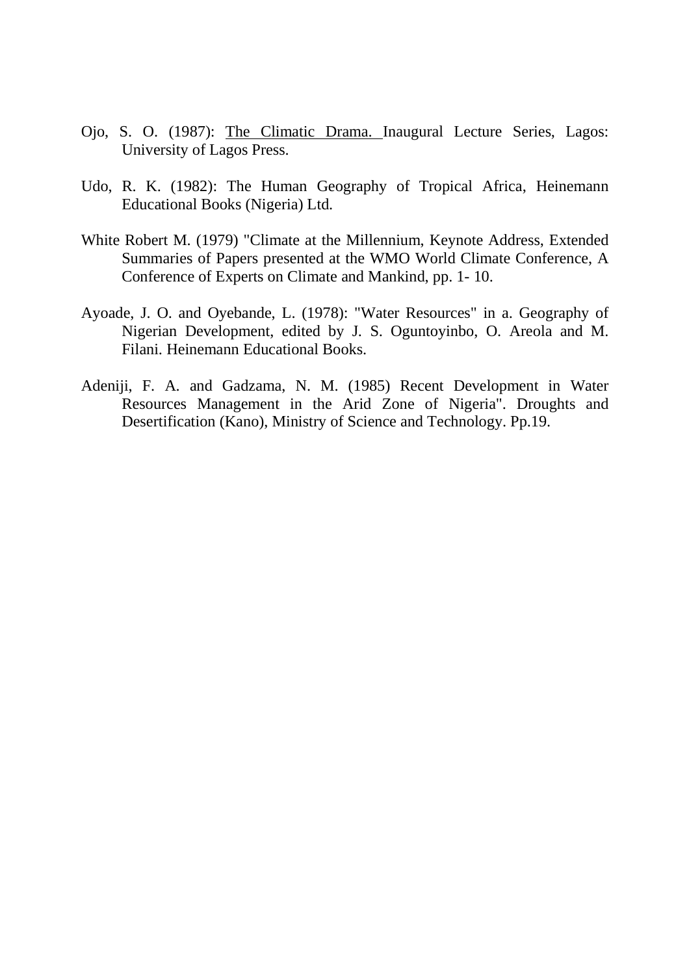- Ojo, S. O. (1987): The Climatic Drama. Inaugural Lecture Series, Lagos: University of Lagos Press.
- Udo, R. K. (1982): The Human Geography of Tropical Africa, Heinemann Educational Books (Nigeria) Ltd.
- White Robert M. (1979) "Climate at the Millennium, Keynote Address, Extended Summaries of Papers presented at the WMO World Climate Conference, A Conference of Experts on Climate and Mankind, pp. 1- 10.
- Ayoade, J. O. and Oyebande, L. (1978): "Water Resources" in a. Geography of Nigerian Development, edited by J. S. Oguntoyinbo, O. Areola and M. Filani. Heinemann Educational Books.
- Adeniji, F. A. and Gadzama, N. M. (1985) Recent Development in Water Resources Management in the Arid Zone of Nigeria". Droughts and Desertification (Kano), Ministry of Science and Technology. Pp.19.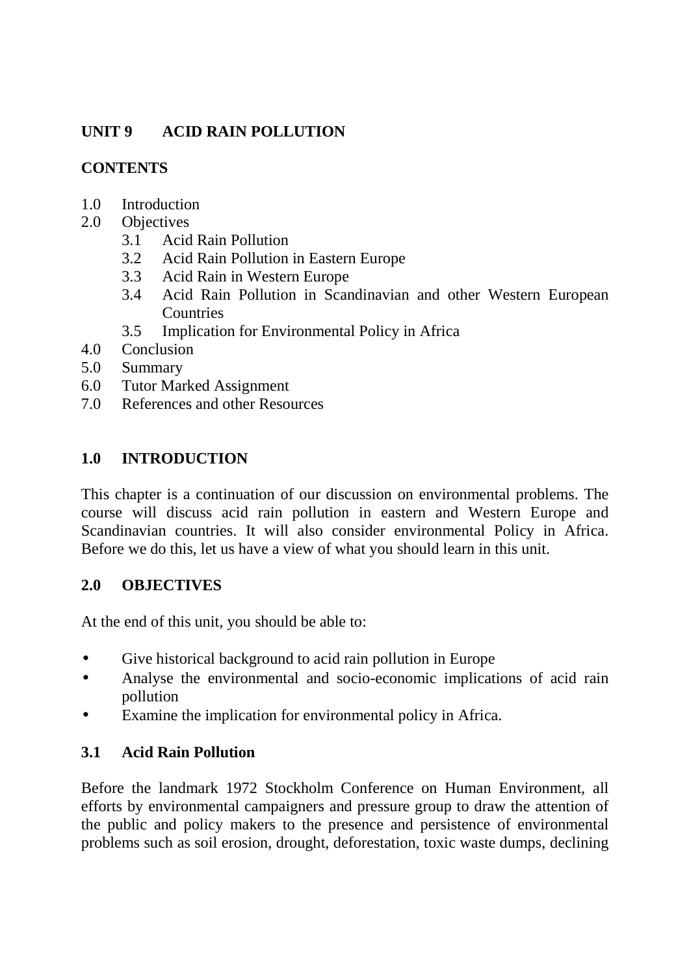# **UNIT 9 ACID RAIN POLLUTION**

### **CONTENTS**

- 1.0 Introduction
- 2.0 Objectives
	- 3.1 Acid Rain Pollution
	- 3.2 Acid Rain Pollution in Eastern Europe
	- 3.3 Acid Rain in Western Europe
	- 3.4 Acid Rain Pollution in Scandinavian and other Western European **Countries**
	- 3.5 Implication for Environmental Policy in Africa
- 4.0 Conclusion
- 5.0 Summary
- 6.0 Tutor Marked Assignment
- 7.0 References and other Resources

# **1.0 INTRODUCTION**

This chapter is a continuation of our discussion on environmental problems. The course will discuss acid rain pollution in eastern and Western Europe and Scandinavian countries. It will also consider environmental Policy in Africa. Before we do this, let us have a view of what you should learn in this unit.

#### **2.0 OBJECTIVES**

At the end of this unit, you should be able to:

- Give historical background to acid rain pollution in Europe
- Analyse the environmental and socio-economic implications of acid rain pollution
- Examine the implication for environmental policy in Africa.

# **3.1 Acid Rain Pollution**

Before the landmark 1972 Stockholm Conference on Human Environment, all efforts by environmental campaigners and pressure group to draw the attention of the public and policy makers to the presence and persistence of environmental problems such as soil erosion, drought, deforestation, toxic waste dumps, declining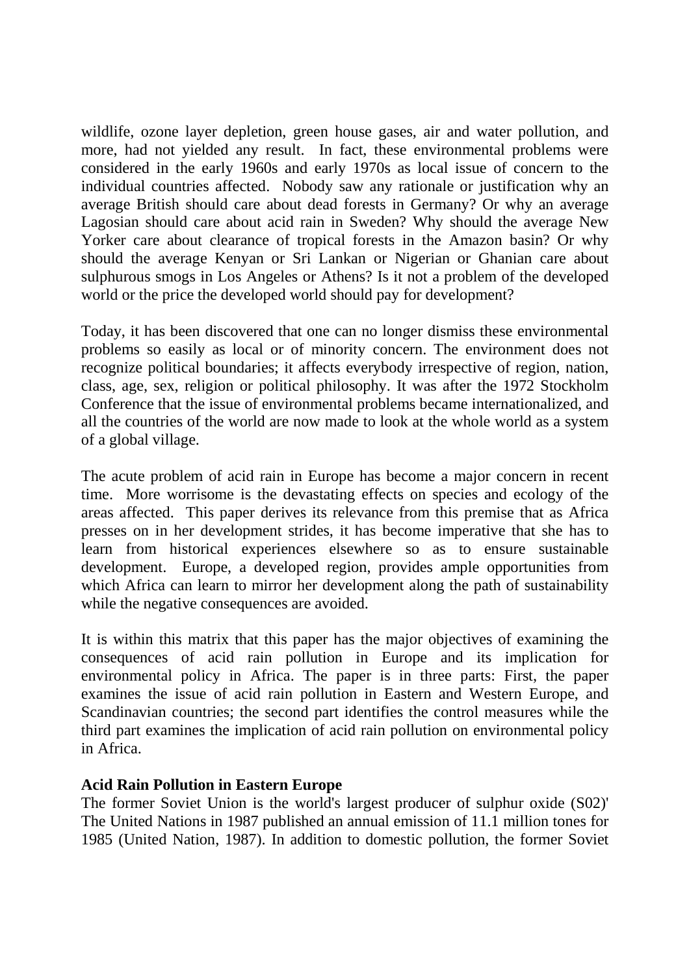wildlife, ozone layer depletion, green house gases, air and water pollution, and more, had not yielded any result. In fact, these environmental problems were considered in the early 1960s and early 1970s as local issue of concern to the individual countries affected. Nobody saw any rationale or justification why an average British should care about dead forests in Germany? Or why an average Lagosian should care about acid rain in Sweden? Why should the average New Yorker care about clearance of tropical forests in the Amazon basin? Or why should the average Kenyan or Sri Lankan or Nigerian or Ghanian care about sulphurous smogs in Los Angeles or Athens? Is it not a problem of the developed world or the price the developed world should pay for development?

Today, it has been discovered that one can no longer dismiss these environmental problems so easily as local or of minority concern. The environment does not recognize political boundaries; it affects everybody irrespective of region, nation, class, age, sex, religion or political philosophy. It was after the 1972 Stockholm Conference that the issue of environmental problems became internationalized, and all the countries of the world are now made to look at the whole world as a system of a global village.

The acute problem of acid rain in Europe has become a major concern in recent time. More worrisome is the devastating effects on species and ecology of the areas affected. This paper derives its relevance from this premise that as Africa presses on in her development strides, it has become imperative that she has to learn from historical experiences elsewhere so as to ensure sustainable development. Europe, a developed region, provides ample opportunities from which Africa can learn to mirror her development along the path of sustainability while the negative consequences are avoided.

It is within this matrix that this paper has the major objectives of examining the consequences of acid rain pollution in Europe and its implication for environmental policy in Africa. The paper is in three parts: First, the paper examines the issue of acid rain pollution in Eastern and Western Europe, and Scandinavian countries; the second part identifies the control measures while the third part examines the implication of acid rain pollution on environmental policy in Africa.

#### **Acid Rain Pollution in Eastern Europe**

The former Soviet Union is the world's largest producer of sulphur oxide (S02)' The United Nations in 1987 published an annual emission of 11.1 million tones for 1985 (United Nation, 1987). In addition to domestic pollution, the former Soviet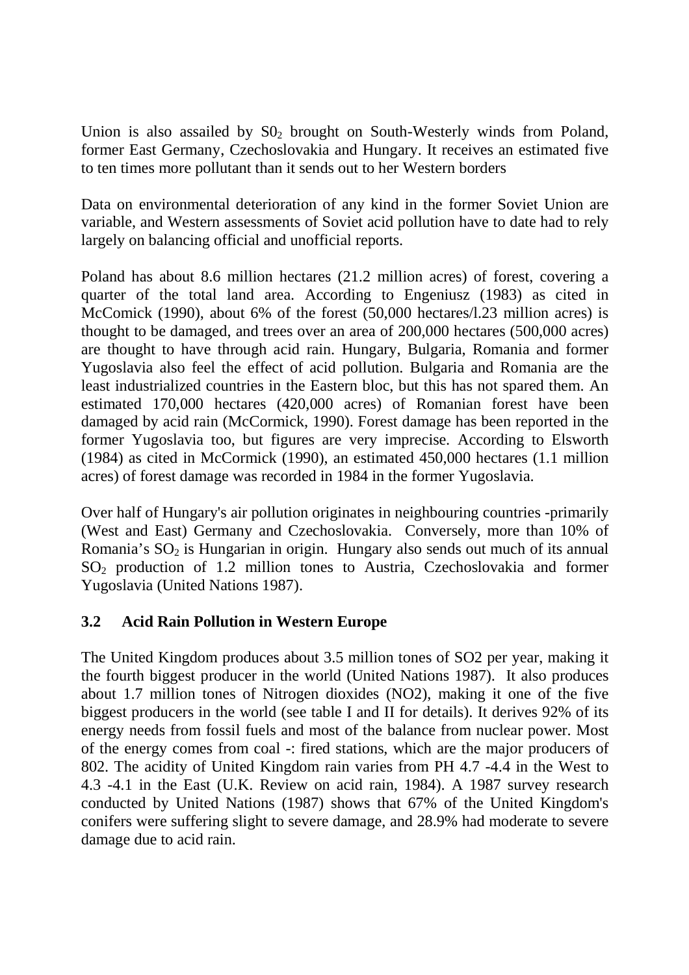Union is also assailed by  $S_0$  brought on South-Westerly winds from Poland, former East Germany, Czechoslovakia and Hungary. It receives an estimated five to ten times more pollutant than it sends out to her Western borders

Data on environmental deterioration of any kind in the former Soviet Union are variable, and Western assessments of Soviet acid pollution have to date had to rely largely on balancing official and unofficial reports.

Poland has about 8.6 million hectares (21.2 million acres) of forest, covering a quarter of the total land area. According to Engeniusz (1983) as cited in McComick (1990), about 6% of the forest (50,000 hectares/l.23 million acres) is thought to be damaged, and trees over an area of 200,000 hectares (500,000 acres) are thought to have through acid rain. Hungary, Bulgaria, Romania and former Yugoslavia also feel the effect of acid pollution. Bulgaria and Romania are the least industrialized countries in the Eastern bloc, but this has not spared them. An estimated 170,000 hectares (420,000 acres) of Romanian forest have been damaged by acid rain (McCormick, 1990). Forest damage has been reported in the former Yugoslavia too, but figures are very imprecise. According to Elsworth (1984) as cited in McCormick (1990), an estimated 450,000 hectares (1.1 million acres) of forest damage was recorded in 1984 in the former Yugoslavia.

Over half of Hungary's air pollution originates in neighbouring countries -primarily (West and East) Germany and Czechoslovakia. Conversely, more than 10% of Romania's  $SO<sub>2</sub>$  is Hungarian in origin. Hungary also sends out much of its annual SO<sub>2</sub> production of 1.2 million tones to Austria, Czechoslovakia and former Yugoslavia (United Nations 1987).

# **3.2 Acid Rain Pollution in Western Europe**

The United Kingdom produces about 3.5 million tones of SO2 per year, making it the fourth biggest producer in the world (United Nations 1987). It also produces about 1.7 million tones of Nitrogen dioxides (NO2), making it one of the five biggest producers in the world (see table I and II for details). It derives 92% of its energy needs from fossil fuels and most of the balance from nuclear power. Most of the energy comes from coal -: fired stations, which are the major producers of 802. The acidity of United Kingdom rain varies from PH 4.7 -4.4 in the West to 4.3 -4.1 in the East (U.K. Review on acid rain, 1984). A 1987 survey research conducted by United Nations (1987) shows that 67% of the United Kingdom's conifers were suffering slight to severe damage, and 28.9% had moderate to severe damage due to acid rain.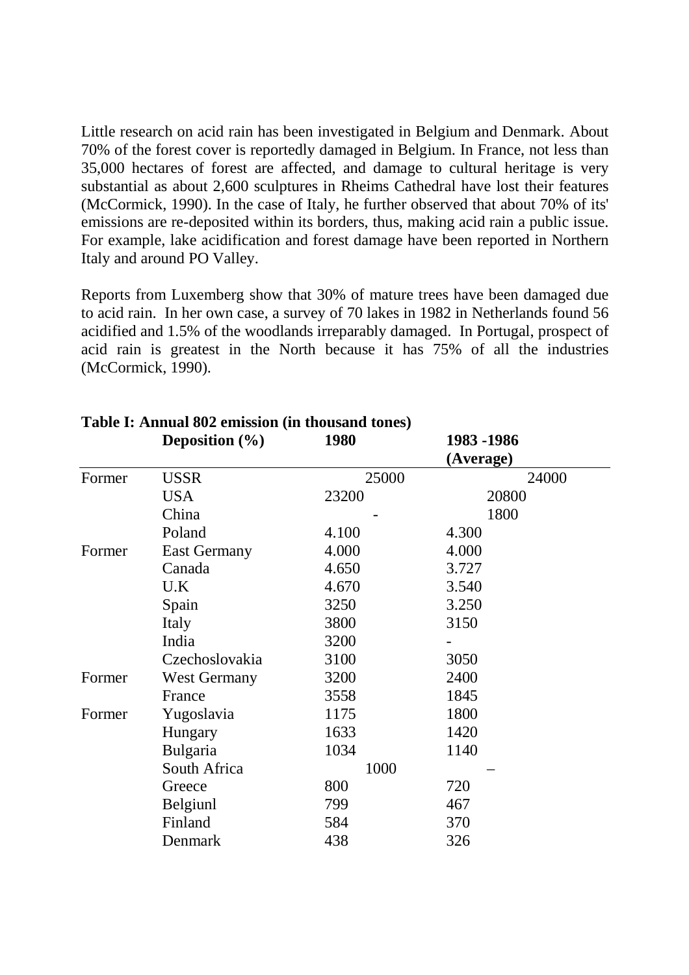Little research on acid rain has been investigated in Belgium and Denmark. About 70% of the forest cover is reportedly damaged in Belgium. In France, not less than 35,000 hectares of forest are affected, and damage to cultural heritage is very substantial as about 2,600 sculptures in Rheims Cathedral have lost their features (McCormick, 1990). In the case of Italy, he further observed that about 70% of its' emissions are re-deposited within its borders, thus, making acid rain a public issue. For example, lake acidification and forest damage have been reported in Northern Italy and around PO Valley.

Reports from Luxemberg show that 30% of mature trees have been damaged due to acid rain. In her own case, a survey of 70 lakes in 1982 in Netherlands found 56 acidified and 1.5% of the woodlands irreparably damaged. In Portugal, prospect of acid rain is greatest in the North because it has 75% of all the industries (McCormick, 1990).

|        | Deposition $(\% )$  | 1980  | 1983 - 1986 |
|--------|---------------------|-------|-------------|
|        |                     |       | (Average)   |
| Former | USSR                | 25000 | 24000       |
|        | <b>USA</b>          | 23200 | 20800       |
|        | China               |       | 1800        |
|        | Poland              | 4.100 | 4.300       |
| Former | <b>East Germany</b> | 4.000 | 4.000       |
|        | Canada              | 4.650 | 3.727       |
|        | U.K                 | 4.670 | 3.540       |
|        | Spain               | 3250  | 3.250       |
|        | Italy               | 3800  | 3150        |
|        | India               | 3200  |             |
|        | Czechoslovakia      | 3100  | 3050        |
| Former | <b>West Germany</b> | 3200  | 2400        |
|        | France              | 3558  | 1845        |
| Former | Yugoslavia          | 1175  | 1800        |
|        | Hungary             | 1633  | 1420        |
|        | Bulgaria            | 1034  | 1140        |
|        | South Africa        | 1000  |             |
|        | Greece              | 800   | 720         |
|        | Belgiunl            | 799   | 467         |
|        | Finland             | 584   | 370         |
|        | Denmark             | 438   | 326         |

# **Table I: Annual 802 emission (in thousand tones)**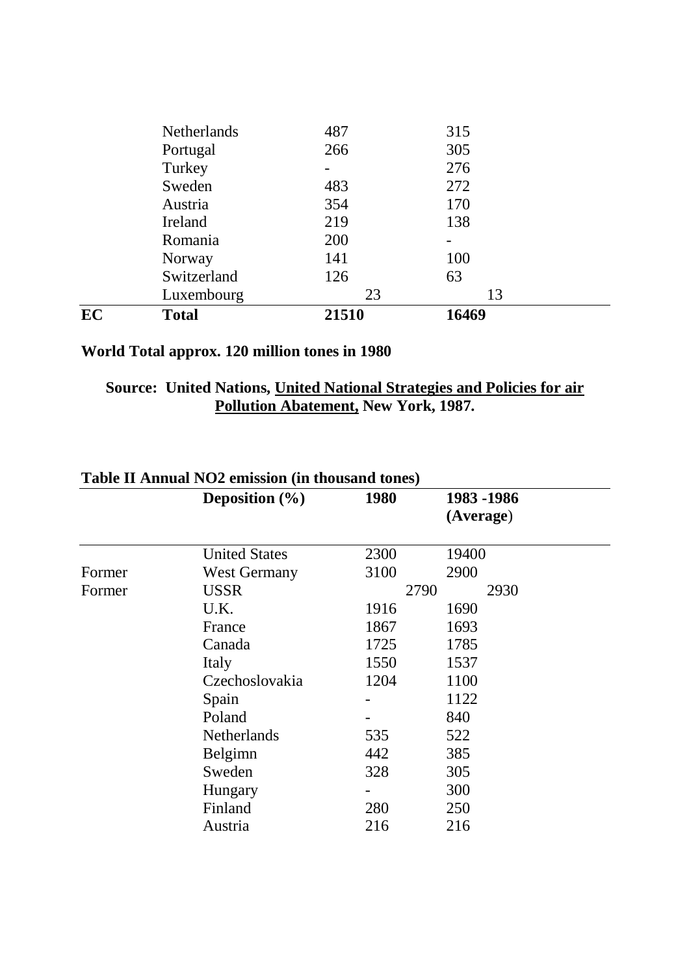| EC | Total              | 21510 | 16469 |  |
|----|--------------------|-------|-------|--|
|    | Luxembourg         | 23    | 13    |  |
|    | Switzerland        | 126   | 63    |  |
|    | Norway             | 141   | 100   |  |
|    | Romania            | 200   |       |  |
|    | Ireland            | 219   | 138   |  |
|    | Austria            | 354   | 170   |  |
|    | Sweden             | 483   | 272   |  |
|    | Turkey             |       | 276   |  |
|    | Portugal           | 266   | 305   |  |
|    | <b>Netherlands</b> | 487   | 315   |  |

# **World Total approx. 120 million tones in 1980**

### **Source: United Nations, United National Strategies and Policies for air Pollution Abatement, New York, 1987.**

|        | Deposition $(\% )$   | 1980 | 1983 - 1986 |  |
|--------|----------------------|------|-------------|--|
|        |                      |      | (Average)   |  |
|        | <b>United States</b> | 2300 | 19400       |  |
| Former | <b>West Germany</b>  | 3100 | 2900        |  |
| Former | <b>USSR</b>          | 2790 | 2930        |  |
|        | U.K.                 | 1916 | 1690        |  |
|        | France               | 1867 | 1693        |  |
|        | Canada               | 1725 | 1785        |  |
|        | Italy                | 1550 | 1537        |  |
|        | Czechoslovakia       | 1204 | 1100        |  |
|        | Spain                |      | 1122        |  |
|        | Poland               |      | 840         |  |
|        | <b>Netherlands</b>   | 535  | 522         |  |
|        | Belgimn              | 442  | 385         |  |
|        | Sweden               | 328  | 305         |  |
|        | Hungary              |      | 300         |  |
|        | Finland              | 280  | 250         |  |
|        | Austria              | 216  | 216         |  |

# **Table II Annual NO2 emission (in thousand tones)**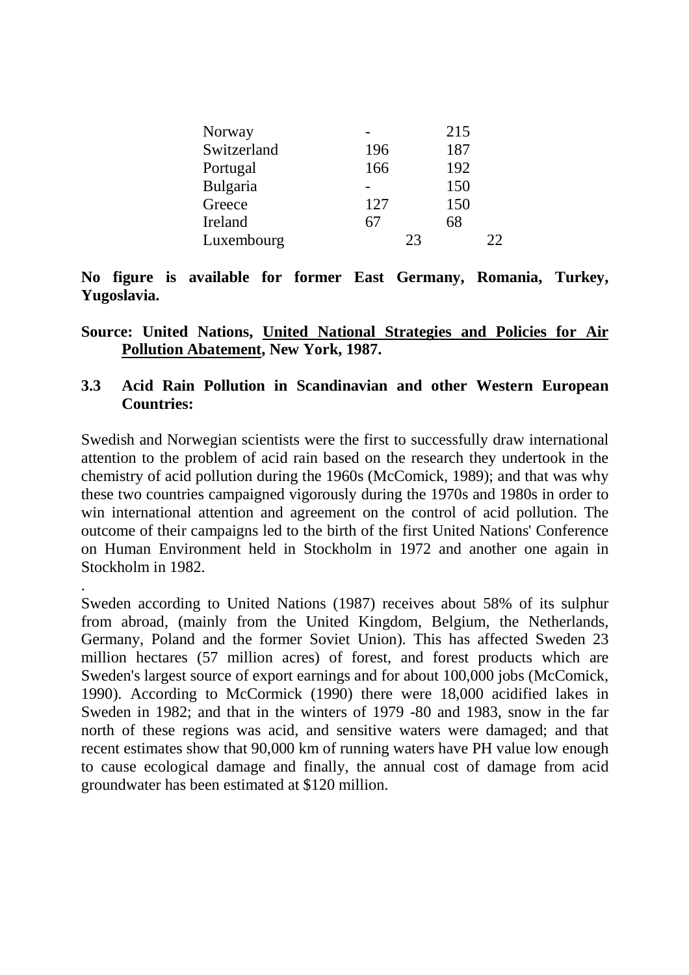| Norway      |     | 215 |
|-------------|-----|-----|
| Switzerland | 196 | 187 |
| Portugal    | 166 | 192 |
| Bulgaria    |     | 150 |
| Greece      | 127 | 150 |
| Ireland     | 67  | 68  |
| Luxembourg  | 23  | つつ  |

**No figure is available for former East Germany, Romania, Turkey, Yugoslavia.** 

**Source: United Nations, United National Strategies and Policies for Air Pollution Abatement, New York, 1987.** 

#### **3.3 Acid Rain Pollution in Scandinavian and other Western European Countries:**

Swedish and Norwegian scientists were the first to successfully draw international attention to the problem of acid rain based on the research they undertook in the chemistry of acid pollution during the 1960s (McComick, 1989); and that was why these two countries campaigned vigorously during the 1970s and 1980s in order to win international attention and agreement on the control of acid pollution. The outcome of their campaigns led to the birth of the first United Nations' Conference on Human Environment held in Stockholm in 1972 and another one again in Stockholm in 1982.

. Sweden according to United Nations (1987) receives about 58% of its sulphur from abroad, (mainly from the United Kingdom, Belgium, the Netherlands, Germany, Poland and the former Soviet Union). This has affected Sweden 23 million hectares (57 million acres) of forest, and forest products which are Sweden's largest source of export earnings and for about 100,000 jobs (McComick, 1990). According to McCormick (1990) there were 18,000 acidified lakes in Sweden in 1982; and that in the winters of 1979 -80 and 1983, snow in the far north of these regions was acid, and sensitive waters were damaged; and that recent estimates show that 90,000 km of running waters have PH value low enough to cause ecological damage and finally, the annual cost of damage from acid groundwater has been estimated at \$120 million.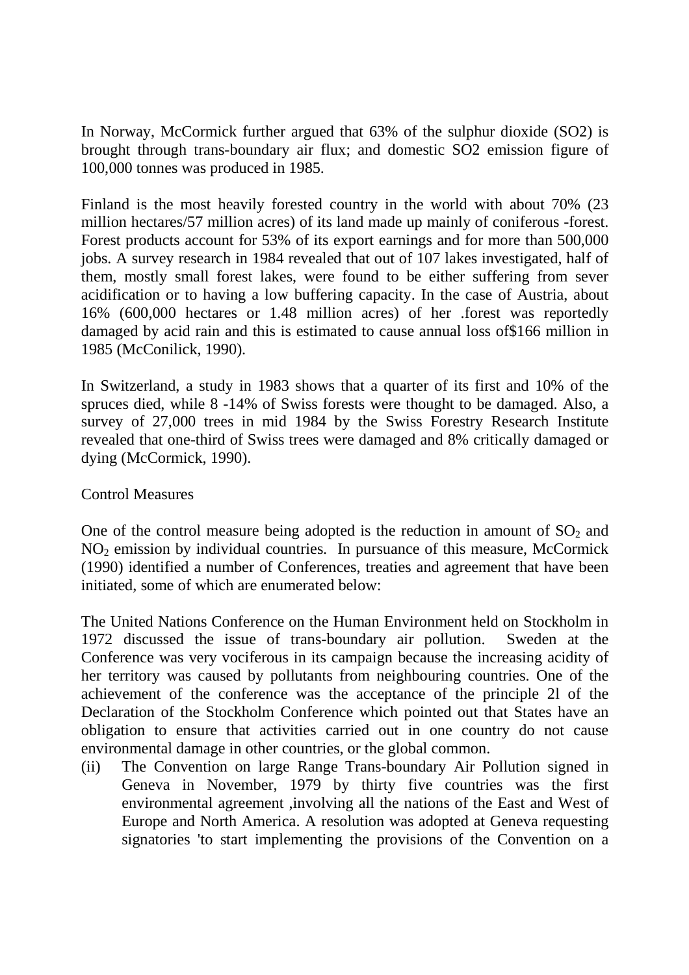In Norway, McCormick further argued that 63% of the sulphur dioxide (SO2) is brought through trans-boundary air flux; and domestic SO2 emission figure of 100,000 tonnes was produced in 1985.

Finland is the most heavily forested country in the world with about 70% (23 million hectares/57 million acres) of its land made up mainly of coniferous -forest. Forest products account for 53% of its export earnings and for more than 500,000 jobs. A survey research in 1984 revealed that out of 107 lakes investigated, half of them, mostly small forest lakes, were found to be either suffering from sever acidification or to having a low buffering capacity. In the case of Austria, about 16% (600,000 hectares or 1.48 million acres) of her .forest was reportedly damaged by acid rain and this is estimated to cause annual loss of\$166 million in 1985 (McConilick, 1990).

In Switzerland, a study in 1983 shows that a quarter of its first and 10% of the spruces died, while 8 -14% of Swiss forests were thought to be damaged. Also, a survey of 27,000 trees in mid 1984 by the Swiss Forestry Research Institute revealed that one-third of Swiss trees were damaged and 8% critically damaged or dying (McCormick, 1990).

#### Control Measures

One of the control measure being adopted is the reduction in amount of  $SO<sub>2</sub>$  and  $NO<sub>2</sub>$  emission by individual countries. In pursuance of this measure, McCormick (1990) identified a number of Conferences, treaties and agreement that have been initiated, some of which are enumerated below:

The United Nations Conference on the Human Environment held on Stockholm in 1972 discussed the issue of trans-boundary air pollution. Sweden at the Conference was very vociferous in its campaign because the increasing acidity of her territory was caused by pollutants from neighbouring countries. One of the achievement of the conference was the acceptance of the principle 2l of the Declaration of the Stockholm Conference which pointed out that States have an obligation to ensure that activities carried out in one country do not cause environmental damage in other countries, or the global common.

(ii) The Convention on large Range Trans-boundary Air Pollution signed in Geneva in November, 1979 by thirty five countries was the first environmental agreement ,involving all the nations of the East and West of Europe and North America. A resolution was adopted at Geneva requesting signatories 'to start implementing the provisions of the Convention on a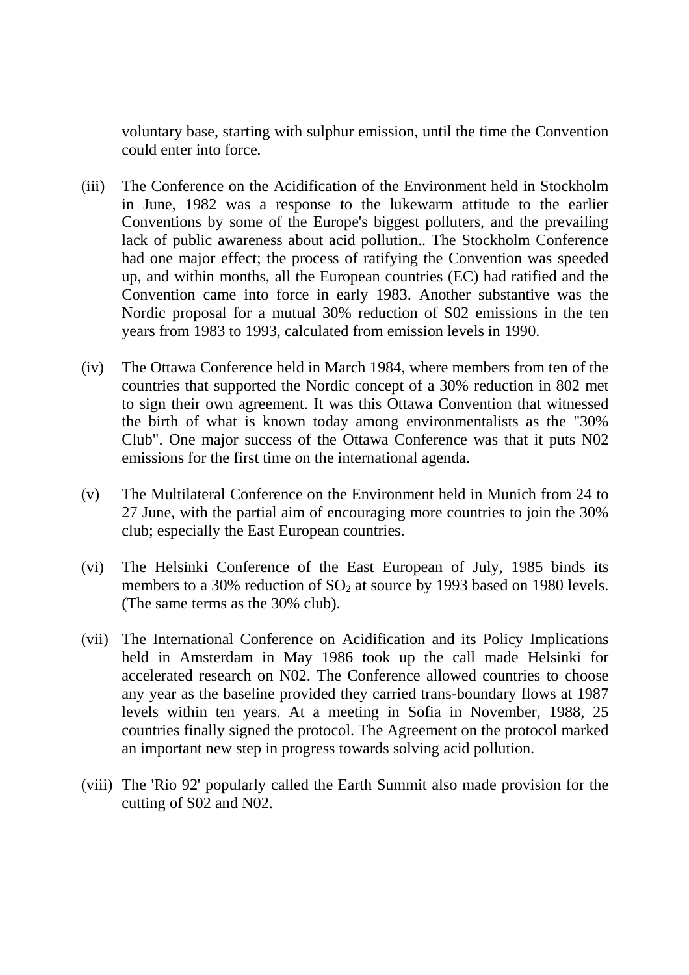voluntary base, starting with sulphur emission, until the time the Convention could enter into force.

- (iii) The Conference on the Acidification of the Environment held in Stockholm in June, 1982 was a response to the lukewarm attitude to the earlier Conventions by some of the Europe's biggest polluters, and the prevailing lack of public awareness about acid pollution.. The Stockholm Conference had one major effect; the process of ratifying the Convention was speeded up, and within months, all the European countries (EC) had ratified and the Convention came into force in early 1983. Another substantive was the Nordic proposal for a mutual 30% reduction of S02 emissions in the ten years from 1983 to 1993, calculated from emission levels in 1990.
- (iv) The Ottawa Conference held in March 1984, where members from ten of the countries that supported the Nordic concept of a 30% reduction in 802 met to sign their own agreement. It was this Ottawa Convention that witnessed the birth of what is known today among environmentalists as the "30% Club". One major success of the Ottawa Conference was that it puts N02 emissions for the first time on the international agenda.
- (v) The Multilateral Conference on the Environment held in Munich from 24 to 27 June, with the partial aim of encouraging more countries to join the 30% club; especially the East European countries.
- (vi) The Helsinki Conference of the East European of July, 1985 binds its members to a 30% reduction of  $SO<sub>2</sub>$  at source by 1993 based on 1980 levels. (The same terms as the 30% club).
- (vii) The International Conference on Acidification and its Policy Implications held in Amsterdam in May 1986 took up the call made Helsinki for accelerated research on N02. The Conference allowed countries to choose any year as the baseline provided they carried trans-boundary flows at 1987 levels within ten years. At a meeting in Sofia in November, 1988, 25 countries finally signed the protocol. The Agreement on the protocol marked an important new step in progress towards solving acid pollution.
- (viii) The 'Rio 92' popularly called the Earth Summit also made provision for the cutting of S02 and N02.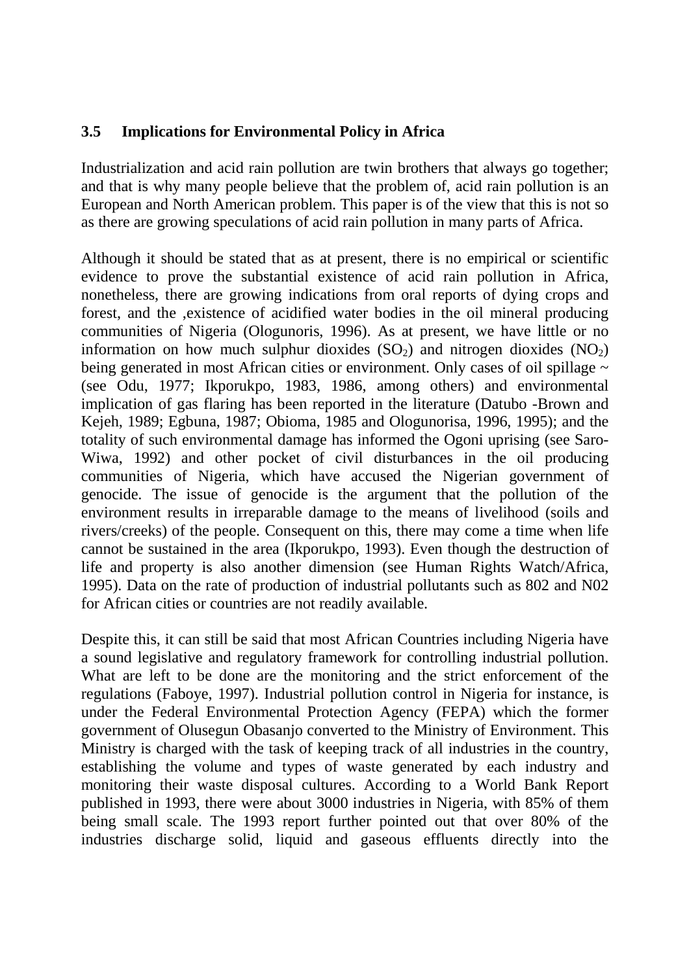#### **3.5 Implications for Environmental Policy in Africa**

Industrialization and acid rain pollution are twin brothers that always go together; and that is why many people believe that the problem of, acid rain pollution is an European and North American problem. This paper is of the view that this is not so as there are growing speculations of acid rain pollution in many parts of Africa.

Although it should be stated that as at present, there is no empirical or scientific evidence to prove the substantial existence of acid rain pollution in Africa, nonetheless, there are growing indications from oral reports of dying crops and forest, and the ,existence of acidified water bodies in the oil mineral producing communities of Nigeria (Ologunoris, 1996). As at present, we have little or no information on how much sulphur dioxides  $(SO<sub>2</sub>)$  and nitrogen dioxides  $(NO<sub>2</sub>)$ being generated in most African cities or environment. Only cases of oil spillage  $\sim$ (see Odu, 1977; Ikporukpo, 1983, 1986, among others) and environmental implication of gas flaring has been reported in the literature (Datubo -Brown and Kejeh, 1989; Egbuna, 1987; Obioma, 1985 and Ologunorisa, 1996, 1995); and the totality of such environmental damage has informed the Ogoni uprising (see Saro-Wiwa, 1992) and other pocket of civil disturbances in the oil producing communities of Nigeria, which have accused the Nigerian government of genocide. The issue of genocide is the argument that the pollution of the environment results in irreparable damage to the means of livelihood (soils and rivers/creeks) of the people. Consequent on this, there may come a time when life cannot be sustained in the area (Ikporukpo, 1993). Even though the destruction of life and property is also another dimension (see Human Rights Watch/Africa, 1995). Data on the rate of production of industrial pollutants such as 802 and N02 for African cities or countries are not readily available.

Despite this, it can still be said that most African Countries including Nigeria have a sound legislative and regulatory framework for controlling industrial pollution. What are left to be done are the monitoring and the strict enforcement of the regulations (Faboye, 1997). Industrial pollution control in Nigeria for instance, is under the Federal Environmental Protection Agency (FEPA) which the former government of Olusegun Obasanjo converted to the Ministry of Environment. This Ministry is charged with the task of keeping track of all industries in the country, establishing the volume and types of waste generated by each industry and monitoring their waste disposal cultures. According to a World Bank Report published in 1993, there were about 3000 industries in Nigeria, with 85% of them being small scale. The 1993 report further pointed out that over 80% of the industries discharge solid, liquid and gaseous effluents directly into the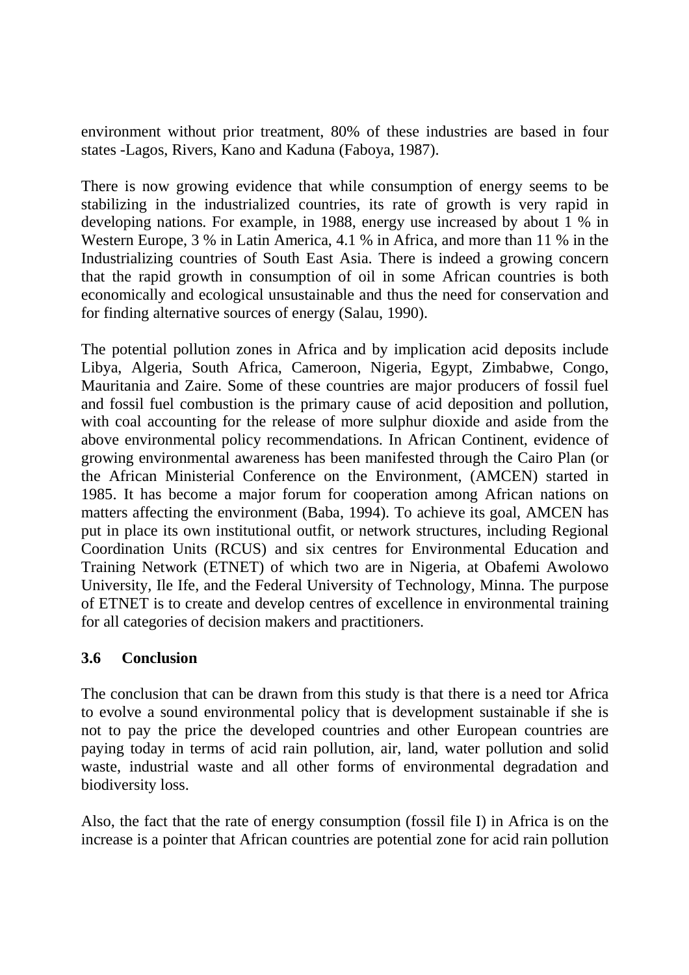environment without prior treatment, 80% of these industries are based in four states -Lagos, Rivers, Kano and Kaduna (Faboya, 1987).

There is now growing evidence that while consumption of energy seems to be stabilizing in the industrialized countries, its rate of growth is very rapid in developing nations. For example, in 1988, energy use increased by about 1 % in Western Europe, 3 % in Latin America, 4.1 % in Africa, and more than 11 % in the Industrializing countries of South East Asia. There is indeed a growing concern that the rapid growth in consumption of oil in some African countries is both economically and ecological unsustainable and thus the need for conservation and for finding alternative sources of energy (Salau, 1990).

The potential pollution zones in Africa and by implication acid deposits include Libya, Algeria, South Africa, Cameroon, Nigeria, Egypt, Zimbabwe, Congo, Mauritania and Zaire. Some of these countries are major producers of fossil fuel and fossil fuel combustion is the primary cause of acid deposition and pollution, with coal accounting for the release of more sulphur dioxide and aside from the above environmental policy recommendations. In African Continent, evidence of growing environmental awareness has been manifested through the Cairo Plan (or the African Ministerial Conference on the Environment, (AMCEN) started in 1985. It has become a major forum for cooperation among African nations on matters affecting the environment (Baba, 1994). To achieve its goal, AMCEN has put in place its own institutional outfit, or network structures, including Regional Coordination Units (RCUS) and six centres for Environmental Education and Training Network (ETNET) of which two are in Nigeria, at Obafemi Awolowo University, Ile Ife, and the Federal University of Technology, Minna. The purpose of ETNET is to create and develop centres of excellence in environmental training for all categories of decision makers and practitioners.

#### **3.6 Conclusion**

The conclusion that can be drawn from this study is that there is a need tor Africa to evolve a sound environmental policy that is development sustainable if she is not to pay the price the developed countries and other European countries are paying today in terms of acid rain pollution, air, land, water pollution and solid waste, industrial waste and all other forms of environmental degradation and biodiversity loss.

Also, the fact that the rate of energy consumption (fossil file I) in Africa is on the increase is a pointer that African countries are potential zone for acid rain pollution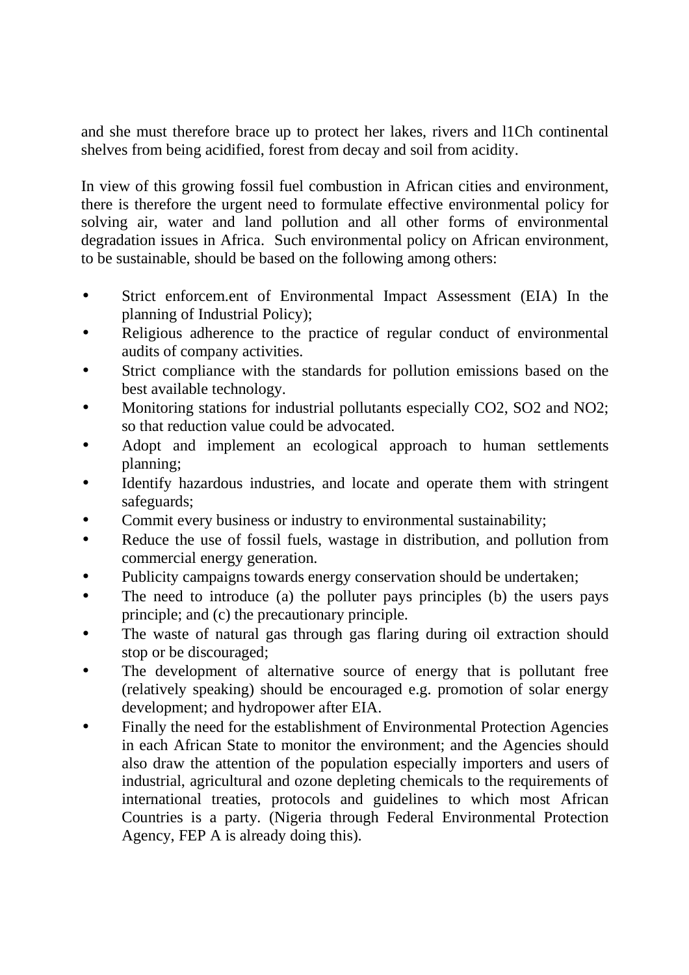and she must therefore brace up to protect her lakes, rivers and l1Ch continental shelves from being acidified, forest from decay and soil from acidity.

In view of this growing fossil fuel combustion in African cities and environment, there is therefore the urgent need to formulate effective environmental policy for solving air, water and land pollution and all other forms of environmental degradation issues in Africa. Such environmental policy on African environment, to be sustainable, should be based on the following among others:

- Strict enforcem.ent of Environmental Impact Assessment (EIA) In the planning of Industrial Policy);
- Religious adherence to the practice of regular conduct of environmental audits of company activities.
- Strict compliance with the standards for pollution emissions based on the best available technology.
- Monitoring stations for industrial pollutants especially CO2, SO2 and NO2; so that reduction value could be advocated.
- Adopt and implement an ecological approach to human settlements planning;
- Identify hazardous industries, and locate and operate them with stringent safeguards;
- Commit every business or industry to environmental sustainability;
- Reduce the use of fossil fuels, wastage in distribution, and pollution from commercial energy generation.
- Publicity campaigns towards energy conservation should be undertaken;
- The need to introduce (a) the polluter pays principles (b) the users pays principle; and (c) the precautionary principle.
- The waste of natural gas through gas flaring during oil extraction should stop or be discouraged;
- The development of alternative source of energy that is pollutant free (relatively speaking) should be encouraged e.g. promotion of solar energy development; and hydropower after EIA.
- Finally the need for the establishment of Environmental Protection Agencies in each African State to monitor the environment; and the Agencies should also draw the attention of the population especially importers and users of industrial, agricultural and ozone depleting chemicals to the requirements of international treaties, protocols and guidelines to which most African Countries is a party. (Nigeria through Federal Environmental Protection Agency, FEP A is already doing this).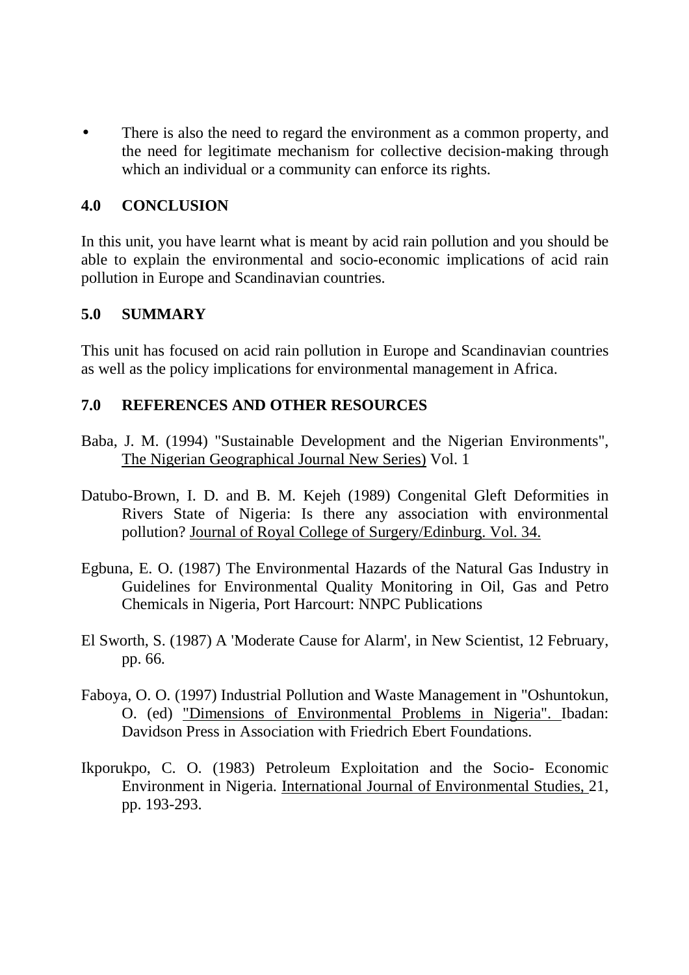There is also the need to regard the environment as a common property, and the need for legitimate mechanism for collective decision-making through which an individual or a community can enforce its rights.

#### **4.0 CONCLUSION**

In this unit, you have learnt what is meant by acid rain pollution and you should be able to explain the environmental and socio-economic implications of acid rain pollution in Europe and Scandinavian countries.

#### **5.0 SUMMARY**

This unit has focused on acid rain pollution in Europe and Scandinavian countries as well as the policy implications for environmental management in Africa.

#### **7.0 REFERENCES AND OTHER RESOURCES**

- Baba, J. M. (1994) "Sustainable Development and the Nigerian Environments", The Nigerian Geographical Journal New Series) Vol. 1
- Datubo-Brown, I. D. and B. M. Kejeh (1989) Congenital Gleft Deformities in Rivers State of Nigeria: Is there any association with environmental pollution? Journal of Royal College of Surgery/Edinburg. Vol. 34.
- Egbuna, E. O. (1987) The Environmental Hazards of the Natural Gas Industry in Guidelines for Environmental Quality Monitoring in Oil, Gas and Petro Chemicals in Nigeria, Port Harcourt: NNPC Publications
- El Sworth, S. (1987) A 'Moderate Cause for Alarm', in New Scientist, 12 February, pp. 66.
- Faboya, O. O. (1997) Industrial Pollution and Waste Management in "Oshuntokun, O. (ed) "Dimensions of Environmental Problems in Nigeria". Ibadan: Davidson Press in Association with Friedrich Ebert Foundations.
- Ikporukpo, C. O. (1983) Petroleum Exploitation and the Socio- Economic Environment in Nigeria. International Journal of Environmental Studies, 21, pp. 193-293.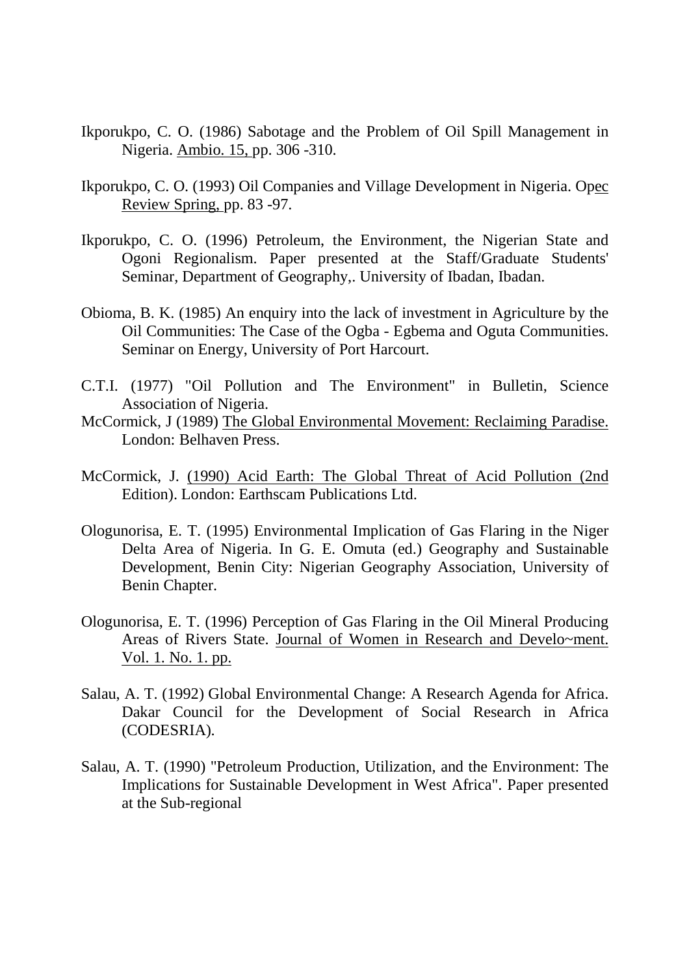- Ikporukpo, C. O. (1986) Sabotage and the Problem of Oil Spill Management in Nigeria. Ambio. 15, pp. 306 -310.
- Ikporukpo, C. O. (1993) Oil Companies and Village Development in Nigeria. Opec Review Spring, pp. 83 -97.
- Ikporukpo, C. O. (1996) Petroleum, the Environment, the Nigerian State and Ogoni Regionalism. Paper presented at the Staff/Graduate Students' Seminar, Department of Geography,. University of Ibadan, Ibadan.
- Obioma, B. K. (1985) An enquiry into the lack of investment in Agriculture by the Oil Communities: The Case of the Ogba - Egbema and Oguta Communities. Seminar on Energy, University of Port Harcourt.
- C.T.I. (1977) "Oil Pollution and The Environment" in Bulletin, Science Association of Nigeria.
- McCormick, J (1989) The Global Environmental Movement: Reclaiming Paradise. London: Belhaven Press.
- McCormick, J. (1990) Acid Earth: The Global Threat of Acid Pollution (2nd Edition). London: Earthscam Publications Ltd.
- Ologunorisa, E. T. (1995) Environmental Implication of Gas Flaring in the Niger Delta Area of Nigeria. In G. E. Omuta (ed.) Geography and Sustainable Development, Benin City: Nigerian Geography Association, University of Benin Chapter.
- Ologunorisa, E. T. (1996) Perception of Gas Flaring in the Oil Mineral Producing Areas of Rivers State. Journal of Women in Research and Develo~ment. Vol. 1. No. 1. pp.
- Salau, A. T. (1992) Global Environmental Change: A Research Agenda for Africa. Dakar Council for the Development of Social Research in Africa (CODESRIA).
- Salau, A. T. (1990) "Petroleum Production, Utilization, and the Environment: The Implications for Sustainable Development in West Africa". Paper presented at the Sub-regional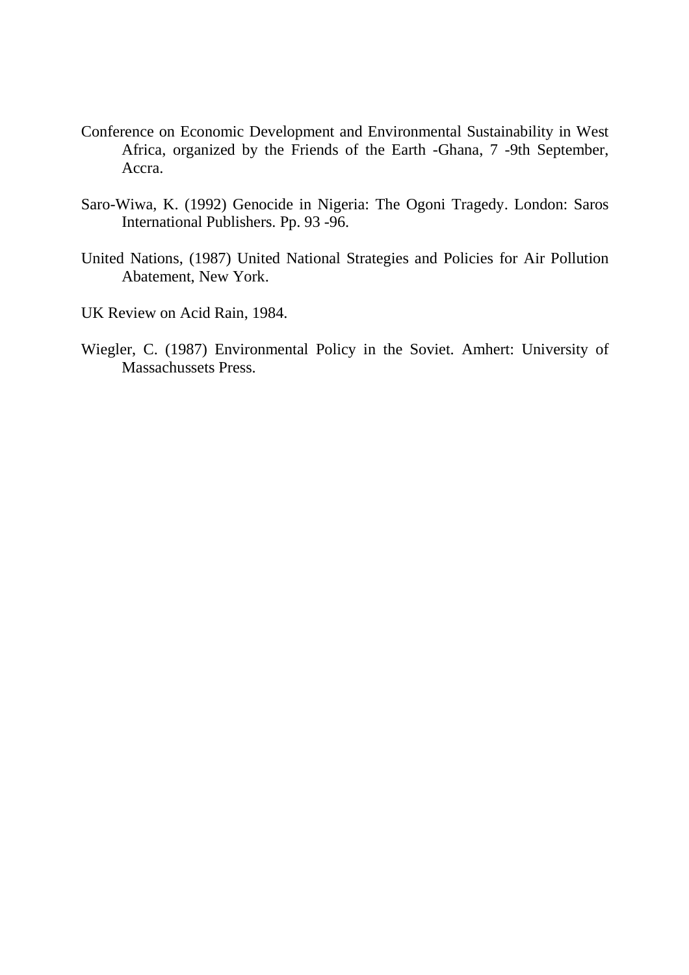- Conference on Economic Development and Environmental Sustainability in West Africa, organized by the Friends of the Earth -Ghana, 7 -9th September, Accra.
- Saro-Wiwa, K. (1992) Genocide in Nigeria: The Ogoni Tragedy. London: Saros International Publishers. Pp. 93 -96.
- United Nations, (1987) United National Strategies and Policies for Air Pollution Abatement, New York.
- UK Review on Acid Rain, 1984.
- Wiegler, C. (1987) Environmental Policy in the Soviet. Amhert: University of Massachussets Press.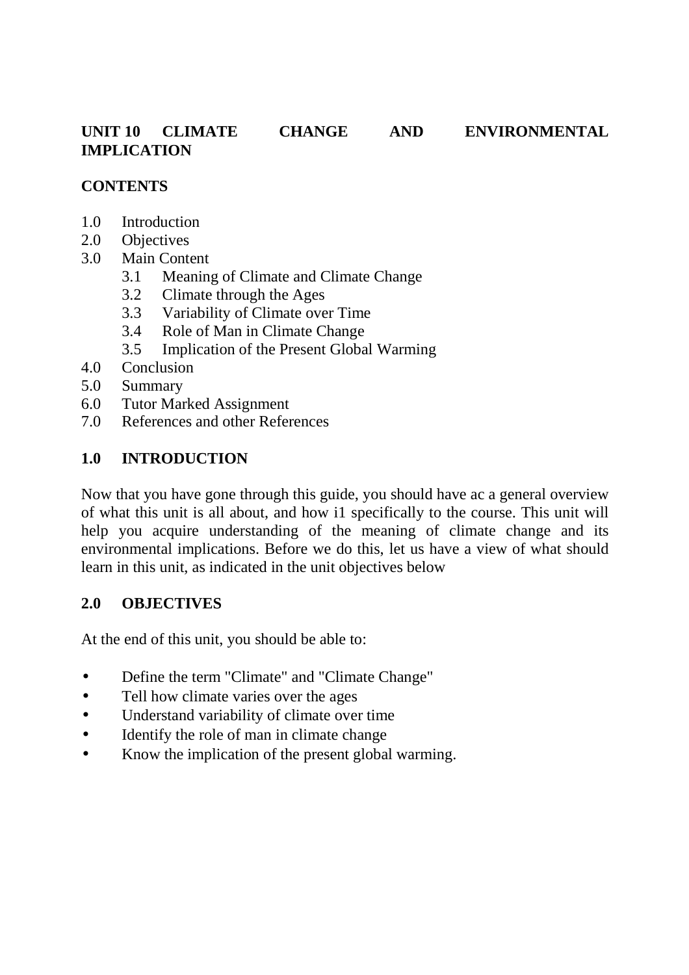#### **UNIT 10 CLIMATE CHANGE AND ENVIRONMENTAL IMPLICATION**

#### **CONTENTS**

- 1.0 Introduction
- 2.0 Objectives
- 3.0 Main Content
	- 3.1 Meaning of Climate and Climate Change
	- 3.2 Climate through the Ages
	- 3.3 Variability of Climate over Time
	- 3.4 Role of Man in Climate Change
	- 3.5 Implication of the Present Global Warming
- 4.0 Conclusion
- 5.0 Summary
- 6.0 Tutor Marked Assignment
- 7.0 References and other References

#### **1.0 INTRODUCTION**

Now that you have gone through this guide, you should have ac a general overview of what this unit is all about, and how i1 specifically to the course. This unit will help you acquire understanding of the meaning of climate change and its environmental implications. Before we do this, let us have a view of what should learn in this unit, as indicated in the unit objectives below

#### **2.0 OBJECTIVES**

At the end of this unit, you should be able to:

- Define the term "Climate" and "Climate Change"
- Tell how climate varies over the ages
- Understand variability of climate over time
- Identify the role of man in climate change
- Know the implication of the present global warming.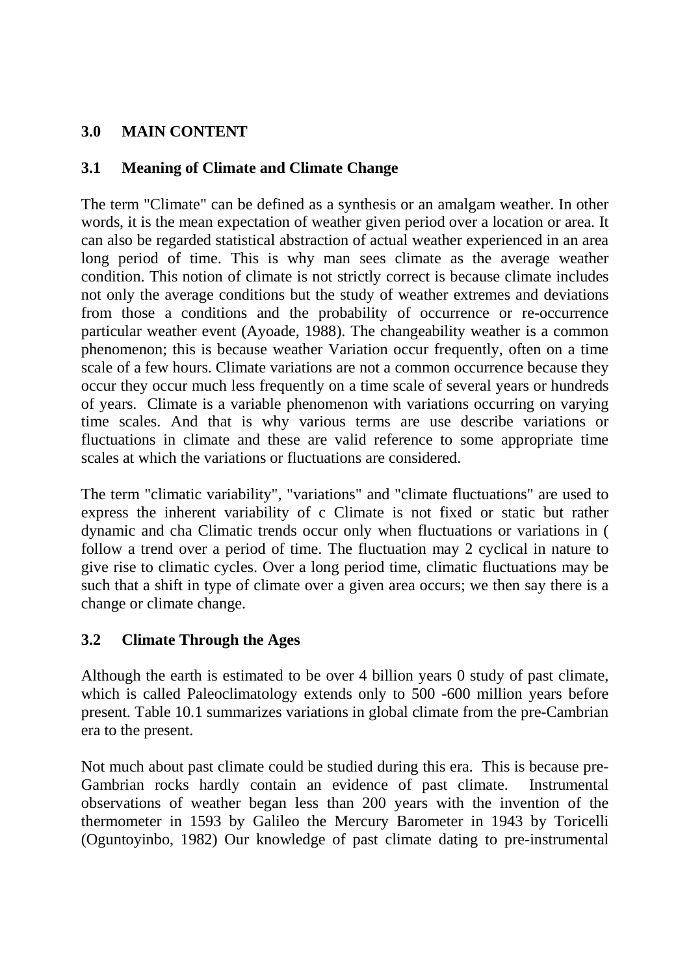# **3.0 MAIN CONTENT**

### **3.1 Meaning of Climate and Climate Change**

The term "Climate" can be defined as a synthesis or an amalgam weather. In other words, it is the mean expectation of weather given period over a location or area. It can also be regarded statistical abstraction of actual weather experienced in an area long period of time. This is why man sees climate as the average weather condition. This notion of climate is not strictly correct is because climate includes not only the average conditions but the study of weather extremes and deviations from those a conditions and the probability of occurrence or re-occurrence particular weather event (Ayoade, 1988). The changeability weather is a common phenomenon; this is because weather Variation occur frequently, often on a time scale of a few hours. Climate variations are not a common occurrence because they occur they occur much less frequently on a time scale of several years or hundreds of years. Climate is a variable phenomenon with variations occurring on varying time scales. And that is why various terms are use describe variations or fluctuations in climate and these are valid reference to some appropriate time scales at which the variations or fluctuations are considered.

The term "climatic variability", "variations" and "climate fluctuations" are used to express the inherent variability of c Climate is not fixed or static but rather dynamic and cha Climatic trends occur only when fluctuations or variations in ( follow a trend over a period of time. The fluctuation may 2 cyclical in nature to give rise to climatic cycles. Over a long period time, climatic fluctuations may be such that a shift in type of climate over a given area occurs; we then say there is a change or climate change.

#### **3.2 Climate Through the Ages**

Although the earth is estimated to be over 4 billion years 0 study of past climate, which is called Paleoclimatology extends only to 500 -600 million years before present. Table 10.1 summarizes variations in global climate from the pre-Cambrian era to the present.

Not much about past climate could be studied during this era. This is because pre-Gambrian rocks hardly contain an evidence of past climate. Instrumental observations of weather began less than 200 years with the invention of the thermometer in 1593 by Galileo the Mercury Barometer in 1943 by Toricelli (Oguntoyinbo, 1982) Our knowledge of past climate dating to pre-instrumental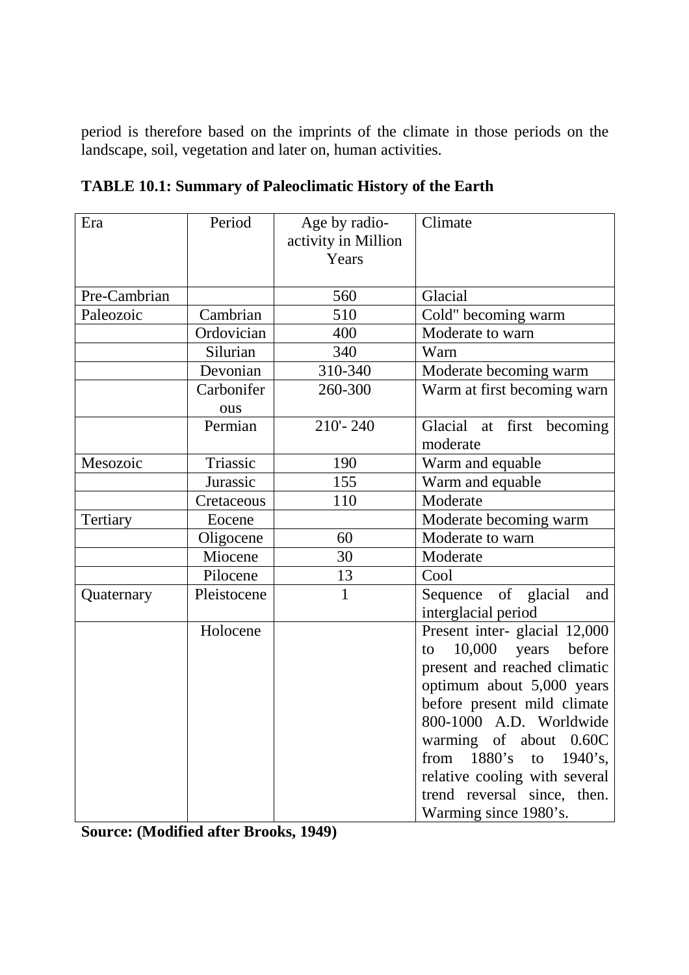period is therefore based on the imprints of the climate in those periods on the landscape, soil, vegetation and later on, human activities.

| Era          | Period            | Age by radio-<br>activity in Million<br>Years | Climate                                                                                                                                                                                                                                                                                                                                     |
|--------------|-------------------|-----------------------------------------------|---------------------------------------------------------------------------------------------------------------------------------------------------------------------------------------------------------------------------------------------------------------------------------------------------------------------------------------------|
| Pre-Cambrian |                   | 560                                           | Glacial                                                                                                                                                                                                                                                                                                                                     |
| Paleozoic    | Cambrian          | 510                                           | Cold" becoming warm                                                                                                                                                                                                                                                                                                                         |
|              | Ordovician        | 400                                           | Moderate to warn                                                                                                                                                                                                                                                                                                                            |
|              | Silurian          | 340                                           | Warn                                                                                                                                                                                                                                                                                                                                        |
|              | Devonian          | 310-340                                       | Moderate becoming warm                                                                                                                                                                                                                                                                                                                      |
|              | Carbonifer<br>ous | 260-300                                       | Warm at first becoming warn                                                                                                                                                                                                                                                                                                                 |
|              | Permian           | $210 - 240$                                   | Glacial at first<br>becoming<br>moderate                                                                                                                                                                                                                                                                                                    |
| Mesozoic     | Triassic          | 190                                           | Warm and equable                                                                                                                                                                                                                                                                                                                            |
|              | Jurassic          | 155                                           | Warm and equable                                                                                                                                                                                                                                                                                                                            |
|              | Cretaceous        | 110                                           | Moderate                                                                                                                                                                                                                                                                                                                                    |
| Tertiary     | Eocene            |                                               | Moderate becoming warm                                                                                                                                                                                                                                                                                                                      |
|              | Oligocene         | 60                                            | Moderate to warn                                                                                                                                                                                                                                                                                                                            |
|              | Miocene           | 30                                            | Moderate                                                                                                                                                                                                                                                                                                                                    |
|              | Pilocene          | 13                                            | Cool                                                                                                                                                                                                                                                                                                                                        |
| Quaternary   | Pleistocene       | 1                                             | Sequence of glacial<br>and<br>interglacial period                                                                                                                                                                                                                                                                                           |
|              | Holocene          |                                               | Present inter- glacial 12,000<br>$10,000$ years<br>before<br>to<br>present and reached climatic<br>optimum about 5,000 years<br>before present mild climate<br>800-1000 A.D. Worldwide<br>warming of about 0.60C<br>from $1880's$<br>to $1940$ 's,<br>relative cooling with several<br>trend reversal since, then.<br>Warming since 1980's. |

**TABLE 10.1: Summary of Paleoclimatic History of the Earth** 

**Source: (Modified after Brooks, 1949)**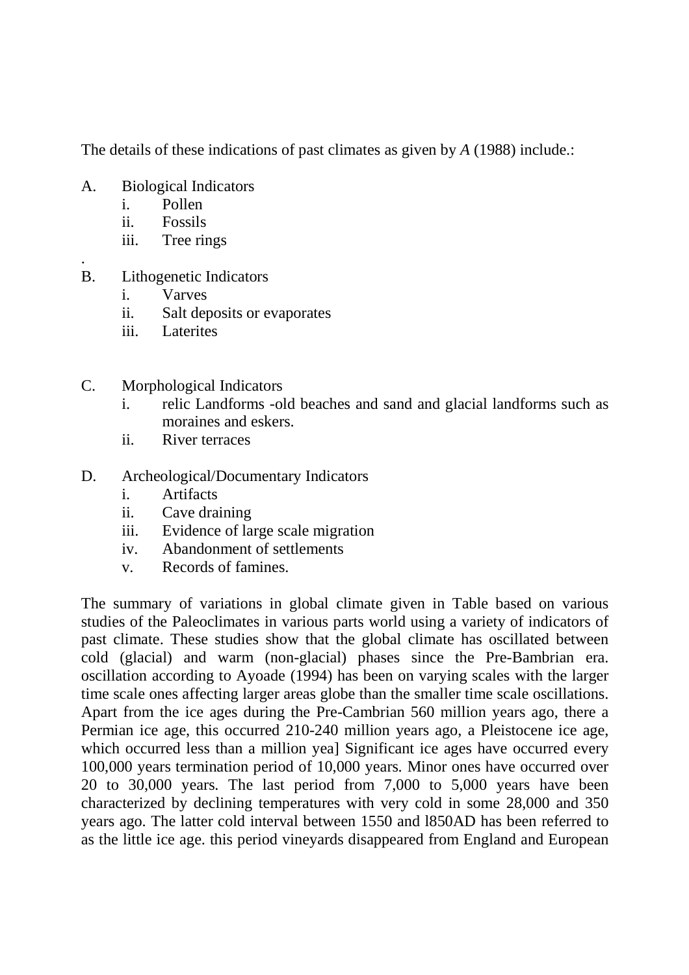The details of these indications of past climates as given by *A* (1988) include.:

- A. Biological Indicators
	- i. Pollen
	- ii. Fossils
	- iii. Tree rings
- . B. Lithogenetic Indicators
	- i. Varves
	- ii. Salt deposits or evaporates
	- iii. Laterites
- C. Morphological Indicators
	- i. relic Landforms -old beaches and sand and glacial landforms such as moraines and eskers.
	- ii. River terraces
- D. Archeological/Documentary Indicators
	- i. Artifacts
	- ii. Cave draining
	- iii. Evidence of large scale migration
	- iv. Abandonment of settlements
	- v. Records of famines.

The summary of variations in global climate given in Table based on various studies of the Paleoclimates in various parts world using a variety of indicators of past climate. These studies show that the global climate has oscillated between cold (glacial) and warm (non-glacial) phases since the Pre-Bambrian era. oscillation according to Ayoade (1994) has been on varying scales with the larger time scale ones affecting larger areas globe than the smaller time scale oscillations. Apart from the ice ages during the Pre-Cambrian 560 million years ago, there a Permian ice age, this occurred 210-240 million years ago, a Pleistocene ice age, which occurred less than a million yea] Significant ice ages have occurred every 100,000 years termination period of 10,000 years. Minor ones have occurred over 20 to 30,000 years. The last period from 7,000 to 5,000 years have been characterized by declining temperatures with very cold in some 28,000 and 350 years ago. The latter cold interval between 1550 and l850AD has been referred to as the little ice age. this period vineyards disappeared from England and European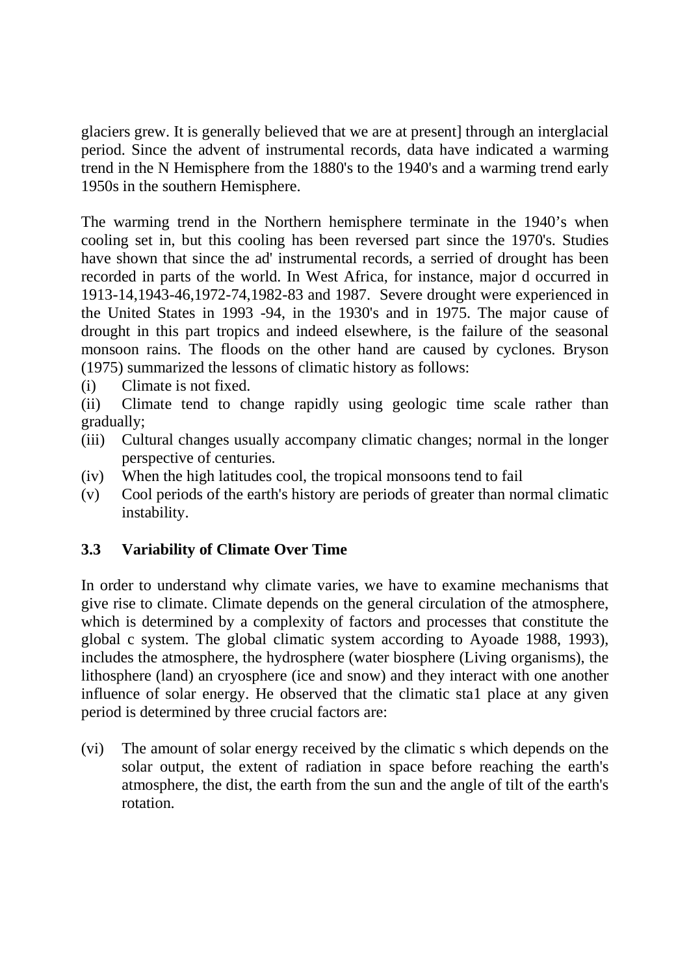glaciers grew. It is generally believed that we are at present] through an interglacial period. Since the advent of instrumental records, data have indicated a warming trend in the N Hemisphere from the 1880's to the 1940's and a warming trend early 1950s in the southern Hemisphere.

The warming trend in the Northern hemisphere terminate in the 1940's when cooling set in, but this cooling has been reversed part since the 1970's. Studies have shown that since the ad' instrumental records, a serried of drought has been recorded in parts of the world. In West Africa, for instance, major d occurred in 1913-14,1943-46,1972-74,1982-83 and 1987. Severe drought were experienced in the United States in 1993 -94, in the 1930's and in 1975. The major cause of drought in this part tropics and indeed elsewhere, is the failure of the seasonal monsoon rains. The floods on the other hand are caused by cyclones. Bryson (1975) summarized the lessons of climatic history as follows:

(i) Climate is not fixed.

(ii) Climate tend to change rapidly using geologic time scale rather than gradually;

- (iii) Cultural changes usually accompany climatic changes; normal in the longer perspective of centuries.
- (iv) When the high latitudes cool, the tropical monsoons tend to fail
- (v) Cool periods of the earth's history are periods of greater than normal climatic instability.

#### **3.3 Variability of Climate Over Time**

In order to understand why climate varies, we have to examine mechanisms that give rise to climate. Climate depends on the general circulation of the atmosphere, which is determined by a complexity of factors and processes that constitute the global c system. The global climatic system according to Ayoade 1988, 1993), includes the atmosphere, the hydrosphere (water biosphere (Living organisms), the lithosphere (land) an cryosphere (ice and snow) and they interact with one another influence of solar energy. He observed that the climatic sta1 place at any given period is determined by three crucial factors are:

(vi) The amount of solar energy received by the climatic s which depends on the solar output, the extent of radiation in space before reaching the earth's atmosphere, the dist, the earth from the sun and the angle of tilt of the earth's rotation.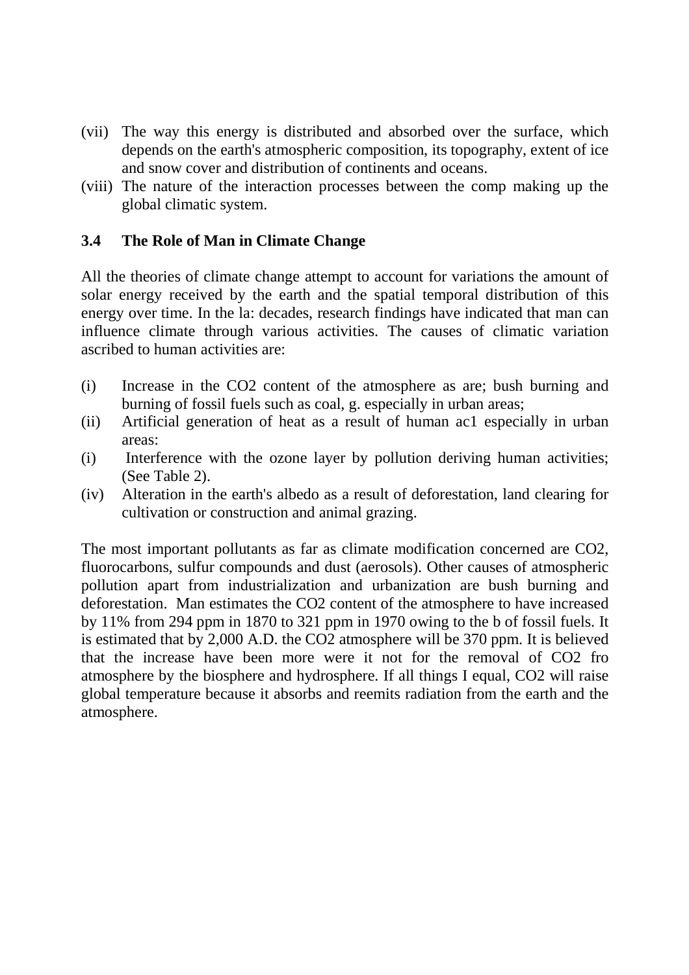- (vii) The way this energy is distributed and absorbed over the surface, which depends on the earth's atmospheric composition, its topography, extent of ice and snow cover and distribution of continents and oceans.
- (viii) The nature of the interaction processes between the comp making up the global climatic system.

#### **3.4 The Role of Man in Climate Change**

All the theories of climate change attempt to account for variations the amount of solar energy received by the earth and the spatial temporal distribution of this energy over time. In the la: decades, research findings have indicated that man can influence climate through various activities. The causes of climatic variation ascribed to human activities are:

- (i) Increase in the CO2 content of the atmosphere as are; bush burning and burning of fossil fuels such as coal, g. especially in urban areas;
- (ii) Artificial generation of heat as a result of human ac1 especially in urban areas:
- (i) Interference with the ozone layer by pollution deriving human activities; (See Table 2).
- (iv) Alteration in the earth's albedo as a result of deforestation, land clearing for cultivation or construction and animal grazing.

The most important pollutants as far as climate modification concerned are CO2, fluorocarbons, sulfur compounds and dust (aerosols). Other causes of atmospheric pollution apart from industrialization and urbanization are bush burning and deforestation. Man estimates the CO2 content of the atmosphere to have increased by 11% from 294 ppm in 1870 to 321 ppm in 1970 owing to the b of fossil fuels. It is estimated that by 2,000 A.D. the CO2 atmosphere will be 370 ppm. It is believed that the increase have been more were it not for the removal of CO2 fro atmosphere by the biosphere and hydrosphere. If all things I equal, CO2 will raise global temperature because it absorbs and reemits radiation from the earth and the atmosphere.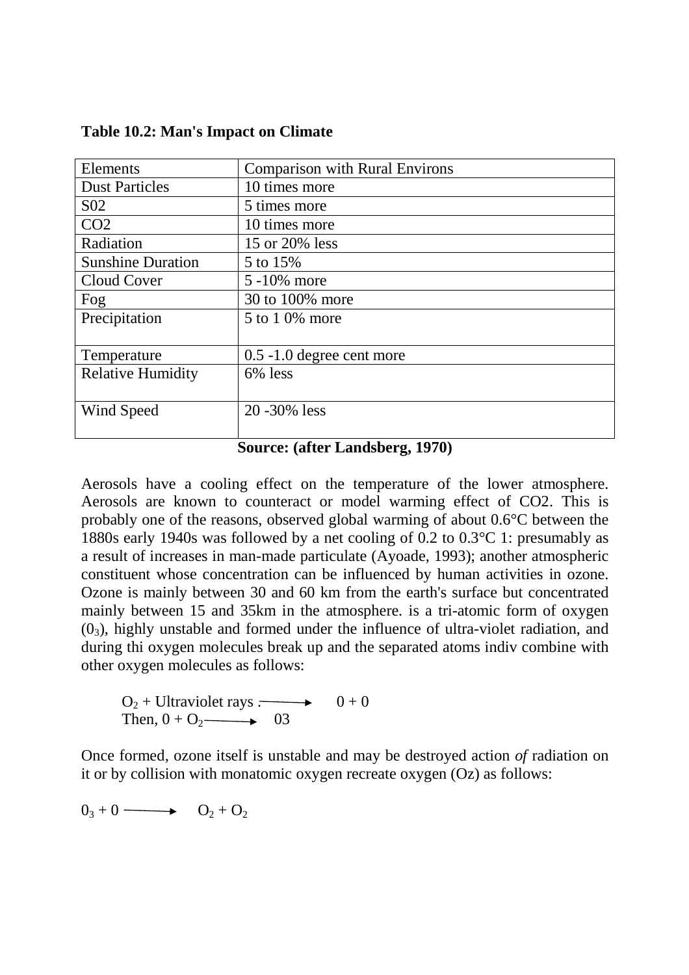| Elements                 | <b>Comparison with Rural Environs</b> |
|--------------------------|---------------------------------------|
| <b>Dust Particles</b>    | 10 times more                         |
| S <sub>0</sub> 2         | 5 times more                          |
| CO <sub>2</sub>          | 10 times more                         |
| Radiation                | 15 or 20% less                        |
| <b>Sunshine Duration</b> | 5 to 15%                              |
| Cloud Cover              | 5 -10% more                           |
| Fog                      | 30 to 100% more                       |
| Precipitation            | 5 to 1 0% more                        |
|                          |                                       |
| Temperature              | $0.5 - 1.0$ degree cent more          |
| <b>Relative Humidity</b> | 6% less                               |
|                          |                                       |
| Wind Speed               | 20 - 30% less                         |
|                          |                                       |

**Table 10.2: Man's Impact on Climate** 

#### **Source: (after Landsberg, 1970)**

Aerosols have a cooling effect on the temperature of the lower atmosphere. Aerosols are known to counteract or model warming effect of CO2. This is probably one of the reasons, observed global warming of about 0.6°C between the 1880s early 1940s was followed by a net cooling of 0.2 to 0.3°C 1: presumably as a result of increases in man-made particulate (Ayoade, 1993); another atmospheric constituent whose concentration can be influenced by human activities in ozone. Ozone is mainly between 30 and 60 km from the earth's surface but concentrated mainly between 15 and 35km in the atmosphere. is a tri-atomic form of oxygen  $(0<sub>3</sub>)$ , highly unstable and formed under the influence of ultra-violet radiation, and during thi oxygen molecules break up and the separated atoms indiv combine with other oxygen molecules as follows:

 $O_2$  + Ultraviolet rays  $\rightarrow$  0 + 0 Then,  $0 + \text{O}_2 \longrightarrow 03$ 

Once formed, ozone itself is unstable and may be destroyed action *of* radiation on it or by collision with monatomic oxygen recreate oxygen (Oz) as follows:

$$
0_3 + 0 \longrightarrow O_2 + O_2
$$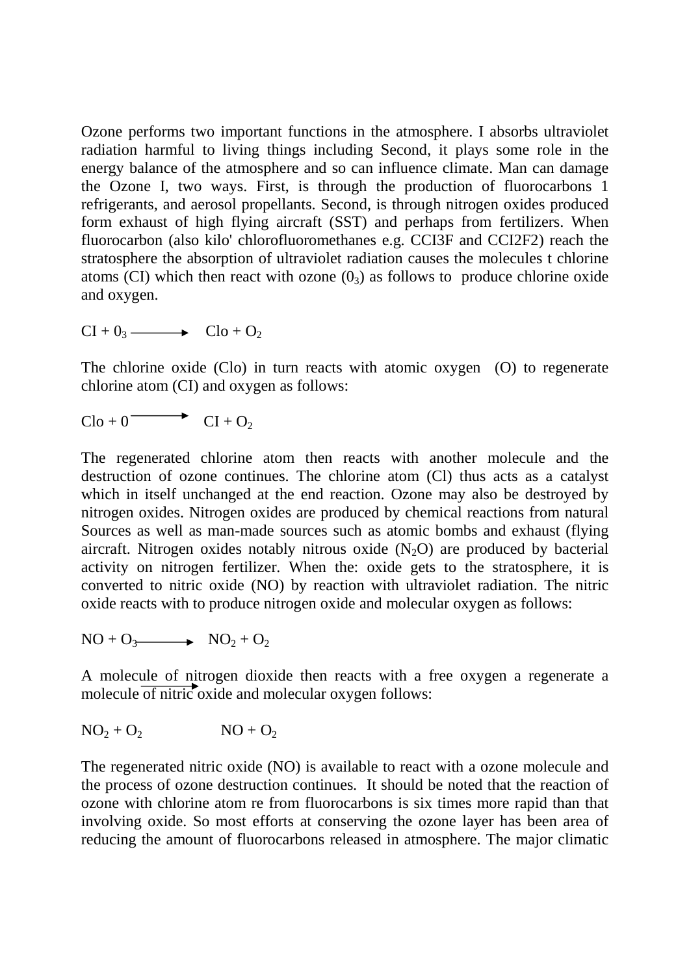Ozone performs two important functions in the atmosphere. I absorbs ultraviolet radiation harmful to living things including Second, it plays some role in the energy balance of the atmosphere and so can influence climate. Man can damage the Ozone I, two ways. First, is through the production of fluorocarbons 1 refrigerants, and aerosol propellants. Second, is through nitrogen oxides produced form exhaust of high flying aircraft (SST) and perhaps from fertilizers. When fluorocarbon (also kilo' chlorofluoromethanes e.g. CCI3F and CCI2F2) reach the stratosphere the absorption of ultraviolet radiation causes the molecules t chlorine atoms (CI) which then react with ozone  $(0<sub>3</sub>)$  as follows to produce chlorine oxide and oxygen.

 $CI + 0_3 \longrightarrow$   $Clo + O_2$ 

The chlorine oxide (Clo) in turn reacts with atomic oxygen (O) to regenerate chlorine atom (CI) and oxygen as follows:

 $Cl_0 + 0 \longrightarrow Cl_1 + O_2$ 

The regenerated chlorine atom then reacts with another molecule and the destruction of ozone continues. The chlorine atom (Cl) thus acts as a catalyst which in itself unchanged at the end reaction. Ozone may also be destroyed by nitrogen oxides. Nitrogen oxides are produced by chemical reactions from natural Sources as well as man-made sources such as atomic bombs and exhaust (flying aircraft. Nitrogen oxides notably nitrous oxide  $(N_2O)$  are produced by bacterial activity on nitrogen fertilizer. When the: oxide gets to the stratosphere, it is converted to nitric oxide (NO) by reaction with ultraviolet radiation. The nitric oxide reacts with to produce nitrogen oxide and molecular oxygen as follows:

 $NO + O_3 \longrightarrow NO_2 + O_2$ 

A molecule of nitrogen dioxide then reacts with a free oxygen a regenerate a molecule of nitric oxide and molecular oxygen follows:

$$
NO_2 + O_2 \qquad \qquad NO + O_2
$$

The regenerated nitric oxide (NO) is available to react with a ozone molecule and the process of ozone destruction continues. It should be noted that the reaction of ozone with chlorine atom re from fluorocarbons is six times more rapid than that involving oxide. So most efforts at conserving the ozone layer has been area of reducing the amount of fluorocarbons released in atmosphere. The major climatic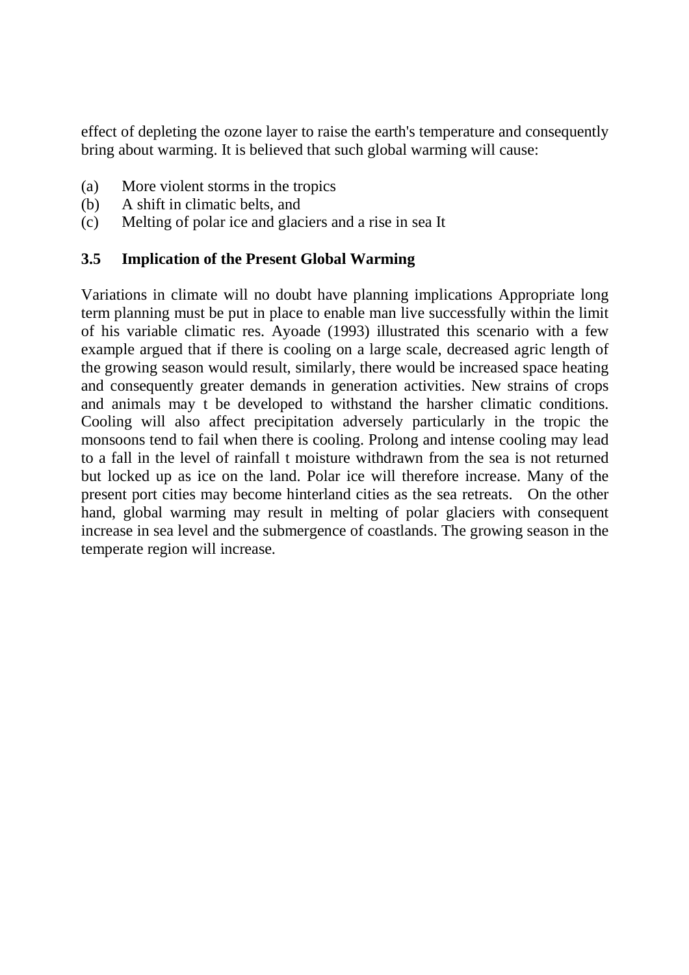effect of depleting the ozone layer to raise the earth's temperature and consequently bring about warming. It is believed that such global warming will cause:

- (a) More violent storms in the tropics
- (b) A shift in climatic belts, and
- (c) Melting of polar ice and glaciers and a rise in sea It

#### **3.5 Implication of the Present Global Warming**

Variations in climate will no doubt have planning implications Appropriate long term planning must be put in place to enable man live successfully within the limit of his variable climatic res. Ayoade (1993) illustrated this scenario with a few example argued that if there is cooling on a large scale, decreased agric length of the growing season would result, similarly, there would be increased space heating and consequently greater demands in generation activities. New strains of crops and animals may t be developed to withstand the harsher climatic conditions. Cooling will also affect precipitation adversely particularly in the tropic the monsoons tend to fail when there is cooling. Prolong and intense cooling may lead to a fall in the level of rainfall t moisture withdrawn from the sea is not returned but locked up as ice on the land. Polar ice will therefore increase. Many of the present port cities may become hinterland cities as the sea retreats. On the other hand, global warming may result in melting of polar glaciers with consequent increase in sea level and the submergence of coastlands. The growing season in the temperate region will increase.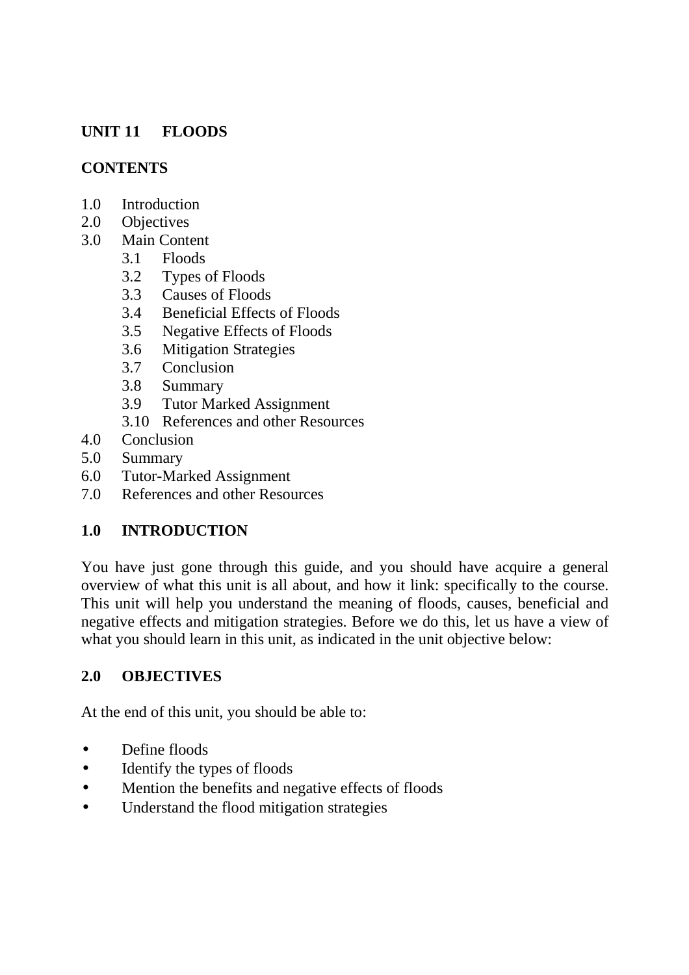# **UNIT 11 FLOODS**

### **CONTENTS**

- 1.0 Introduction
- 2.0 Objectives<br>3.0 Main Conte
	- Main Content
		- 3.1 Floods
		- 3.2 Types of Floods
		- 3.3 Causes of Floods
		- 3.4 Beneficial Effects of Floods
		- 3.5 Negative Effects of Floods
		- 3.6 Mitigation Strategies
		- 3.7 Conclusion
		- 3.8 Summary
		- 3.9 Tutor Marked Assignment
		- 3.10 References and other Resources
- 4.0 Conclusion
- 5.0 Summary
- 6.0 Tutor-Marked Assignment
- 7.0 References and other Resources

# **1.0 INTRODUCTION**

You have just gone through this guide, and you should have acquire a general overview of what this unit is all about, and how it link: specifically to the course. This unit will help you understand the meaning of floods, causes, beneficial and negative effects and mitigation strategies. Before we do this, let us have a view of what you should learn in this unit, as indicated in the unit objective below:

# **2.0 OBJECTIVES**

At the end of this unit, you should be able to:

- Define floods
- Identify the types of floods
- Mention the benefits and negative effects of floods
- Understand the flood mitigation strategies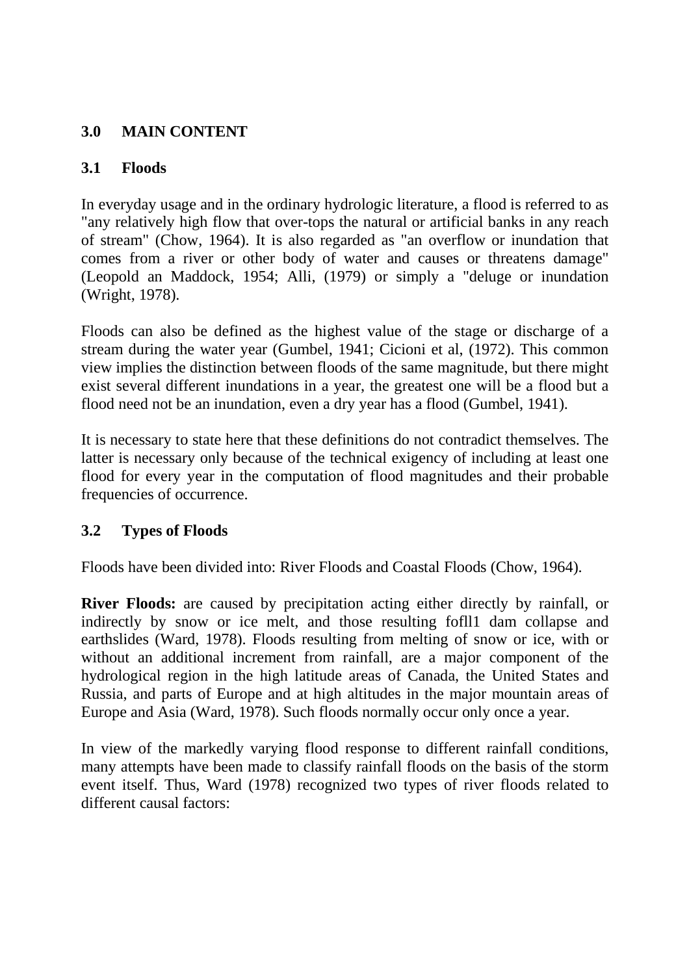# **3.0 MAIN CONTENT**

## **3.1 Floods**

In everyday usage and in the ordinary hydrologic literature, a flood is referred to as "any relatively high flow that over-tops the natural or artificial banks in any reach of stream" (Chow, 1964). It is also regarded as "an overflow or inundation that comes from a river or other body of water and causes or threatens damage" (Leopold an Maddock, 1954; Alli, (1979) or simply a "deluge or inundation (Wright, 1978).

Floods can also be defined as the highest value of the stage or discharge of a stream during the water year (Gumbel, 1941; Cicioni et al, (1972). This common view implies the distinction between floods of the same magnitude, but there might exist several different inundations in a year, the greatest one will be a flood but a flood need not be an inundation, even a dry year has a flood (Gumbel, 1941).

It is necessary to state here that these definitions do not contradict themselves. The latter is necessary only because of the technical exigency of including at least one flood for every year in the computation of flood magnitudes and their probable frequencies of occurrence.

# **3.2 Types of Floods**

Floods have been divided into: River Floods and Coastal Floods (Chow, 1964).

**River Floods:** are caused by precipitation acting either directly by rainfall, or indirectly by snow or ice melt, and those resulting fofll1 dam collapse and earthslides (Ward, 1978). Floods resulting from melting of snow or ice, with or without an additional increment from rainfall, are a major component of the hydrological region in the high latitude areas of Canada, the United States and Russia, and parts of Europe and at high altitudes in the major mountain areas of Europe and Asia (Ward, 1978). Such floods normally occur only once a year.

In view of the markedly varying flood response to different rainfall conditions, many attempts have been made to classify rainfall floods on the basis of the storm event itself. Thus, Ward (1978) recognized two types of river floods related to different causal factors: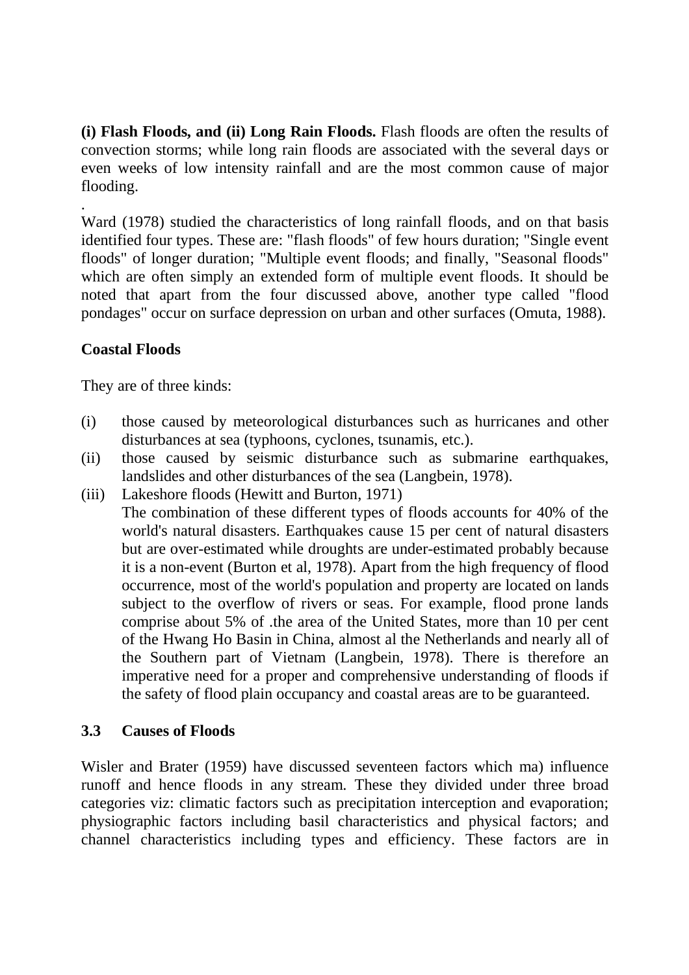**(i) Flash Floods, and (ii) Long Rain Floods.** Flash floods are often the results of convection storms; while long rain floods are associated with the several days or even weeks of low intensity rainfall and are the most common cause of major flooding.

. Ward (1978) studied the characteristics of long rainfall floods, and on that basis identified four types. These are: "flash floods" of few hours duration; "Single event floods" of longer duration; "Multiple event floods; and finally, "Seasonal floods" which are often simply an extended form of multiple event floods. It should be noted that apart from the four discussed above, another type called "flood pondages" occur on surface depression on urban and other surfaces (Omuta, 1988).

## **Coastal Floods**

They are of three kinds:

- (i) those caused by meteorological disturbances such as hurricanes and other disturbances at sea (typhoons, cyclones, tsunamis, etc.).
- (ii) those caused by seismic disturbance such as submarine earthquakes, landslides and other disturbances of the sea (Langbein, 1978).
- (iii) Lakeshore floods (Hewitt and Burton, 1971) The combination of these different types of floods accounts for 40% of the world's natural disasters. Earthquakes cause 15 per cent of natural disasters but are over-estimated while droughts are under-estimated probably because it is a non-event (Burton et al, 1978). Apart from the high frequency of flood occurrence, most of the world's population and property are located on lands subject to the overflow of rivers or seas. For example, flood prone lands comprise about 5% of .the area of the United States, more than 10 per cent of the Hwang Ho Basin in China, almost al the Netherlands and nearly all of the Southern part of Vietnam (Langbein, 1978). There is therefore an imperative need for a proper and comprehensive understanding of floods if the safety of flood plain occupancy and coastal areas are to be guaranteed.

#### **3.3 Causes of Floods**

Wisler and Brater (1959) have discussed seventeen factors which ma) influence runoff and hence floods in any stream. These they divided under three broad categories viz: climatic factors such as precipitation interception and evaporation; physiographic factors including basil characteristics and physical factors; and channel characteristics including types and efficiency. These factors are in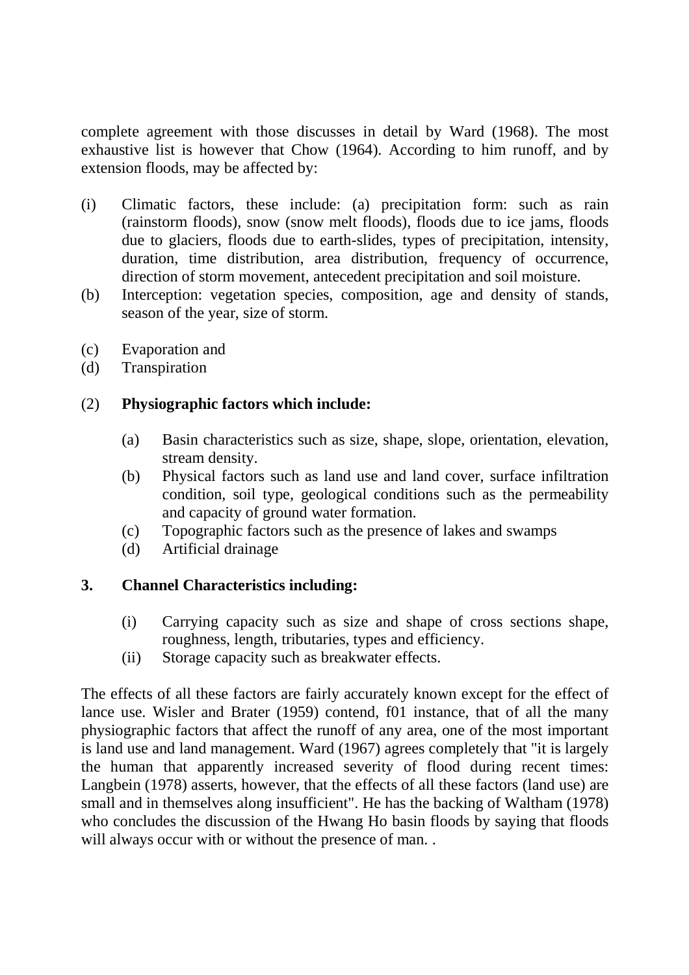complete agreement with those discusses in detail by Ward (1968). The most exhaustive list is however that Chow (1964). According to him runoff, and by extension floods, may be affected by:

- (i) Climatic factors, these include: (a) precipitation form: such as rain (rainstorm floods), snow (snow melt floods), floods due to ice jams, floods due to glaciers, floods due to earth-slides, types of precipitation, intensity, duration, time distribution, area distribution, frequency of occurrence, direction of storm movement, antecedent precipitation and soil moisture.
- (b) Interception: vegetation species, composition, age and density of stands, season of the year, size of storm.
- (c) Evaporation and
- (d) Transpiration

#### (2) **Physiographic factors which include:**

- (a) Basin characteristics such as size, shape, slope, orientation, elevation, stream density.
- (b) Physical factors such as land use and land cover, surface infiltration condition, soil type, geological conditions such as the permeability and capacity of ground water formation.
- (c) Topographic factors such as the presence of lakes and swamps
- (d) Artificial drainage

# **3. Channel Characteristics including:**

- (i) Carrying capacity such as size and shape of cross sections shape, roughness, length, tributaries, types and efficiency.
- (ii) Storage capacity such as breakwater effects.

The effects of all these factors are fairly accurately known except for the effect of lance use. Wisler and Brater (1959) contend, f01 instance, that of all the many physiographic factors that affect the runoff of any area, one of the most important is land use and land management. Ward (1967) agrees completely that "it is largely the human that apparently increased severity of flood during recent times: Langbein (1978) asserts, however, that the effects of all these factors (land use) are small and in themselves along insufficient". He has the backing of Waltham (1978) who concludes the discussion of the Hwang Ho basin floods by saying that floods will always occur with or without the presence of man..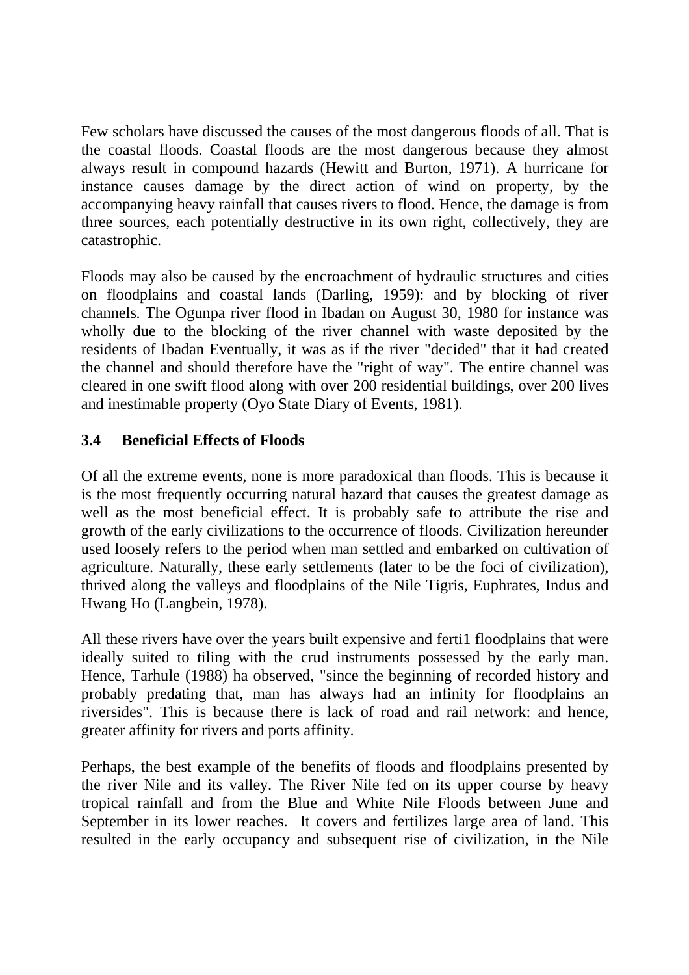Few scholars have discussed the causes of the most dangerous floods of all. That is the coastal floods. Coastal floods are the most dangerous because they almost always result in compound hazards (Hewitt and Burton, 1971). A hurricane for instance causes damage by the direct action of wind on property, by the accompanying heavy rainfall that causes rivers to flood. Hence, the damage is from three sources, each potentially destructive in its own right, collectively, they are catastrophic.

Floods may also be caused by the encroachment of hydraulic structures and cities on floodplains and coastal lands (Darling, 1959): and by blocking of river channels. The Ogunpa river flood in Ibadan on August 30, 1980 for instance was wholly due to the blocking of the river channel with waste deposited by the residents of Ibadan Eventually, it was as if the river "decided" that it had created the channel and should therefore have the "right of way". The entire channel was cleared in one swift flood along with over 200 residential buildings, over 200 lives and inestimable property (Oyo State Diary of Events, 1981).

## **3.4 Beneficial Effects of Floods**

Of all the extreme events, none is more paradoxical than floods. This is because it is the most frequently occurring natural hazard that causes the greatest damage as well as the most beneficial effect. It is probably safe to attribute the rise and growth of the early civilizations to the occurrence of floods. Civilization hereunder used loosely refers to the period when man settled and embarked on cultivation of agriculture. Naturally, these early settlements (later to be the foci of civilization), thrived along the valleys and floodplains of the Nile Tigris, Euphrates, Indus and Hwang Ho (Langbein, 1978).

All these rivers have over the years built expensive and ferti1 floodplains that were ideally suited to tiling with the crud instruments possessed by the early man. Hence, Tarhule (1988) ha observed, "since the beginning of recorded history and probably predating that, man has always had an infinity for floodplains an riversides". This is because there is lack of road and rail network: and hence, greater affinity for rivers and ports affinity.

Perhaps, the best example of the benefits of floods and floodplains presented by the river Nile and its valley. The River Nile fed on its upper course by heavy tropical rainfall and from the Blue and White Nile Floods between June and September in its lower reaches. It covers and fertilizes large area of land. This resulted in the early occupancy and subsequent rise of civilization, in the Nile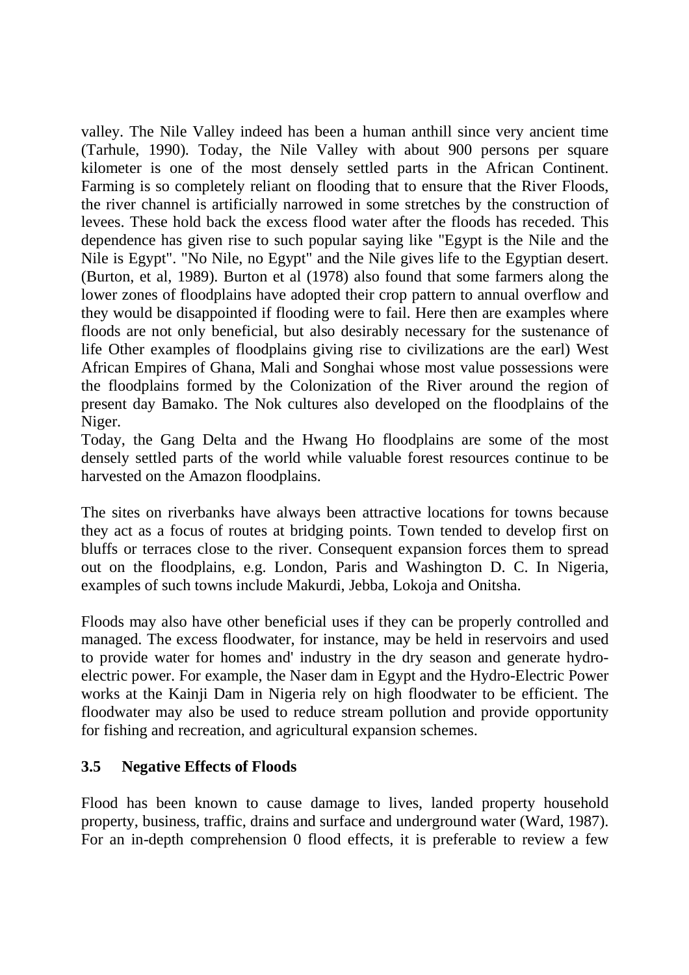valley. The Nile Valley indeed has been a human anthill since very ancient time (Tarhule, 1990). Today, the Nile Valley with about 900 persons per square kilometer is one of the most densely settled parts in the African Continent. Farming is so completely reliant on flooding that to ensure that the River Floods, the river channel is artificially narrowed in some stretches by the construction of levees. These hold back the excess flood water after the floods has receded. This dependence has given rise to such popular saying like "Egypt is the Nile and the Nile is Egypt". "No Nile, no Egypt" and the Nile gives life to the Egyptian desert. (Burton, et al, 1989). Burton et al (1978) also found that some farmers along the lower zones of floodplains have adopted their crop pattern to annual overflow and they would be disappointed if flooding were to fail. Here then are examples where floods are not only beneficial, but also desirably necessary for the sustenance of life Other examples of floodplains giving rise to civilizations are the earl) West African Empires of Ghana, Mali and Songhai whose most value possessions were the floodplains formed by the Colonization of the River around the region of present day Bamako. The Nok cultures also developed on the floodplains of the Niger.

Today, the Gang Delta and the Hwang Ho floodplains are some of the most densely settled parts of the world while valuable forest resources continue to be harvested on the Amazon floodplains.

The sites on riverbanks have always been attractive locations for towns because they act as a focus of routes at bridging points. Town tended to develop first on bluffs or terraces close to the river. Consequent expansion forces them to spread out on the floodplains, e.g. London, Paris and Washington D. C. In Nigeria, examples of such towns include Makurdi, Jebba, Lokoja and Onitsha.

Floods may also have other beneficial uses if they can be properly controlled and managed. The excess floodwater, for instance, may be held in reservoirs and used to provide water for homes and' industry in the dry season and generate hydroelectric power. For example, the Naser dam in Egypt and the Hydro-Electric Power works at the Kainji Dam in Nigeria rely on high floodwater to be efficient. The floodwater may also be used to reduce stream pollution and provide opportunity for fishing and recreation, and agricultural expansion schemes.

#### **3.5 Negative Effects of Floods**

Flood has been known to cause damage to lives, landed property household property, business, traffic, drains and surface and underground water (Ward, 1987). For an in-depth comprehension 0 flood effects, it is preferable to review a few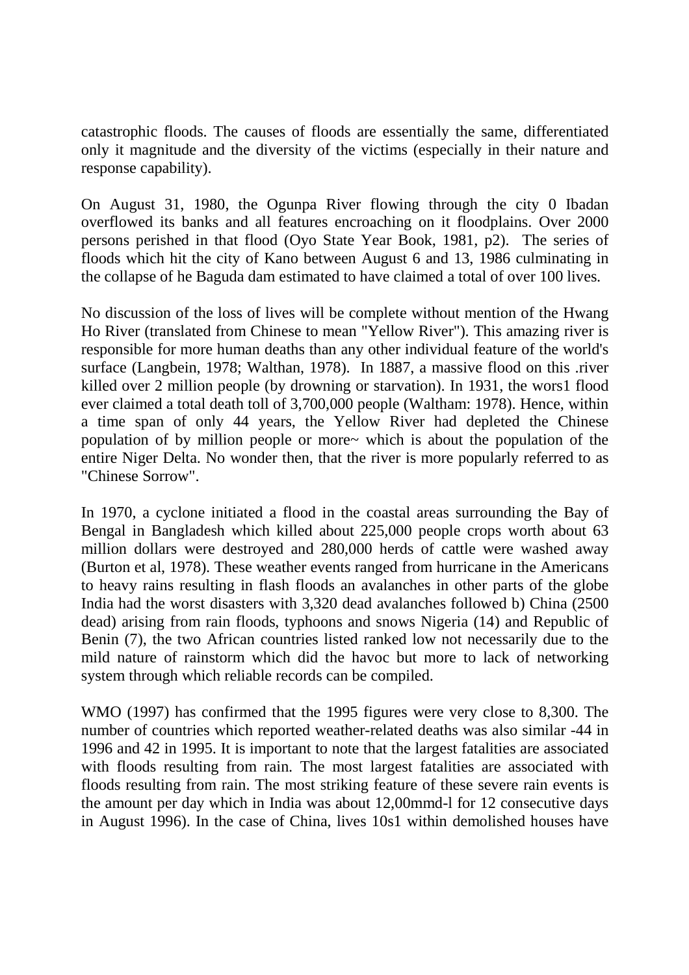catastrophic floods. The causes of floods are essentially the same, differentiated only it magnitude and the diversity of the victims (especially in their nature and response capability).

On August 31, 1980, the Ogunpa River flowing through the city 0 Ibadan overflowed its banks and all features encroaching on it floodplains. Over 2000 persons perished in that flood (Oyo State Year Book, 1981, p2). The series of floods which hit the city of Kano between August 6 and 13, 1986 culminating in the collapse of he Baguda dam estimated to have claimed a total of over 100 lives.

No discussion of the loss of lives will be complete without mention of the Hwang Ho River (translated from Chinese to mean "Yellow River"). This amazing river is responsible for more human deaths than any other individual feature of the world's surface (Langbein, 1978; Walthan, 1978). In 1887, a massive flood on this .river killed over 2 million people (by drowning or starvation). In 1931, the wors1 flood ever claimed a total death toll of 3,700,000 people (Waltham: 1978). Hence, within a time span of only 44 years, the Yellow River had depleted the Chinese population of by million people or more~ which is about the population of the entire Niger Delta. No wonder then, that the river is more popularly referred to as "Chinese Sorrow".

In 1970, a cyclone initiated a flood in the coastal areas surrounding the Bay of Bengal in Bangladesh which killed about 225,000 people crops worth about 63 million dollars were destroyed and 280,000 herds of cattle were washed away (Burton et al, 1978). These weather events ranged from hurricane in the Americans to heavy rains resulting in flash floods an avalanches in other parts of the globe India had the worst disasters with 3,320 dead avalanches followed b) China (2500 dead) arising from rain floods, typhoons and snows Nigeria (14) and Republic of Benin (7), the two African countries listed ranked low not necessarily due to the mild nature of rainstorm which did the havoc but more to lack of networking system through which reliable records can be compiled.

WMO (1997) has confirmed that the 1995 figures were very close to 8,300. The number of countries which reported weather-related deaths was also similar -44 in 1996 and 42 in 1995. It is important to note that the largest fatalities are associated with floods resulting from rain. The most largest fatalities are associated with floods resulting from rain. The most striking feature of these severe rain events is the amount per day which in India was about 12,00mmd-l for 12 consecutive days in August 1996). In the case of China, lives 10s1 within demolished houses have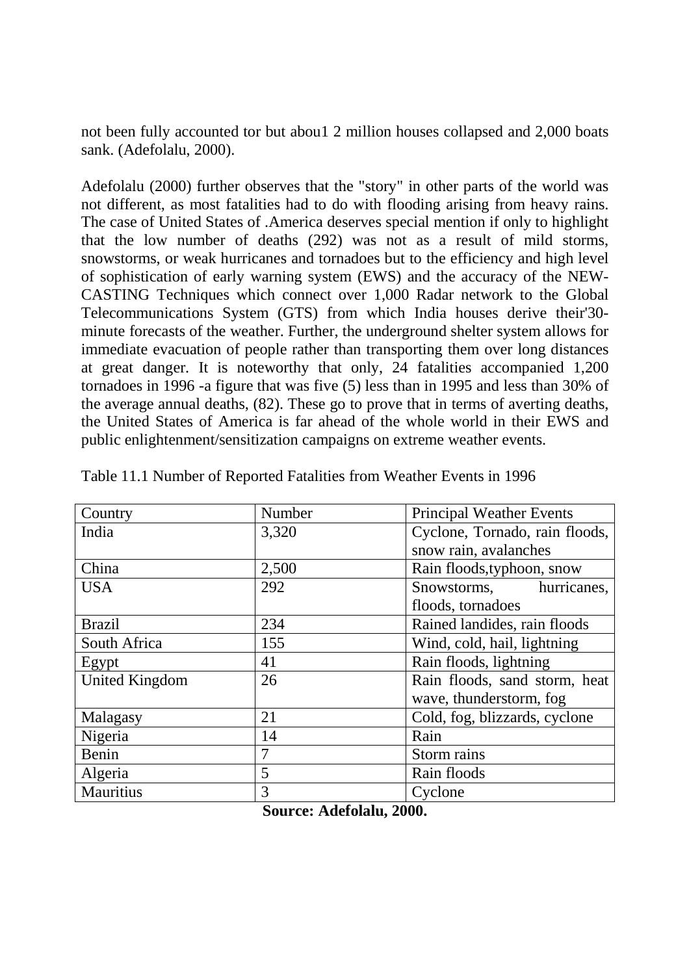not been fully accounted tor but abou1 2 million houses collapsed and 2,000 boats sank. (Adefolalu, 2000).

Adefolalu (2000) further observes that the "story" in other parts of the world was not different, as most fatalities had to do with flooding arising from heavy rains. The case of United States of .America deserves special mention if only to highlight that the low number of deaths (292) was not as a result of mild storms, snowstorms, or weak hurricanes and tornadoes but to the efficiency and high level of sophistication of early warning system (EWS) and the accuracy of the NEW-CASTING Techniques which connect over 1,000 Radar network to the Global Telecommunications System (GTS) from which India houses derive their'30 minute forecasts of the weather. Further, the underground shelter system allows for immediate evacuation of people rather than transporting them over long distances at great danger. It is noteworthy that only, 24 fatalities accompanied 1,200 tornadoes in 1996 -a figure that was five (5) less than in 1995 and less than 30% of the average annual deaths, (82). These go to prove that in terms of averting deaths, the United States of America is far ahead of the whole world in their EWS and public enlightenment/sensitization campaigns on extreme weather events.

| Country               | Number | <b>Principal Weather Events</b> |
|-----------------------|--------|---------------------------------|
| India                 | 3,320  | Cyclone, Tornado, rain floods,  |
|                       |        | snow rain, avalanches           |
| China                 | 2,500  | Rain floods, typhoon, snow      |
| <b>USA</b>            | 292    | Snowstorms, hurricanes,         |
|                       |        | floods, tornadoes               |
| <b>Brazil</b>         | 234    | Rained landides, rain floods    |
| South Africa          | 155    | Wind, cold, hail, lightning     |
| Egypt                 | 41     | Rain floods, lightning          |
| <b>United Kingdom</b> | 26     | Rain floods, sand storm, heat   |
|                       |        | wave, thunderstorm, fog         |
| Malagasy              | 21     | Cold, fog, blizzards, cyclone   |
| Nigeria               | 14     | Rain                            |
| Benin                 | 7      | Storm rains                     |
| Algeria               | 5      | Rain floods                     |
| Mauritius             | 3      | Cyclone                         |

Table 11.1 Number of Reported Fatalities from Weather Events in 1996

**Source: Adefolalu, 2000.**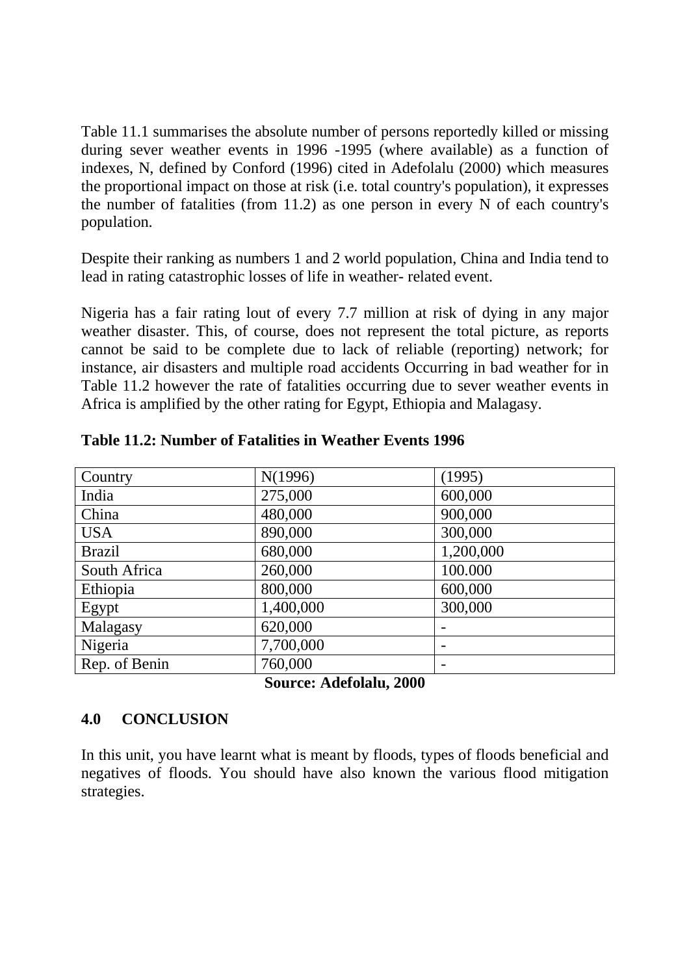Table 11.1 summarises the absolute number of persons reportedly killed or missing during sever weather events in 1996 -1995 (where available) as a function of indexes, N, defined by Conford (1996) cited in Adefolalu (2000) which measures the proportional impact on those at risk (i.e. total country's population), it expresses the number of fatalities (from 11.2) as one person in every N of each country's population.

Despite their ranking as numbers 1 and 2 world population, China and India tend to lead in rating catastrophic losses of life in weather- related event.

Nigeria has a fair rating lout of every 7.7 million at risk of dying in any major weather disaster. This, of course, does not represent the total picture, as reports cannot be said to be complete due to lack of reliable (reporting) network; for instance, air disasters and multiple road accidents Occurring in bad weather for in Table 11.2 however the rate of fatalities occurring due to sever weather events in Africa is amplified by the other rating for Egypt, Ethiopia and Malagasy.

| Country       | N(1996)   | (1995)    |
|---------------|-----------|-----------|
| India         | 275,000   | 600,000   |
| China         | 480,000   | 900,000   |
| <b>USA</b>    | 890,000   | 300,000   |
| <b>Brazil</b> | 680,000   | 1,200,000 |
| South Africa  | 260,000   | 100.000   |
| Ethiopia      | 800,000   | 600,000   |
| Egypt         | 1,400,000 | 300,000   |
| Malagasy      | 620,000   |           |
| Nigeria       | 7,700,000 |           |
| Rep. of Benin | 760,000   |           |

**Table 11.2: Number of Fatalities in Weather Events 1996** 

**Source: Adefolalu, 2000** 

# **4.0 CONCLUSION**

In this unit, you have learnt what is meant by floods, types of floods beneficial and negatives of floods. You should have also known the various flood mitigation strategies.